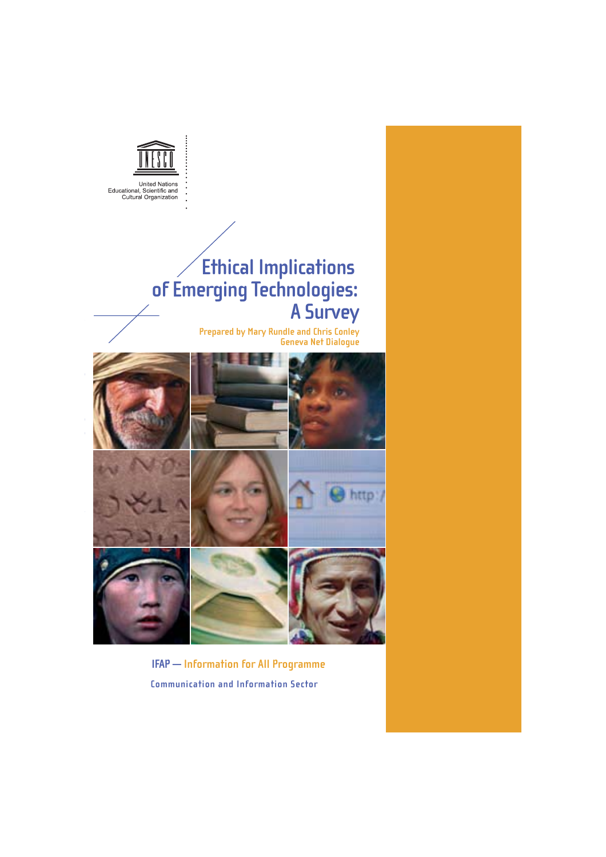

United Nations<br>Educational, Scientific and Cultural Organization

# **Ethical Implications e**Condenance Character School and Technologies: **A Survey**

#### **Prepared by Mary Rundle and Chris Conley Example 2016**



**Communication and Information Sector IFAP** — Information for All Programme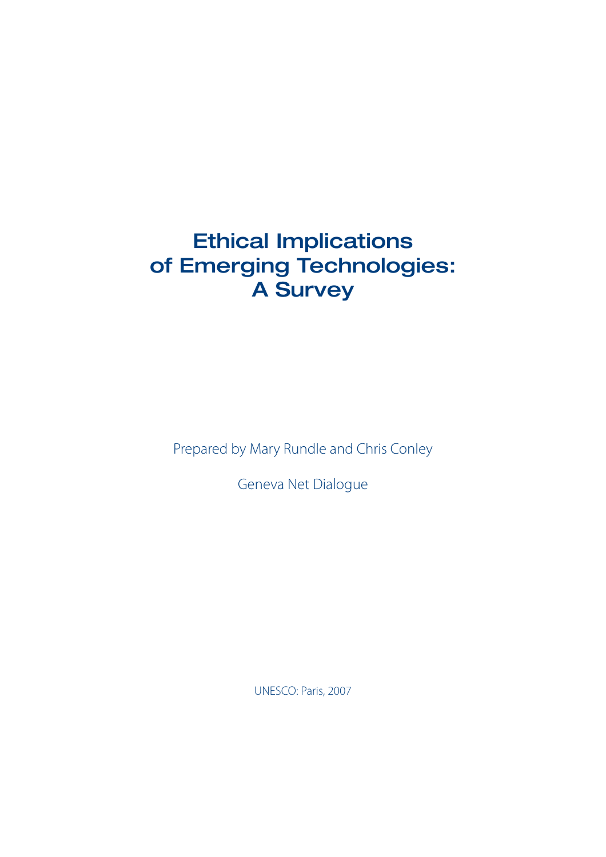# Ethical Implications of Emerging Technologies: A Survey

Prepared by Mary Rundle and Chris Conley

Geneva Net Dialogue

UNESCO: Paris, 2007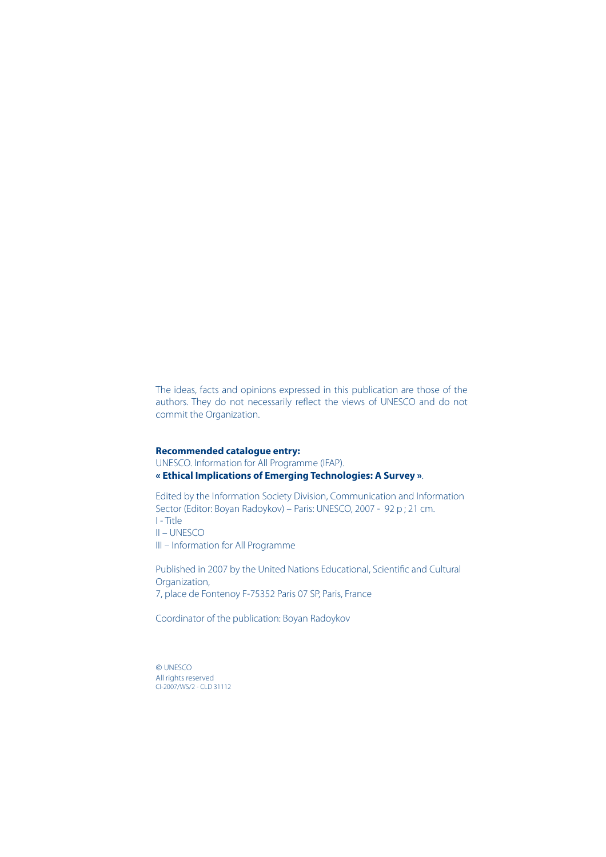The ideas, facts and opinions expressed in this publication are those of the authors. They do not necessarily reflect the views of UNESCO and do not commit the Organization.

#### **Recommended catalogue entry:**

UNESCO. Information for All Programme (IFAP). **« Ethical Implications of Emerging Technologies: A Survey »**.

Edited by the Information Society Division, Communication and Information Sector (Editor: Boyan Radoykov) – Paris: UNESCO, 2007 - 92 p ; 21 cm. I - Title II – UNESCO III – Information for All Programme

Published in 2007 by the United Nations Educational, Scientific and Cultural Organization, 7, place de Fontenoy F-75352 Paris 07 SP, Paris, France

Coordinator of the publication: Boyan Radoykov

**© UNESCO** All rights reserved CI-2007/WS/2 - CLD 31112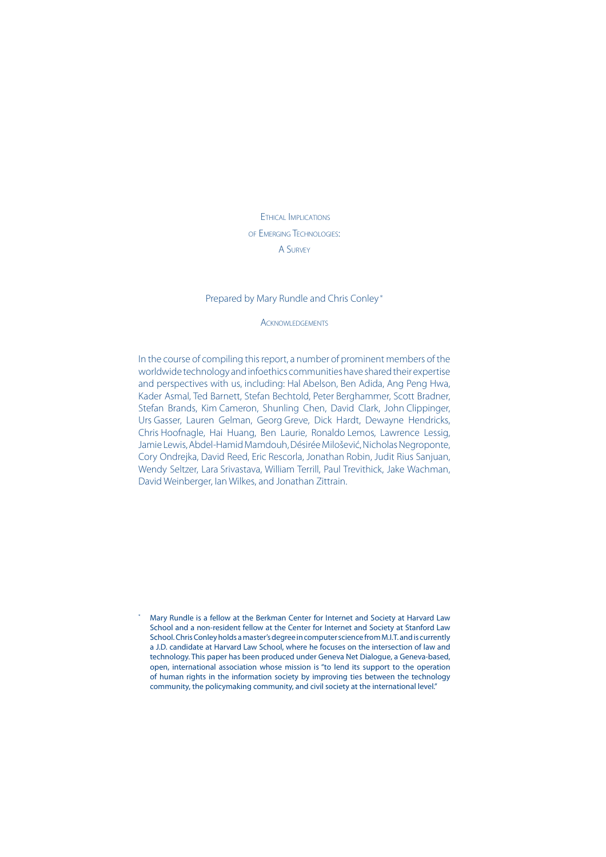ETHICAL IMPLICATIONS OF EMERGING TECHNOLOGIES: A SURVEY

#### Prepared by Mary Rundle and Chris Conley <sup>∗</sup>

#### ACKNOWLEDGEMENTS

In the course of compiling this report, a number of prominent members of the worldwide technology and infoethics communities have shared their expertise and perspectives with us, including: Hal Abelson, Ben Adida, Ang Peng Hwa, Kader Asmal, Ted Barnett, Stefan Bechtold, Peter Berghammer, Scott Bradner, Stefan Brands, Kim Cameron, Shunling Chen, David Clark, John Clippinger, Urs Gasser, Lauren Gelman, Georg Greve, Dick Hardt, Dewayne Hendricks, Chris Hoofnagle, Hai Huang, Ben Laurie, Ronaldo Lemos, Lawrence Lessig, Jamie Lewis, Abdel-Hamid Mamdouh, Désirée Milošević, Nicholas Negroponte, Cory Ondrejka, David Reed, Eric Rescorla, Jonathan Robin, Judit Rius Sanjuan, Wendy Seltzer, Lara Srivastava, William Terrill, Paul Trevithick, Jake Wachman, David Weinberger, Ian Wilkes, and Jonathan Zittrain.

 Mary Rundle is a fellow at the Berkman Center for Internet and Society at Harvard Law School and a non-resident fellow at the Center for Internet and Society at Stanford Law School. Chris Conley holds a master's degree in computer science from M.I.T. and is currently a J.D. candidate at Harvard Law School, where he focuses on the intersection of law and technology. This paper has been produced under Geneva Net Dialogue, a Geneva-based, open, international association whose mission is "to lend its support to the operation of human rights in the information society by improving ties between the technology community, the policymaking community, and civil society at the international level."

\*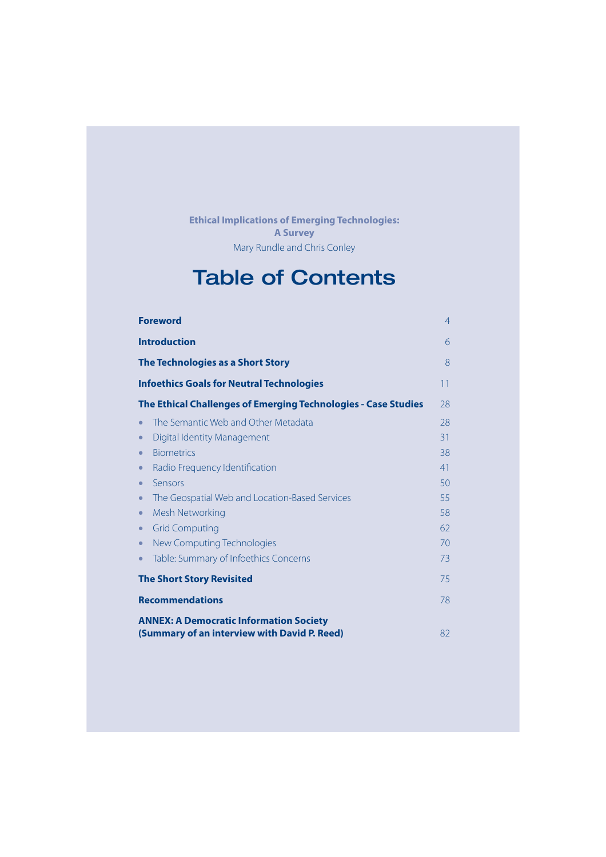**Ethical Implications of Emerging Technologies: A Survey** Mary Rundle and Chris Conley

# Table of Contents

| <b>Foreword</b>                                                                                | $\overline{4}$ |
|------------------------------------------------------------------------------------------------|----------------|
| <b>Introduction</b>                                                                            | 6              |
| The Technologies as a Short Story                                                              | 8              |
| <b>Infoethics Goals for Neutral Technologies</b>                                               | 11             |
| The Ethical Challenges of Emerging Technologies - Case Studies                                 | 28             |
| The Semantic Web and Other Metadata<br>$\bullet$                                               | 28             |
| <b>Digital Identity Management</b><br>$\bullet$                                                | 31             |
| <b>Biometrics</b><br>$\bullet$                                                                 | 38             |
| Radio Frequency Identification<br>$\bullet$                                                    | 41             |
| Sensors<br>$\bullet$                                                                           | 50             |
| The Geospatial Web and Location-Based Services<br>$\bullet$                                    | 55             |
| Mesh Networking<br>$\bullet$                                                                   | 58             |
| <b>Grid Computing</b><br>$\qquad \qquad \bullet$                                               | 62             |
| New Computing Technologies<br>$\bullet$                                                        | 70             |
| Table: Summary of Infoethics Concerns<br>$\bullet$                                             | 73             |
| <b>The Short Story Revisited</b>                                                               | 75             |
| <b>Recommendations</b>                                                                         | 78             |
| <b>ANNEX: A Democratic Information Society</b><br>(Summary of an interview with David P. Reed) | 82             |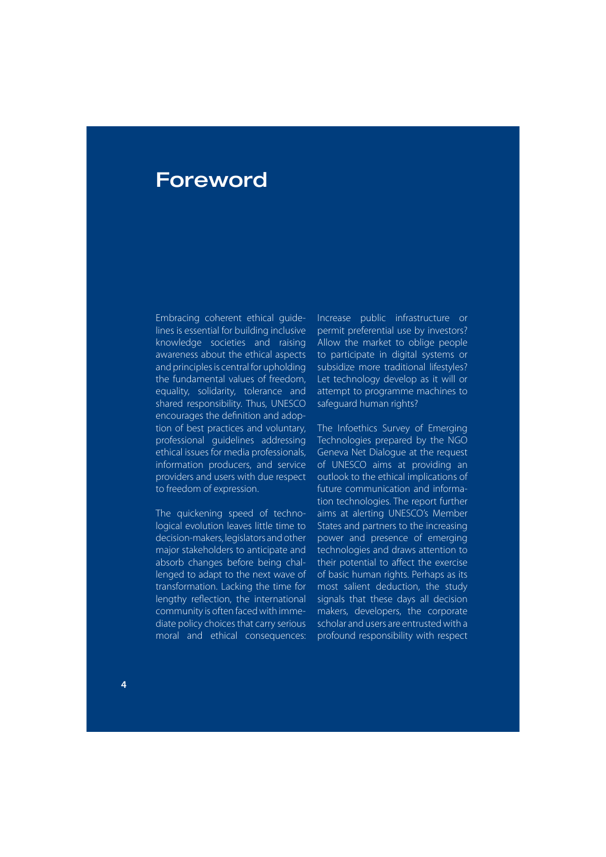### <span id="page-5-0"></span>Foreword

Embracing coherent ethical guidelines is essential for building inclusive knowledge societies and raising awareness about the ethical aspects and principles is central for upholding the fundamental values of freedom, equality, solidarity, tolerance and shared responsibility. Thus, UNESCO encourages the definition and adoption of best practices and voluntary, professional guidelines addressing ethical issues for media professionals, information producers, and service providers and users with due respect to freedom of expression.

The quickening speed of technological evolution leaves little time to decision-makers, legislators and other major stakeholders to anticipate and absorb changes before being challenged to adapt to the next wave of transformation. Lacking the time for lengthy reflection, the international community is often faced with immediate policy choices that carry serious moral and ethical consequences:

Increase public infrastructure or permit preferential use by investors? Allow the market to oblige people to participate in digital systems or subsidize more traditional lifestyles? Let technology develop as it will or attempt to programme machines to safeguard human rights?

The Infoethics Survey of Emerging Technologies prepared by the NGO Geneva Net Dialogue at the request of UNESCO aims at providing an outlook to the ethical implications of future communication and information technologies. The report further aims at alerting UNESCO's Member States and partners to the increasing power and presence of emerging technologies and draws attention to their potential to affect the exercise of basic human rights. Perhaps as its most salient deduction, the study signals that these days all decision makers, developers, the corporate scholar and users are entrusted with a profound responsibility with respect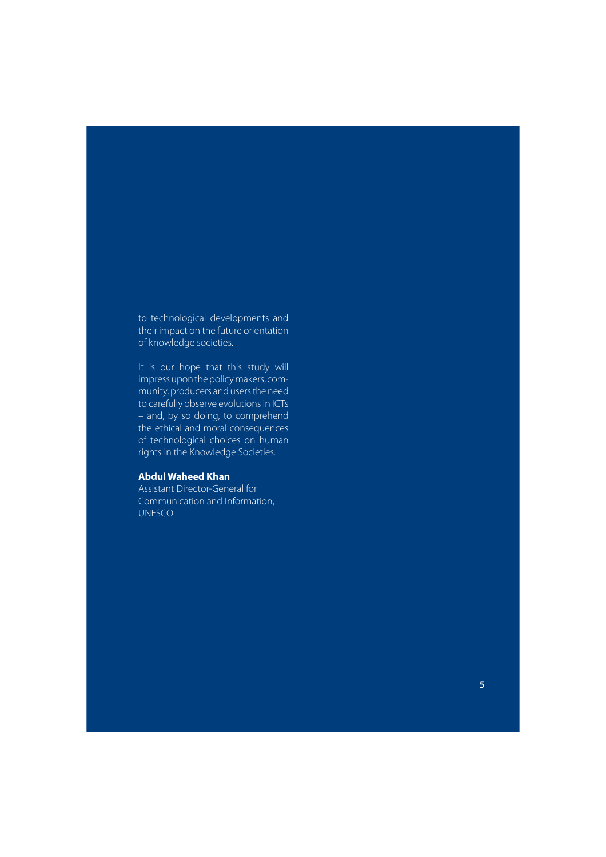to technological developments and their impact on the future orientation of knowledge societies.

It is our hope that this study will impress upon the policy makers, community, producers and users the need to carefully observe evolutions in ICTs – and, by so doing, to comprehend the ethical and moral consequences of technological choices on human rights in the Knowledge Societies.

#### **Abdul Waheed Khan**

Assistant Director-General for Communication and Information, UNESCO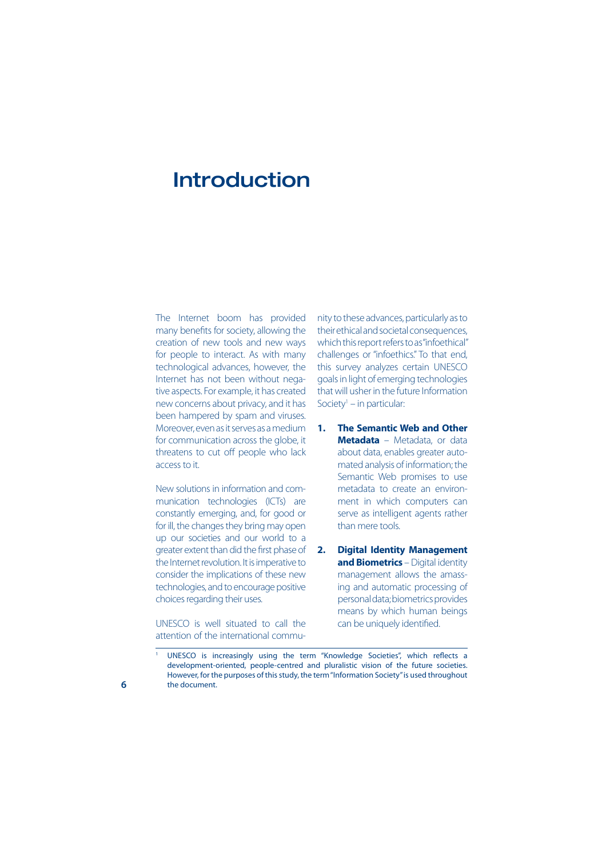## <span id="page-7-0"></span>Introduction

The Internet boom has provided many benefits for society, allowing the creation of new tools and new ways for people to interact. As with many technological advances, however, the Internet has not been without negative aspects. For example, it has created new concerns about privacy, and it has been hampered by spam and viruses. Moreover, even as it serves as a medium for communication across the globe, it threatens to cut off people who lack access to it.

New solutions in information and communication technologies (ICTs) are constantly emerging, and, for good or for ill, the changes they bring may open up our societies and our world to a greater extent than did the first phase of the Internet revolution. It is imperative to consider the implications of these new technologies, and to encourage positive choices regarding their uses.

UNESCO is well situated to call the attention of the international community to these advances, particularly as to their ethical and societal consequences, which this report refers to as "infoethical" challenges or "infoethics." To that end, this survey analyzes certain UNESCO goals in light of emerging technologies that will usher in the future Information Society<sup>1</sup> – in particular:

- **1. The Semantic Web and Other Metadata** – Metadata, or data about data, enables greater automated analysis of information; the Semantic Web promises to use metadata to create an environment in which computers can serve as intelligent agents rather than mere tools.
- **2. Digital Identity Management and Biometrics** – Digital identity management allows the amassing and automatic processing of personal data; biometrics provides means by which human beings can be uniquely identified.

<sup>1</sup> UNESCO is increasingly using the term "Knowledge Societies", which reflects a development-oriented, people-centred and pluralistic vision of the future societies. However, for the purposes of this study, the term "Information Society" is used throughout the document.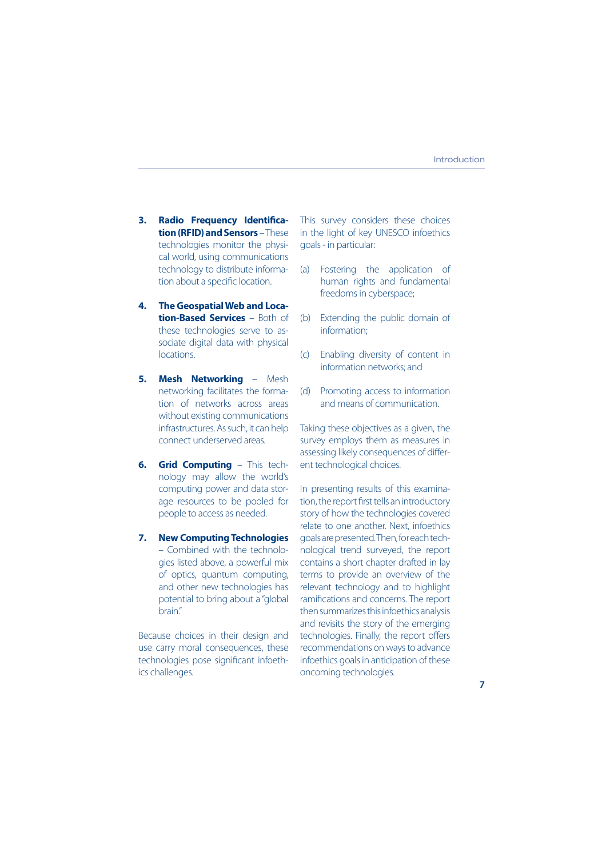- **3. Radio Frequency Identification (RFID) and Sensors** – These technologies monitor the physical world, using communications technology to distribute information about a specific location.
- **4. The Geospatial Web and Location-Based Services** – Both of these technologies serve to associate digital data with physical **locations**
- **5. Mesh Networking Mesh** networking facilitates the formation of networks across areas without existing communications infrastructures. As such, it can help connect underserved areas.
- **6.** Grid Computing This technology may allow the world's computing power and data storage resources to be pooled for people to access as needed.
- **7. New Computing Technologies** – Combined with the technologies listed above, a powerful mix of optics, quantum computing, and other new technologies has potential to bring about a "global brain."

Because choices in their design and use carry moral consequences, these technologies pose significant infoethics challenges.

This survey considers these choices in the light of key UNESCO infoethics goals - in particular:

- (a) Fostering the application of human rights and fundamental freedoms in cyberspace;
- (b) Extending the public domain of information;
- (c) Enabling diversity of content in information networks; and
- (d) Promoting access to information and means of communication.

Taking these objectives as a given, the survey employs them as measures in assessing likely consequences of different technological choices.

In presenting results of this examination, the report first tells an introductory story of how the technologies covered relate to one another. Next, infoethics goals are presented. Then, for each technological trend surveyed, the report contains a short chapter drafted in lay terms to provide an overview of the relevant technology and to highlight ramifications and concerns. The report then summarizes this infoethics analysis and revisits the story of the emerging technologies. Finally, the report offers recommendations on ways to advance infoethics goals in anticipation of these oncoming technologies.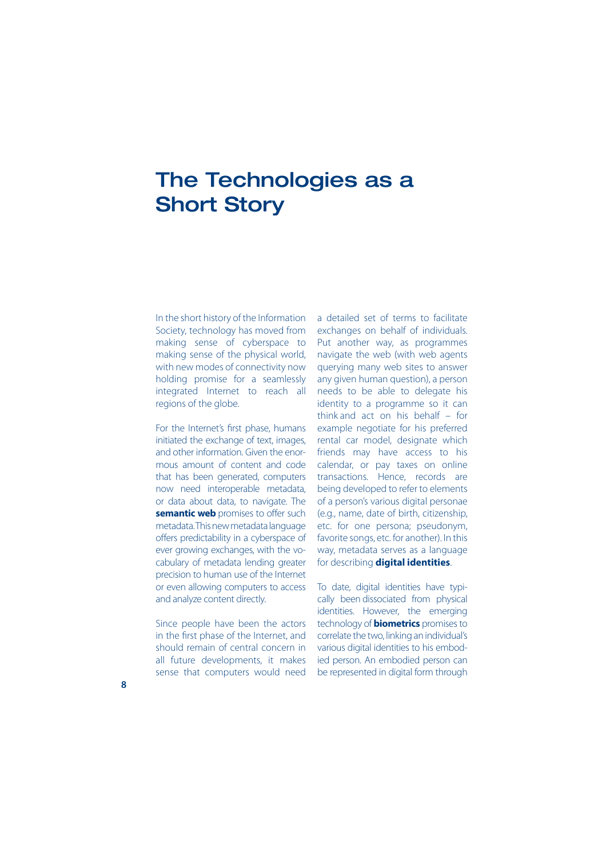## <span id="page-9-0"></span>The Technologies as a Short Story

In the short history of the Information Society, technology has moved from making sense of cyberspace to making sense of the physical world, with new modes of connectivity now holding promise for a seamlessly integrated Internet to reach all regions of the globe.

For the Internet's first phase, humans initiated the exchange of text, images, and other information. Given the enormous amount of content and code that has been generated, computers now need interoperable metadata, or data about data, to navigate. The **semantic web** promises to offer such metadata. This new metadata language offers predictability in a cyberspace of ever growing exchanges, with the vocabulary of metadata lending greater precision to human use of the Internet or even allowing computers to access and analyze content directly.

Since people have been the actors in the first phase of the Internet, and should remain of central concern in all future developments, it makes sense that computers would need a detailed set of terms to facilitate exchanges on behalf of individuals. Put another way, as programmes navigate the web (with web agents querying many web sites to answer any given human question), a person needs to be able to delegate his identity to a programme so it can think and act on his behalf – for example negotiate for his preferred rental car model, designate which friends may have access to his calendar, or pay taxes on online transactions. Hence, records are being developed to refer to elements of a person's various digital personae (e.g., name, date of birth, citizenship, etc. for one persona; pseudonym, favorite songs, etc. for another). In this way, metadata serves as a language for describing **digital identities**.

To date, digital identities have typically been dissociated from physical identities. However, the emerging technology of **biometrics** promises to correlate the two, linking an individual's various digital identities to his embodied person. An embodied person can be represented in digital form through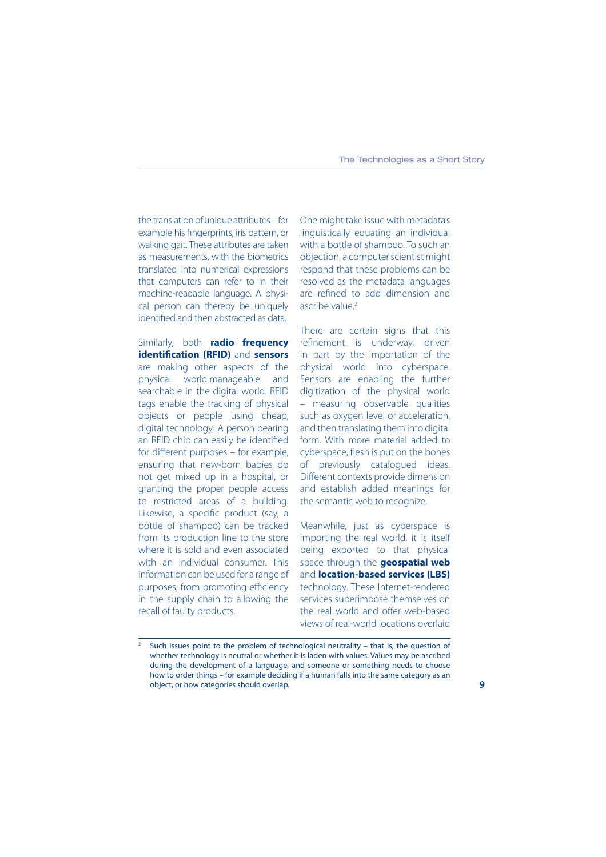the translation of unique attributes – for example his fingerprints, iris pattern, or walking gait. These attributes are taken as measurements, with the biometrics translated into numerical expressions that computers can refer to in their machine-readable language. A physical person can thereby be uniquely identified and then abstracted as data

Similarly, both **radio frequency identification (RFID)** and **sensors** are making other aspects of the physical world manageable and searchable in the digital world. RFID tags enable the tracking of physical objects or people using cheap, digital technology: A person bearing an RFID chip can easily be identified for different purposes  $-$  for example, ensuring that new-born babies do not get mixed up in a hospital, or granting the proper people access to restricted areas of a building. Likewise, a specific product (say, a bottle of shampoo) can be tracked from its production line to the store where it is sold and even associated with an individual consumer. This information can be used for a range of purposes, from promoting efficiency in the supply chain to allowing the recall of faulty products.

One might take issue with metadata's linguistically equating an individual with a bottle of shampoo. To such an objection, a computer scientist might respond that these problems can be resolved as the metadata languages are refined to add dimension and ascribe value<sup>2</sup>

There are certain signs that this refinement is underway, driven in part by the importation of the physical world into cyberspace. Sensors are enabling the further digitization of the physical world – measuring observable qualities such as oxygen level or acceleration, and then translating them into digital form. With more material added to cyberspace, flesh is put on the bones of previously catalogued ideas. Different contexts provide dimension and establish added meanings for the semantic web to recognize.

Meanwhile, just as cyberspace is importing the real world, it is itself being exported to that physical space through the **geospatial web**  and **location-based services (LBS)**  technology. These Internet-rendered services superimpose themselves on the real world and offer web-based views of real-world locations overlaid

<sup>&</sup>lt;sup>2</sup> Such issues point to the problem of technological neutrality  $-$  that is, the question of whether technology is neutral or whether it is laden with values. Values may be ascribed during the development of a language, and someone or something needs to choose how to order things – for example deciding if a human falls into the same category as an object, or how categories should overlap.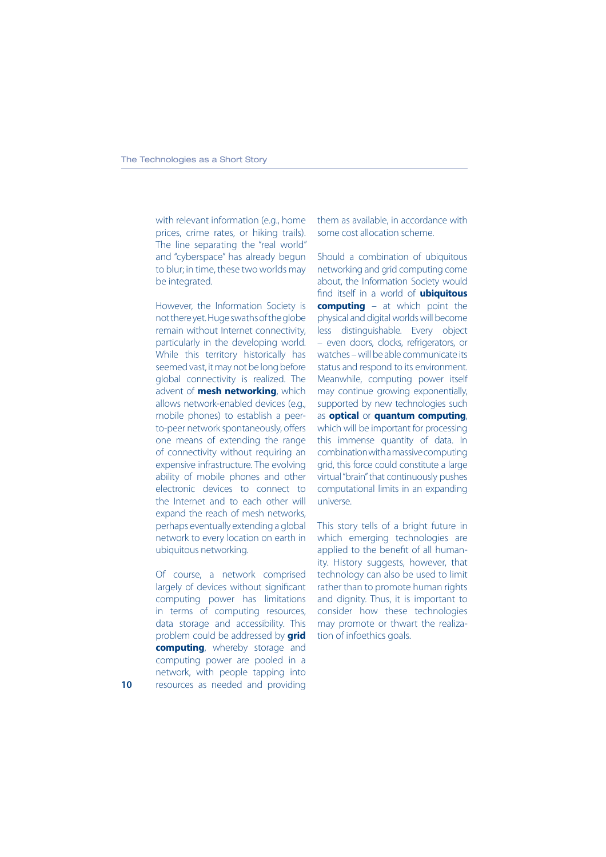with relevant information (e.g., home prices, crime rates, or hiking trails). The line separating the "real world" and "cyberspace" has already begun to blur; in time, these two worlds may be integrated.

However, the Information Society is not there yet. Huge swaths of the globe remain without Internet connectivity, particularly in the developing world. While this territory historically has seemed vast, it may not be long before global connectivity is realized. The advent of **mesh networking**, which allows network-enabled devices (e.g., mobile phones) to establish a peerto-peer network spontaneously, offers one means of extending the range of connectivity without requiring an expensive infrastructure. The evolving ability of mobile phones and other electronic devices to connect to the Internet and to each other will expand the reach of mesh networks, perhaps eventually extending a global network to every location on earth in ubiquitous networking.

Of course, a network comprised largely of devices without significant computing power has limitations in terms of computing resources, data storage and accessibility. This problem could be addressed by **grid computing**, whereby storage and computing power are pooled in a network, with people tapping into resources as needed and providing

them as available, in accordance with some cost allocation scheme.

Should a combination of ubiquitous networking and grid computing come about, the Information Society would find itself in a world of **ubiquitous computing** – at which point the physical and digital worlds will become less distinguishable. Every object – even doors, clocks, refrigerators, or watches – will be able communicate its status and respond to its environment. Meanwhile, computing power itself may continue growing exponentially, supported by new technologies such as **optical** or **quantum computing**, which will be important for processing this immense quantity of data. In combination with a massive computing grid, this force could constitute a large virtual "brain" that continuously pushes computational limits in an expanding universe.

This story tells of a bright future in which emerging technologies are applied to the benefit of all humanity. History suggests, however, that technology can also be used to limit rather than to promote human rights and dignity. Thus, it is important to consider how these technologies may promote or thwart the realization of infoethics goals.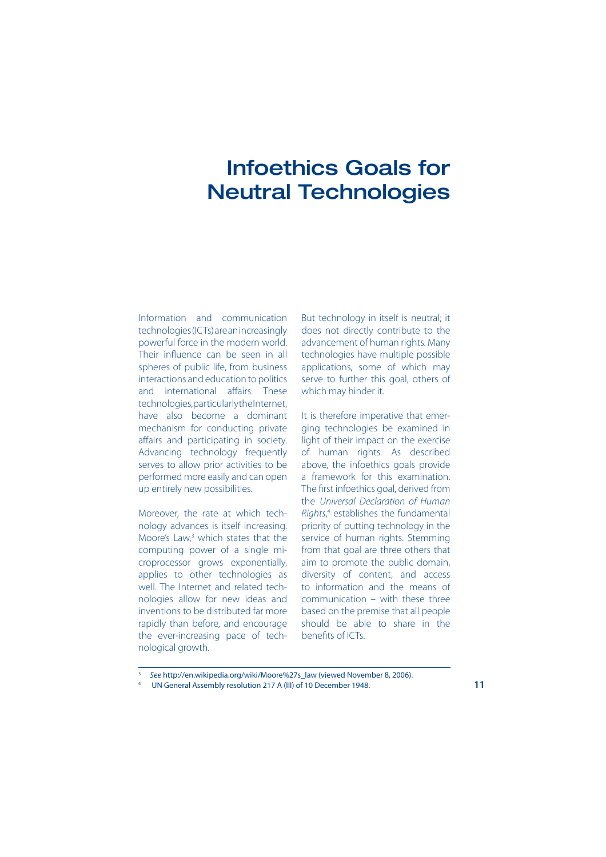# <span id="page-12-0"></span>Infoethics Goals for Neutral Technologies

Information and communication technologies (ICTs) are an increasingly powerful force in the modern world. Their influence can be seen in all spheres of public life, from business interactions and education to politics and international affairs. These technologies, particularly the Internet, have also become a dominant mechanism for conducting private affairs and participating in society. Advancing technology frequently serves to allow prior activities to be performed more easily and can open up entirely new possibilities.

Moreover, the rate at which technology advances is itself increasing. Moore's Law,<sup>3</sup> which states that the computing power of a single microprocessor grows exponentially, applies to other technologies as well. The Internet and related technologies allow for new ideas and inventions to be distributed far more rapidly than before, and encourage the ever-increasing pace of technological growth.

But technology in itself is neutral; it does not directly contribute to the advancement of human rights. Many technologies have multiple possible applications, some of which may serve to further this goal, others of which may hinder it.

It is therefore imperative that emerging technologies be examined in light of their impact on the exercise of human rights. As described above, the infoethics goals provide a framework for this examination. The first infoethics goal, derived from the Universal Declaration of Human Rights,<sup>4</sup> establishes the fundamental priority of putting technology in the service of human rights. Stemming from that goal are three others that aim to promote the public domain, diversity of content, and access to information and the means of communication – with these three based on the premise that all people should be able to share in the benefits of ICTs.

<sup>3</sup> See [http://en.wikipedia.org/wiki/Moore%27s\\_law \(v](http://en.wikipedia.org/wiki/Moore%27s_law)iewed November 8, 2006).

UN General Assembly resolution 217 A (III) of 10 December 1948.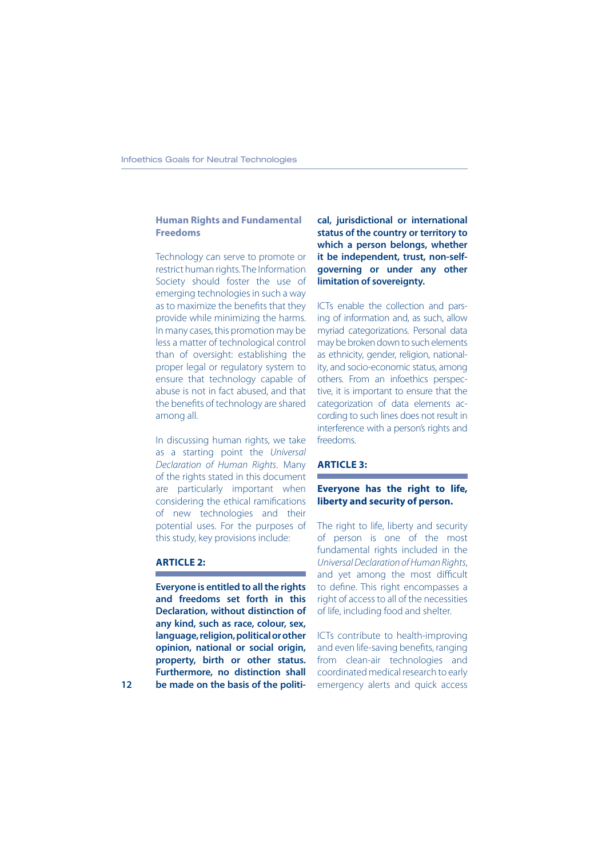#### **Human Rights and Fundamental Freedoms**

Technology can serve to promote or restrict human rights. The Information Society should foster the use of emerging technologies in such a way as to maximize the benefits that they provide while minimizing the harms. In many cases, this promotion may be less a matter of technological control than of oversight: establishing the proper legal or regulatory system to ensure that technology capable of abuse is not in fact abused, and that the benefits of technology are shared among all.

In discussing human rights, we take as a starting point the Universal Declaration of Human Rights. Many of the rights stated in this document are particularly important when considering the ethical ramifications of new technologies and their potential uses. For the purposes of this study, key provisions include:

#### **ARTICLE 2:**

**Everyone is entitled to all the rights and freedoms set forth in this Declaration, without distinction of any kind, such as race, colour, sex, language, religion, political or other opinion, national or social origin, property, birth or other status. Furthermore, no distinction shall be made on the basis of the politi-** **cal, jurisdictional or international status of the country or territory to which a person belongs, whether it be independent, trust, non-selfgoverning or under any other limitation of sovereignty.**

ICTs enable the collection and parsing of information and, as such, allow myriad categorizations. Personal data may be broken down to such elements as ethnicity, gender, religion, nationality, and socio-economic status, among others. From an infoethics perspective, it is important to ensure that the categorization of data elements according to such lines does not result in interference with a person's rights and freedoms.

#### **ARTICLE 3:**

#### **Everyone has the right to life, liberty and security of person.**

The right to life, liberty and security of person is one of the most fundamental rights included in the Universal Declaration of Human Rights, and yet among the most difficult to define. This right encompasses a right of access to all of the necessities of life, including food and shelter.

ICTs contribute to health-improving and even life-saving benefits, ranging from clean-air technologies and coordinated medical research to early emergency alerts and quick access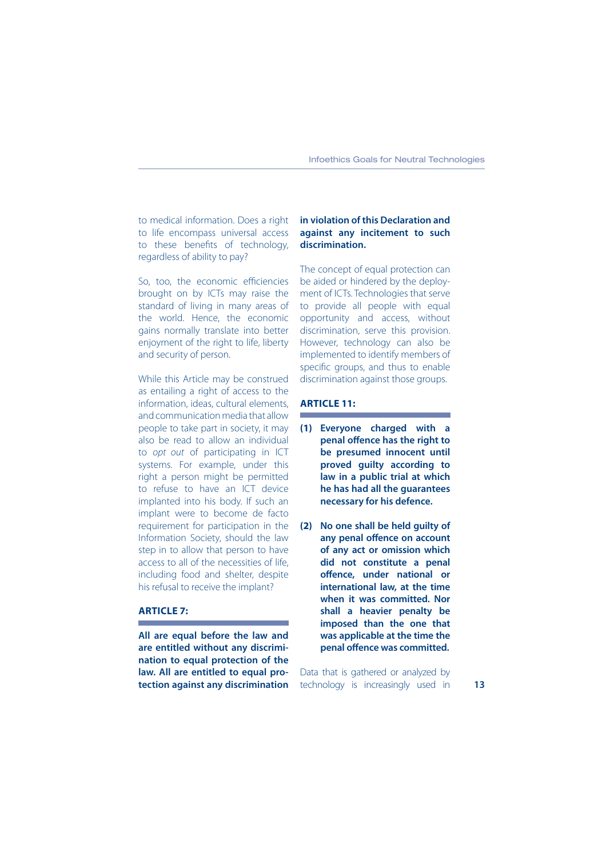to medical information. Does a right to life encompass universal access to these benefits of technology, regardless of ability to pay?

So, too, the economic efficiencies brought on by ICTs may raise the standard of living in many areas of the world. Hence, the economic gains normally translate into better enjoyment of the right to life, liberty and security of person.

While this Article may be construed as entailing a right of access to the information, ideas, cultural elements, and communication media that allow people to take part in society, it may also be read to allow an individual to opt out of participating in ICT systems. For example, under this right a person might be permitted to refuse to have an ICT device implanted into his body. If such an implant were to become de facto requirement for participation in the Information Society, should the law step in to allow that person to have access to all of the necessities of life, including food and shelter, despite his refusal to receive the implant?

#### **ARTICLE 7:**

**All are equal before the law and are entitled without any discrimination to equal protection of the law. All are entitled to equal protection against any discrimination** 

#### **in violation of this Declaration and against any incitement to such discrimination.**

The concept of equal protection can be aided or hindered by the deployment of ICTs. Technologies that serve to provide all people with equal opportunity and access, without discrimination, serve this provision. However, technology can also be implemented to identify members of specific groups, and thus to enable discrimination against those groups.

#### **ARTICLE 11:**

- **(1) Everyone charged with a penal offence has the right to be presumed innocent until proved guilty according to law in a public trial at which he has had all the guarantees necessary for his defence.**
- **(2) No one shall be held guilty of**  any penal offence on account **of any act or omission which did not constitute a penal off ence, under national or international law, at the time when it was committed. Nor shall a heavier penalty be imposed than the one that was applicable at the time the**  penal offence was committed.

Data that is gathered or analyzed by technology is increasingly used in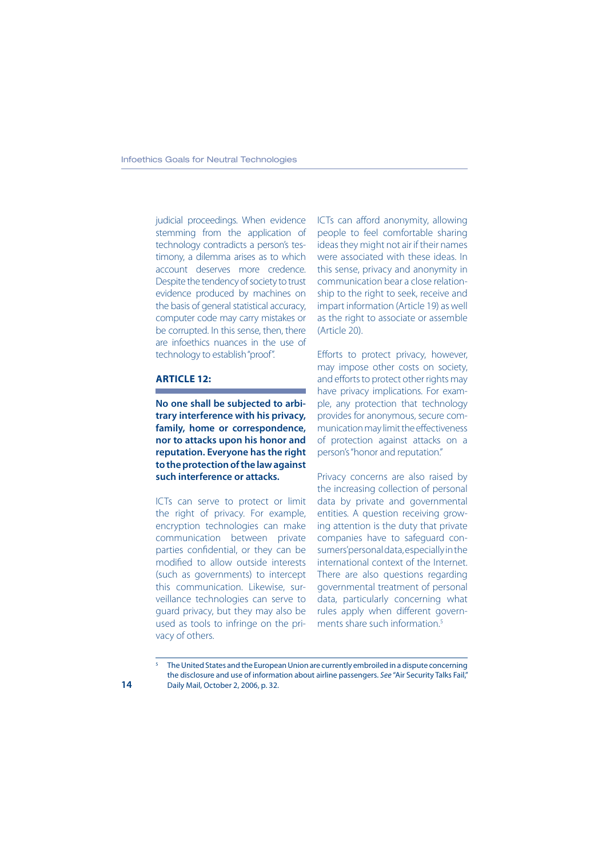judicial proceedings. When evidence stemming from the application of technology contradicts a person's testimony, a dilemma arises as to which account deserves more credence. Despite the tendency of society to trust evidence produced by machines on the basis of general statistical accuracy, computer code may carry mistakes or be corrupted. In this sense, then, there are infoethics nuances in the use of technology to establish "proof".

#### **ARTICLE 12:**

**No one shall be subjected to arbitrary interference with his privacy, family, home or correspondence, nor to attacks upon his honor and reputation. Everyone has the right to the protection of the law against such interference or attacks.**

ICTs can serve to protect or limit the right of privacy. For example, encryption technologies can make communication between private parties confidential, or they can be modified to allow outside interests (such as governments) to intercept this communication. Likewise, surveillance technologies can serve to guard privacy, but they may also be used as tools to infringe on the privacy of others.

ICTs can afford anonymity, allowing people to feel comfortable sharing ideas they might not air if their names were associated with these ideas. In this sense, privacy and anonymity in communication bear a close relationship to the right to seek, receive and impart information (Article 19) as well as the right to associate or assemble (Article 20).

Efforts to protect privacy, however, may impose other costs on society, and efforts to protect other rights may have privacy implications. For example, any protection that technology provides for anonymous, secure communication may limit the effectiveness of protection against attacks on a person's "honor and reputation."

Privacy concerns are also raised by the increasing collection of personal data by private and governmental entities. A question receiving growing attention is the duty that private companies have to safeguard consumers' personal data, especially in the international context of the Internet. There are also questions regarding governmental treatment of personal data, particularly concerning what rules apply when different governments share such information.<sup>5</sup>

<sup>5</sup> The United States and the European Union are currently embroiled in a dispute concerning the disclosure and use of information about airline passengers. See "Air Security Talks Fail," Daily Mail, October 2, 2006, p. 32.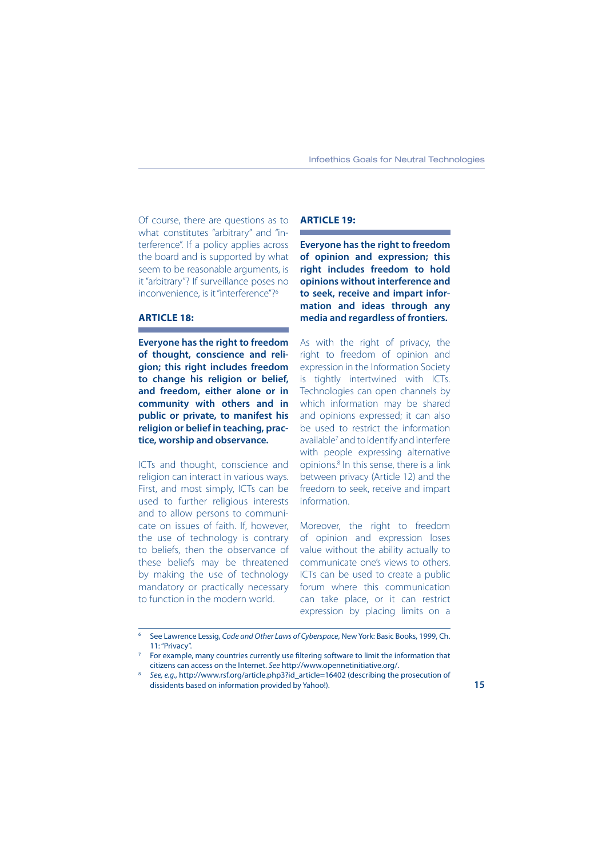Of course, there are questions as to what constitutes "arbitrary" and "interference". If a policy applies across the board and is supported by what seem to be reasonable arguments, is it "arbitrary"? If surveillance poses no inconvenience, is it "interference"?6

#### **ARTICLE 18:**

**Everyone has the right to freedom of thought, conscience and religion; this right includes freedom to change his religion or belief, and freedom, either alone or in community with others and in public or private, to manifest his religion or belief in teaching, practice, worship and observance.**

ICTs and thought, conscience and religion can interact in various ways. First, and most simply, ICTs can be used to further religious interests and to allow persons to communicate on issues of faith. If, however, the use of technology is contrary to beliefs, then the observance of these beliefs may be threatened by making the use of technology mandatory or practically necessary to function in the modern world.

#### **ARTICLE 19:**

**Everyone has the right to freedom of opinion and expression; this right includes freedom to hold opinions without interference and to seek, receive and impart information and ideas through any media and regardless of frontiers.**

As with the right of privacy, the right to freedom of opinion and expression in the Information Society is tightly intertwined with ICTs. Technologies can open channels by which information may be shared and opinions expressed; it can also be used to restrict the information available<sup>7</sup> and to identify and interfere with people expressing alternative opinions.<sup>8</sup> In this sense, there is a link between privacy (Article 12) and the freedom to seek, receive and impart information.

Moreover, the right to freedom of opinion and expression loses value without the ability actually to communicate one's views to others. ICTs can be used to create a public forum where this communication can take place, or it can restrict expression by placing limits on a

<sup>&</sup>lt;sup>6</sup> See Lawrence Lessig, Code and Other Laws of Cyberspace, New York: Basic Books, 1999, Ch. 11: "Privacy".

 $7$  For example, many countries currently use filtering software to limit the information that citizens can access on the Internet. See [http://www.opennetinitiative.org/.](http://www.opennetinitiative.org)

<sup>&</sup>lt;sup>8</sup> See, e.g., [http://www.rsf.org/article.php3?id\\_article=16402 \(d](http://www.rsf.org/article.php3?id_article=16402)escribing the prosecution of dissidents based on information provided by Yahoo!).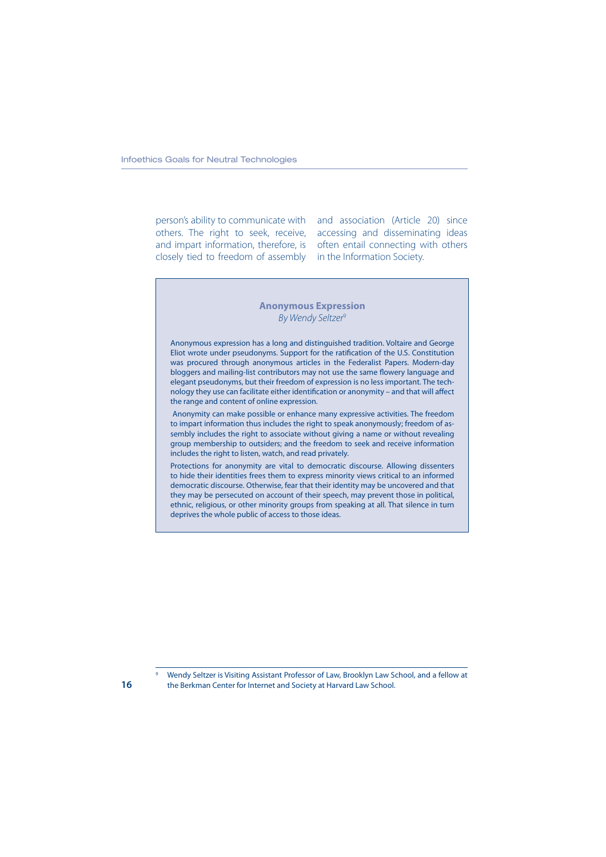person's ability to communicate with others. The right to seek, receive, and impart information, therefore, is closely tied to freedom of assembly

and association (Article 20) since accessing and disseminating ideas often entail connecting with others in the Information Society.

#### **Anonymous Expression** By Wendy Seltzer<sup>9</sup>

Anonymous expression has a long and distinguished tradition. Voltaire and George Eliot wrote under pseudonyms. Support for the ratification of the U.S. Constitution was procured through anonymous articles in the Federalist Papers. Modern-day bloggers and mailing-list contributors may not use the same flowery language and elegant pseudonyms, but their freedom of expression is no less important. The technology they use can facilitate either identification or anonymity – and that will affect the range and content of online expression.

 Anonymity can make possible or enhance many expressive activities. The freedom to impart information thus includes the right to speak anonymously; freedom of assembly includes the right to associate without giving a name or without revealing group membership to outsiders; and the freedom to seek and receive information includes the right to listen, watch, and read privately.

Protections for anonymity are vital to democratic discourse. Allowing dissenters to hide their identities frees them to express minority views critical to an informed democratic discourse. Otherwise, fear that their identity may be uncovered and that they may be persecuted on account of their speech, may prevent those in political, ethnic, religious, or other minority groups from speaking at all. That silence in turn deprives the whole public of access to those ideas.

<sup>9</sup> Wendy Seltzer is Visiting Assistant Professor of Law, Brooklyn Law School, and a fellow at the Berkman Center for Internet and Society at Harvard Law School.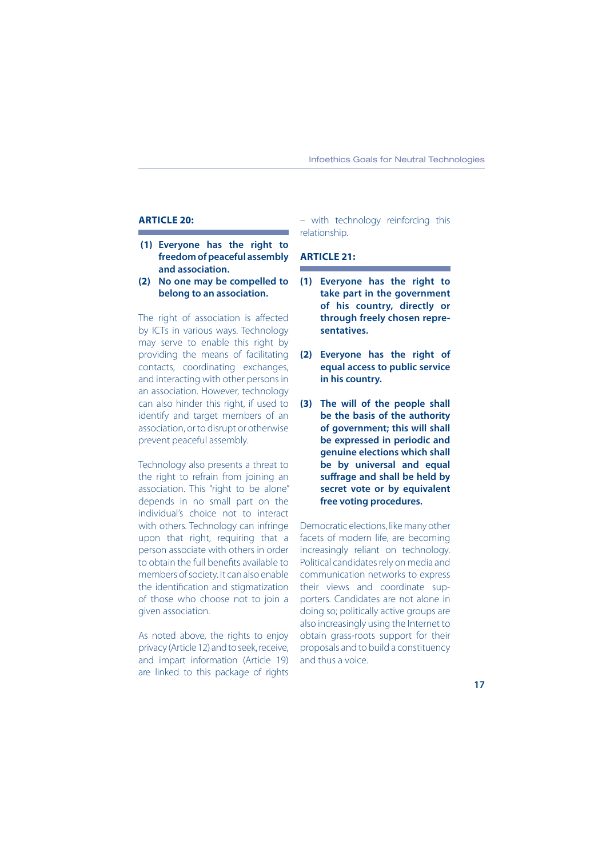#### **ARTICLE 20:**

- **(1) Everyone has the right to freedom of peaceful assembly and association.**
- **(2) No one may be compelled to belong to an association.**

The right of association is affected by ICTs in various ways. Technology may serve to enable this right by providing the means of facilitating contacts, coordinating exchanges, and interacting with other persons in an association. However, technology can also hinder this right, if used to identify and target members of an association, or to disrupt or otherwise prevent peaceful assembly.

Technology also presents a threat to the right to refrain from joining an association. This "right to be alone" depends in no small part on the individual's choice not to interact with others. Technology can infringe upon that right, requiring that a person associate with others in order to obtain the full benefits available to members of society. It can also enable the identification and stigmatization of those who choose not to join a given association.

As noted above, the rights to enjoy privacy (Article 12) and to seek, receive, and impart information (Article 19) are linked to this package of rights

– with technology reinforcing this relationship.

#### **ARTICLE 21:**

- **(1) Everyone has the right to take part in the government of his country, directly or through freely chosen representatives.**
- **(2) Everyone has the right of equal access to public service in his country.**
- **(3) The will of the people shall be the basis of the authority of government; this will shall be expressed in periodic and genuine elections which shall be by universal and equal**  suffrage and shall be held by **secret vote or by equivalent free voting procedures.**

Democratic elections, like many other facets of modern life, are becoming increasingly reliant on technology. Political candidates rely on media and communication networks to express their views and coordinate supporters. Candidates are not alone in doing so; politically active groups are also increasingly using the Internet to obtain grass-roots support for their proposals and to build a constituency and thus a voice.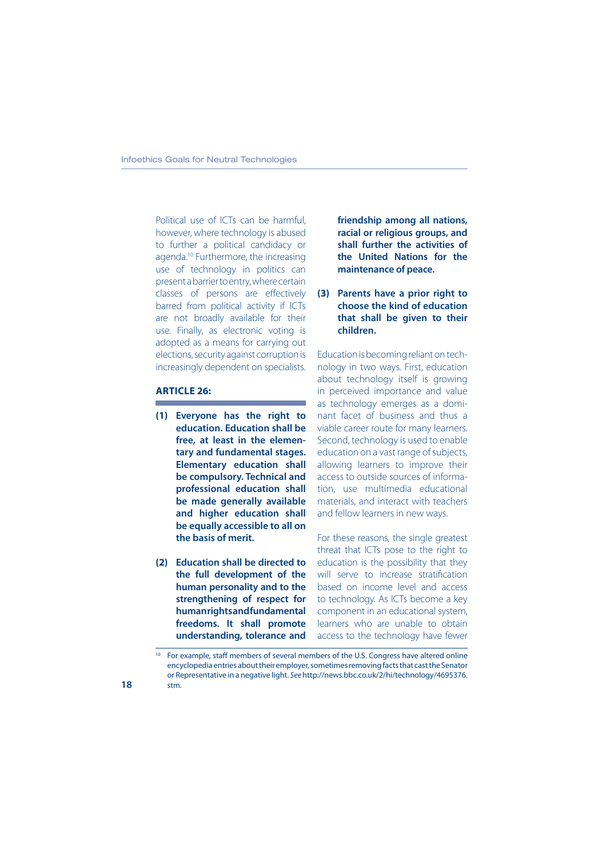Political use of ICTs can be harmful, however, where technology is abused to further a political candidacy or agenda.<sup>10</sup> Furthermore, the increasing use of technology in politics can present a barrier to entry, where certain classes of persons are effectively barred from political activity if ICTs are not broadly available for their use. Finally, as electronic voting is adopted as a means for carrying out elections, security against corruption is increasingly dependent on specialists.

#### **ARTICLE 26:**

- **(1) Everyone has the right to education. Education shall be free, at least in the elementary and fundamental stages. Elementary education shall be compulsory. Technical and professional education shall be made generally available and higher education shall be equally accessible to all on the basis of merit.**
- **(2) Education shall be directed to the full development of the human personality and to the strengthening of respect for human rights and fundamental freedoms. It shall promote understanding, tolerance and**

**friendship among all nations, racial or religious groups, and shall further the activities of the United Nations for the maintenance of peace.**

**(3) Parents have a prior right to choose the kind of education that shall be given to their children.**

Education is becoming reliant on technology in two ways. First, education about technology itself is growing in perceived importance and value as technology emerges as a dominant facet of business and thus a viable career route for many learners. Second, technology is used to enable education on a vast range of subjects, allowing learners to improve their access to outside sources of information, use multimedia educational materials, and interact with teachers and fellow learners in new ways.

For these reasons, the single greatest threat that ICTs pose to the right to education is the possibility that they will serve to increase stratification based on income level and access to technology. As ICTs become a key component in an educational system, learners who are unable to obtain access to the technology have fewer

For example, staff members of several members of the U.S. Congress have altered online encyclopedia entries about their employer, sometimes removing facts that cast the Senator or Representative in a negative light. See [http://news.bbc.co.uk/2/hi/technology/4695376.](http://news.bbc.co.uk/2/hi/technology/4695376) stm.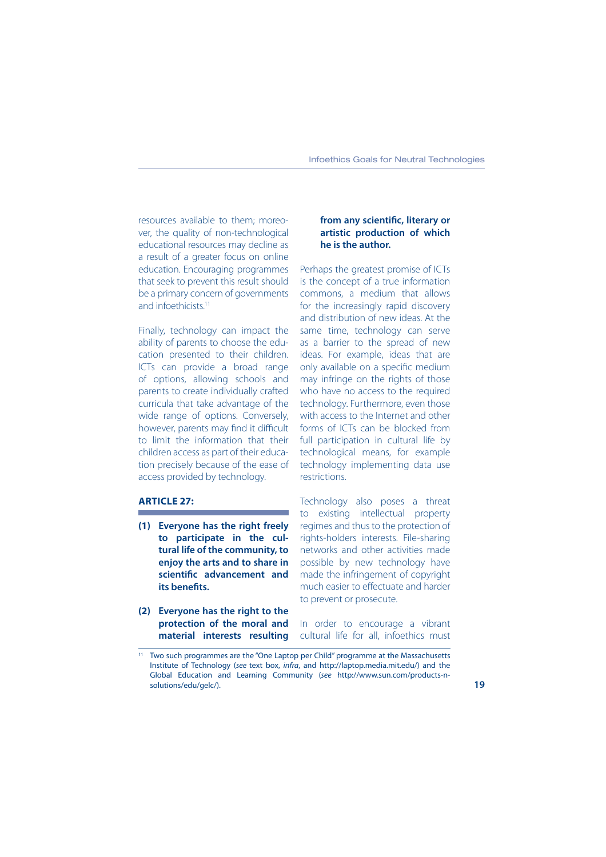resources available to them; moreover, the quality of non-technological educational resources may decline as a result of a greater focus on online education. Encouraging programmes that seek to prevent this result should be a primary concern of governments and infoethicists<sup>11</sup>

Finally, technology can impact the ability of parents to choose the education presented to their children. ICTs can provide a broad range of options, allowing schools and parents to create individually crafted curricula that take advantage of the wide range of options. Conversely, however, parents may find it difficult to limit the information that their children access as part of their education precisely because of the ease of access provided by technology.

#### **ARTICLE 27:**

- **(1) Everyone has the right freely to participate in the cultural life of the community, to enjoy the arts and to share in**  scientific advancement and **its benefits.**
- **(2) Everyone has the right to the protection of the moral and material interests resulting**

#### from any scientific, literary or **artistic production of which he is the author.**

Perhaps the greatest promise of ICTs is the concept of a true information commons, a medium that allows for the increasingly rapid discovery and distribution of new ideas. At the same time, technology can serve as a barrier to the spread of new ideas. For example, ideas that are only available on a specific medium may infringe on the rights of those who have no access to the required technology. Furthermore, even those with access to the Internet and other forms of ICTs can be blocked from full participation in cultural life by technological means, for example technology implementing data use restrictions.

Technology also poses a threat to existing intellectual property regimes and thus to the protection of rights-holders interests. File-sharing networks and other activities made possible by new technology have made the infringement of copyright much easier to effectuate and harder to prevent or prosecute.

In order to encourage a vibrant cultural life for all, infoethics must

<sup>&</sup>lt;sup>11</sup> Two such programmes are the "One Laptop per Child" programme at the Massachusetts Institute of Technology (see text box, infra, and [http://laptop.media.mit.edu/\) an](http://laptop.media.mit.edu)d the [Global Education and Learning Community \(](http://www.sun.com/products-n-solutions/edu/gelc)see [http://www.sun.com/prod](http://www.sun.com/products-n-solutions/edu/gelc)ucts-nsolutions/[edu/ge](http://www.sun.com/products-n-solutions/edu/gelc)lc/).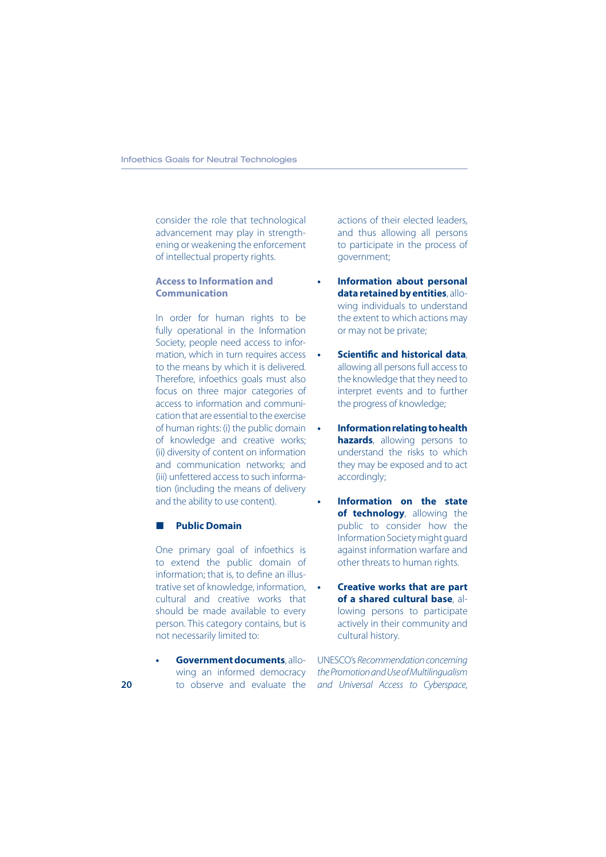consider the role that technological advancement may play in strengthening or weakening the enforcement of intellectual property rights.

#### **Access to Information and Communication**

In order for human rights to be fully operational in the Information Society, people need access to information, which in turn requires access to the means by which it is delivered. Therefore, infoethics goals must also focus on three major categories of access to information and communication that are essential to the exercise of human rights: (i) the public domain of knowledge and creative works; (ii) diversity of content on information and communication networks; and (iii) unfettered access to such information (including the means of delivery and the ability to use content).

#### **Public Domain**

One primary goal of infoethics is to extend the public domain of information; that is, to define an illustrative set of knowledge, information, cultural and creative works that should be made available to every person. This category contains, but is not necessarily limited to:

**• Government documents**, allowing an informed democracy to observe and evaluate the

actions of their elected leaders, and thus allowing all persons to participate in the process of government;

- **Information about personal data retained by entities**, allowing individuals to understand the extent to which actions may or may not be private;
- **Scientific and historical data.** allowing all persons full access to the knowledge that they need to interpret events and to further the progress of knowledge;
- **Information relating to health hazards**, allowing persons to understand the risks to which they may be exposed and to act accordingly;
- **Information on the state of technology**, allowing the public to consider how the Information Society might guard against information warfare and other threats to human rights.
- **Creative works that are part of a shared cultural base**, allowing persons to participate actively in their community and cultural history.

UNESCO's Recommendation concerning the Promotion and Use of Multilingualism and Universal Access to Cyberspace,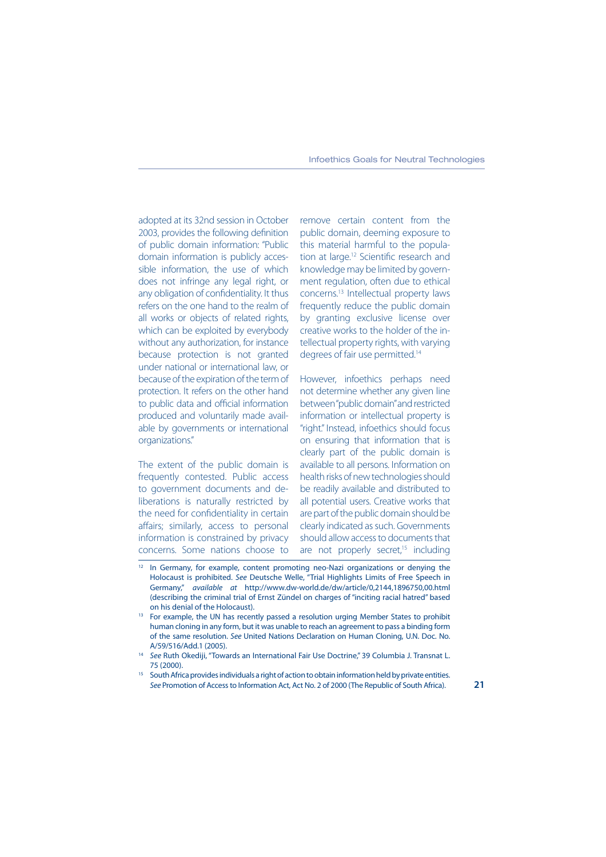adopted at its 32nd session in October 2003, provides the following definition of public domain information: "Public domain information is publicly accessible information, the use of which does not infringe any legal right, or any obligation of confidentiality. It thus refers on the one hand to the realm of all works or objects of related rights, which can be exploited by everybody without any authorization, for instance because protection is not granted under national or international law, or because of the expiration of the term of protection. It refers on the other hand to public data and official information produced and voluntarily made available by governments or international organizations."

The extent of the public domain is frequently contested. Public access to government documents and deliberations is naturally restricted by the need for confidentiality in certain affairs; similarly, access to personal information is constrained by privacy concerns. Some nations choose to

remove certain content from the public domain, deeming exposure to this material harmful to the population at large.<sup>12</sup> Scientific research and knowledge may be limited by government regulation, often due to ethical concerns.13 Intellectual property laws frequently reduce the public domain by granting exclusive license over creative works to the holder of the intellectual property rights, with varying degrees of fair use permitted.<sup>14</sup>

However, infoethics perhaps need not determine whether any given line between "public domain" and restricted information or intellectual property is "right." Instead, infoethics should focus on ensuring that information that is clearly part of the public domain is available to all persons. Information on health risks of new technologies should be readily available and distributed to all potential users. Creative works that are part of the public domain should be clearly indicated as such. Governments should allow access to documents that are not properly secret,<sup>15</sup> including

<sup>15</sup> South Africa provides individuals a right of action to obtain information held by private entities. See Promotion of Access to Information Act, Act No. 2 of 2000 (The Republic of South Africa).

<sup>&</sup>lt;sup>12</sup> In Germany, for example, content promoting neo-Nazi organizations or denying the Holocaust is prohibited. See Deutsche Welle, "Trial Highlights Limits of Free Speech in Germany," available at <http://www.dw-world.de/dw/article/0,2144,1896750,00.html> (describing the criminal trial of Ernst Zündel on charges of "inciting racial hatred" based on his denial of the Holocaust).

<sup>&</sup>lt;sup>13</sup> For example, the UN has recently passed a resolution urging Member States to prohibit human cloning in any form, but it was unable to reach an agreement to pass a binding form of the same resolution. See United Nations Declaration on Human Cloning, U.N. Doc. No. A/59/516/Add.1 (2005).

<sup>&</sup>lt;sup>14</sup> See Ruth Okediji, "Towards an International Fair Use Doctrine," 39 Columbia J. Transnat L. 75 (2000).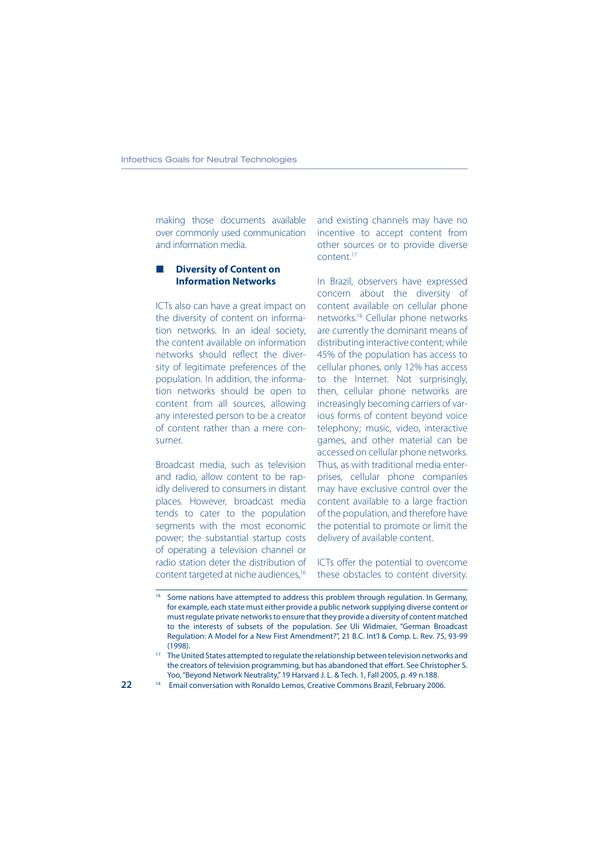making those documents available over commonly used communication and information media.

#### **Diversity of Content on Information Networks**

ICTs also can have a great impact on the diversity of content on information networks. In an ideal society, the content available on information networks should reflect the diversity of legitimate preferences of the population. In addition, the information networks should be open to content from all sources, allowing any interested person to be a creator of content rather than a mere consumer.

Broadcast media, such as television and radio, allow content to be rapidly delivered to consumers in distant places. However, broadcast media tends to cater to the population segments with the most economic power; the substantial startup costs of operating a television channel or radio station deter the distribution of content targeted at niche audiences,16 and existing channels may have no incentive to accept content from other sources or to provide diverse content<sup>17</sup>

In Brazil, observers have expressed concern about the diversity of content available on cellular phone networks.18 Cellular phone networks are currently the dominant means of distributing interactive content; while 45% of the population has access to cellular phones, only 12% has access to the Internet. Not surprisingly, then, cellular phone networks are increasingly becoming carriers of various forms of content beyond voice telephony; music, video, interactive games, and other material can be accessed on cellular phone networks. Thus, as with traditional media enterprises, cellular phone companies may have exclusive control over the content available to a large fraction of the population, and therefore have the potential to promote or limit the delivery of available content.

ICTs offer the potential to overcome these obstacles to content diversity.

18 Email conversation with Ronaldo Lemos, Creative Commons Brazil, February 2006.

<sup>&</sup>lt;sup>16</sup> Some nations have attempted to address this problem through regulation. In Germany, for example, each state must either provide a public network supplying diverse content or must regulate private networks to ensure that they provide a diversity of content matched to the interests of subsets of the population. See Uli Widmaier, "German Broadcast Regulation: A Model for a New First Amendment?", 21 B.C. Int'l & Comp. L. Rev. 75, 93-99 (1998). 17 The United States attempted to regulate the relationship between television networks and

the creators of television programming, but has abandoned that effort. See Christopher S. Yoo, "Beyond Network Neutrality," 19 Harvard J. L. & Tech. 1, Fall 2005, p. 49 n.188.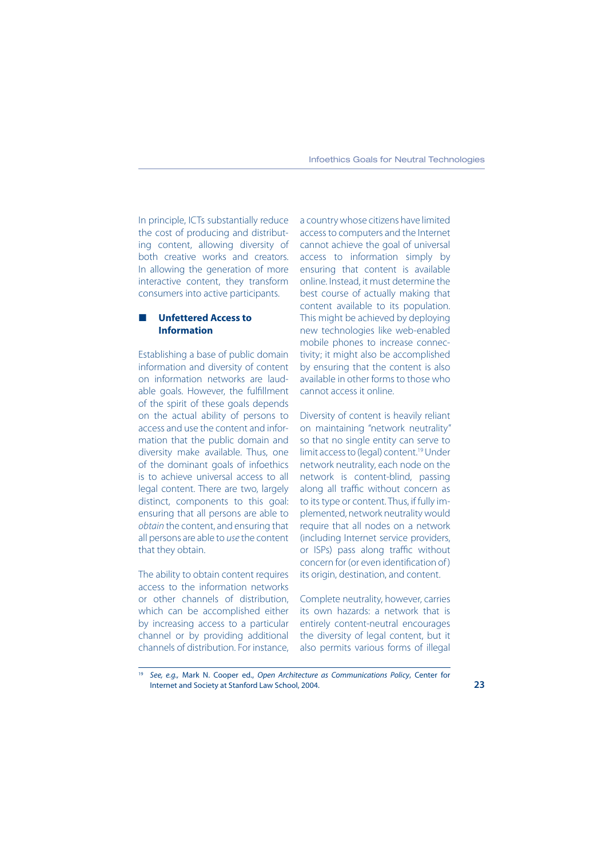In principle, ICTs substantially reduce the cost of producing and distributing content, allowing diversity of both creative works and creators. In allowing the generation of more interactive content, they transform consumers into active participants.

#### **Unfettered Access to Information**

Establishing a base of public domain information and diversity of content on information networks are laudable goals. However, the fulfillment of the spirit of these goals depends on the actual ability of persons to access and use the content and information that the public domain and diversity make available. Thus, one of the dominant goals of infoethics is to achieve universal access to all legal content. There are two, largely distinct, components to this goal: ensuring that all persons are able to obtain the content, and ensuring that all persons are able to use the content that they obtain.

The ability to obtain content requires access to the information networks or other channels of distribution, which can be accomplished either by increasing access to a particular channel or by providing additional channels of distribution. For instance,

a country whose citizens have limited access to computers and the Internet cannot achieve the goal of universal access to information simply by ensuring that content is available online. Instead, it must determine the best course of actually making that content available to its population. This might be achieved by deploying new technologies like web-enabled mobile phones to increase connectivity; it might also be accomplished by ensuring that the content is also available in other forms to those who cannot access it online.

Diversity of content is heavily reliant on maintaining "network neutrality" so that no single entity can serve to limit access to (legal) content.19 Under network neutrality, each node on the network is content-blind, passing along all traffic without concern as to its type or content. Thus, if fully implemented, network neutrality would require that all nodes on a network (including Internet service providers, or ISPs) pass along traffic without concern for (or even identification of) its origin, destination, and content.

Complete neutrality, however, carries its own hazards: a network that is entirely content-neutral encourages the diversity of legal content, but it also permits various forms of illegal

See, e.g., Mark N. Cooper ed., Open Architecture as Communications Policy, Center for Internet and Society at Stanford Law School, 2004.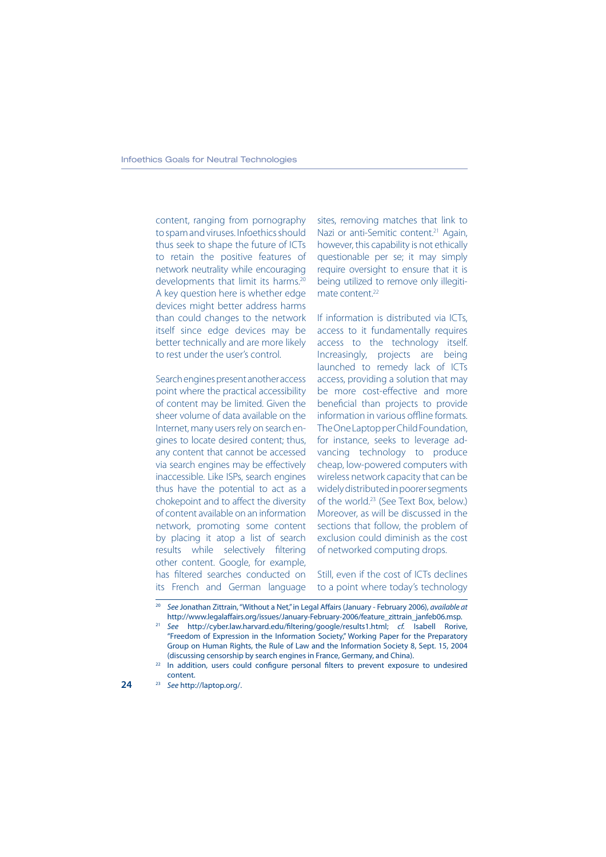content, ranging from pornography to spam and viruses. Infoethics should thus seek to shape the future of ICTs to retain the positive features of network neutrality while encouraging developments that limit its harms.<sup>20</sup> A key question here is whether edge devices might better address harms than could changes to the network itself since edge devices may be better technically and are more likely to rest under the user's control.

Search engines present another access point where the practical accessibility of content may be limited. Given the sheer volume of data available on the Internet, many users rely on search engines to locate desired content; thus, any content that cannot be accessed via search engines may be effectively inaccessible. Like ISPs, search engines thus have the potential to act as a chokepoint and to affect the diversity of content available on an information network, promoting some content by placing it atop a list of search results while selectively filtering other content. Google, for example, has filtered searches conducted on its French and German language

sites, removing matches that link to Nazi or anti-Semitic content.<sup>21</sup> Again, however, this capability is not ethically questionable per se; it may simply require oversight to ensure that it is being utilized to remove only illegitimate content $22$ 

If information is distributed via ICTs, access to it fundamentally requires access to the technology itself. Increasingly, projects are being launched to remedy lack of ICTs access, providing a solution that may be more cost-effective and more beneficial than projects to provide information in various offline formats. The One Laptop per Child Foundation, for instance, seeks to leverage advancing technology to produce cheap, low-powered computers with wireless network capacity that can be widely distributed in poorer segments of the world.23 (See Text Box, below.) Moreover, as will be discussed in the sections that follow, the problem of exclusion could diminish as the cost of networked computing drops.

Still, even if the cost of ICTs declines to a point where today's technology

<sup>&</sup>lt;sup>20</sup> See Jonathan Zittrain, "Without a Net," in Legal Affairs (January - February 2006), available at http://www.legalaffairs.org/issues/January-February-2006/feature\_zittrain\_janfeb06.msp.

 $21$  See http://cyber.law.harvard.edu/filtering/google/results1.html; cf. Isabell Rorive, "Freedom of Expression in the Information Society," Working Paper for the Preparatory Group on Human Rights, the Rule of Law and the Information Society 8, Sept. 15, 2004 (discussing censorship by search engines in France, Germany, and China).

 $22$  In addition, users could configure personal filters to prevent exposure to undesired content.

<sup>23</sup> See [http://laptop.org/.](http://laptop.org)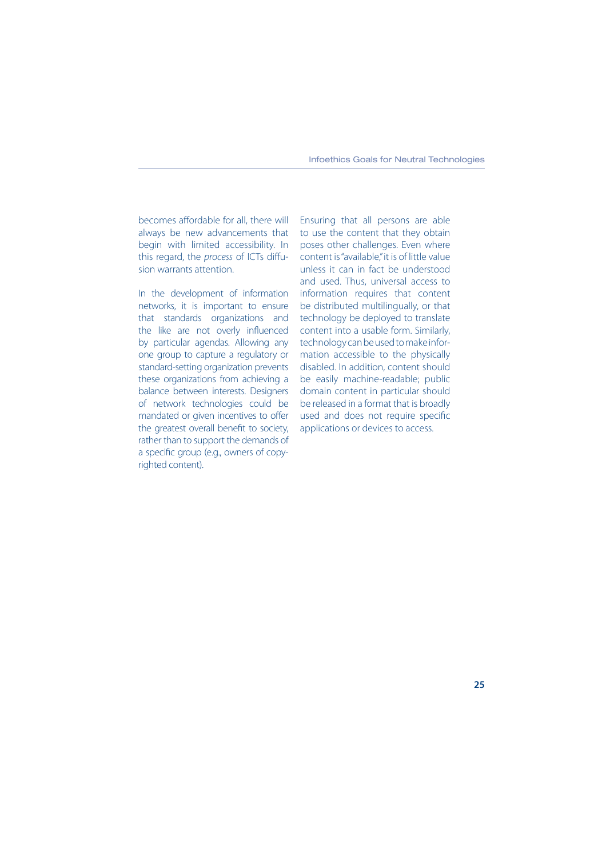becomes affordable for all, there will always be new advancements that begin with limited accessibility. In this regard, the *process* of ICTs diffusion warrants attention.

In the development of information networks, it is important to ensure that standards organizations and the like are not overly influenced by particular agendas. Allowing any one group to capture a regulatory or standard-setting organization prevents these organizations from achieving a balance between interests. Designers of network technologies could be mandated or given incentives to offer the greatest overall benefit to society, rather than to support the demands of a specific group (e.g., owners of copyrighted content).

Ensuring that all persons are able to use the content that they obtain poses other challenges. Even where content is "available," it is of little value unless it can in fact be understood and used. Thus, universal access to information requires that content be distributed multilingually, or that technology be deployed to translate content into a usable form. Similarly, technology can be used to make information accessible to the physically disabled. In addition, content should be easily machine-readable; public domain content in particular should be released in a format that is broadly used and does not require specific applications or devices to access.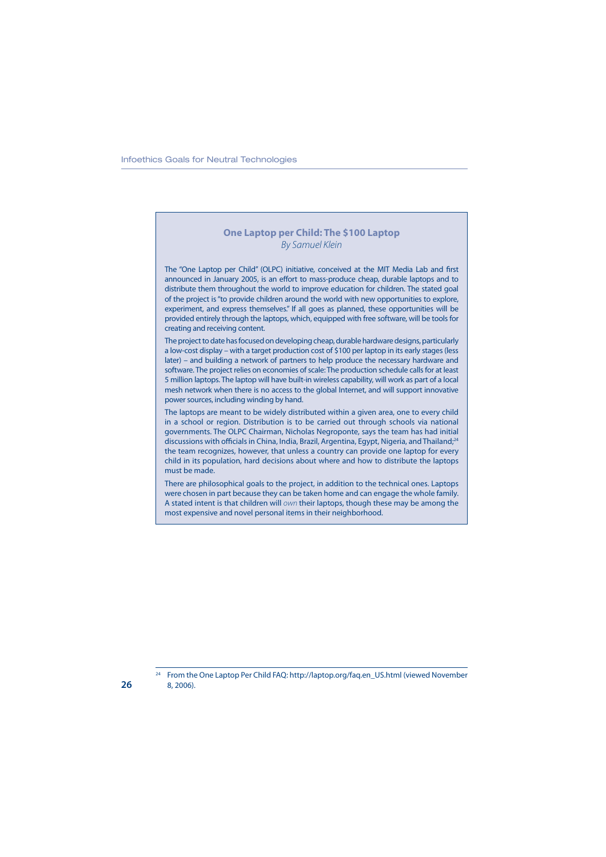#### **One Laptop per Child: The \$100 Laptop** By Samuel Klein

The "One Laptop per Child" (OLPC) initiative, conceived at the MIT Media Lab and first announced in January 2005, is an effort to mass-produce cheap, durable laptops and to distribute them throughout the world to improve education for children. The stated goal of the project is "to provide children around the world with new opportunities to explore, experiment, and express themselves." If all goes as planned, these opportunities will be provided entirely through the laptops, which, equipped with free software, will be tools for creating and receiving content.

The project to date has focused on developing cheap, durable hardware designs, particularly a low-cost display – with a target production cost of \$100 per laptop in its early stages (less later) – and building a network of partners to help produce the necessary hardware and software. The project relies on economies of scale: The production schedule calls for at least 5 million laptops. The laptop will have built-in wireless capability, will work as part of a local mesh network when there is no access to the global Internet, and will support innovative power sources, including winding by hand.

The laptops are meant to be widely distributed within a given area, one to every child in a school or region. Distribution is to be carried out through schools via national governments. The OLPC Chairman, Nicholas Negroponte, says the team has had initial discussions with officials in China, India, Brazil, Argentina, Egypt, Nigeria, and Thailand;<sup>24</sup> the team recognizes, however, that unless a country can provide one laptop for every child in its population, hard decisions about where and how to distribute the laptops must be made.

There are philosophical goals to the project, in addition to the technical ones. Laptops were chosen in part because they can be taken home and can engage the whole family. A stated intent is that children will *own* their laptops, though these may be among the most expensive and novel personal items in their neighborhood.

<sup>24</sup> From the One Laptop Per Child FAQ: [http://laptop.org/faq.en\\_US.html \(vi](http://laptop.org/faq.en_US.html)ewed November 8, 2006).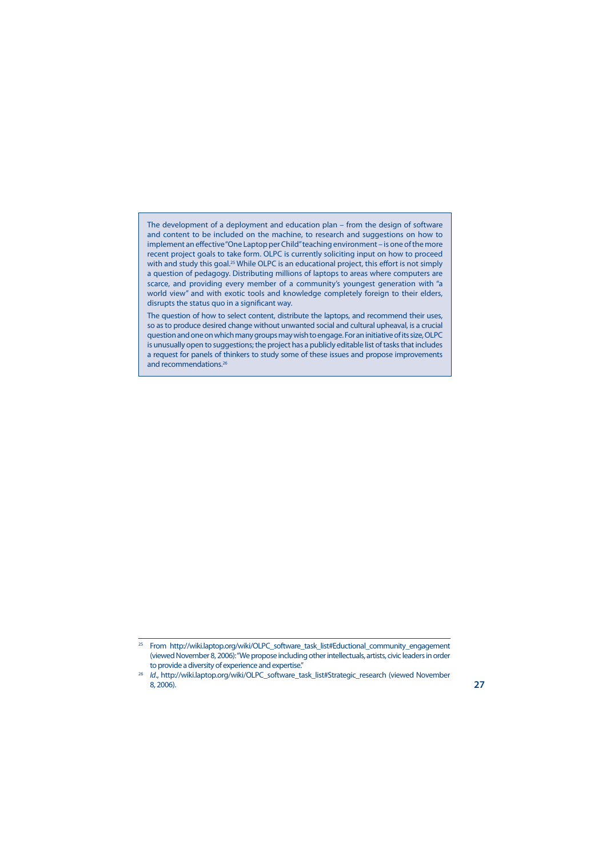The development of a deployment and education plan – from the design of software and content to be included on the machine, to research and suggestions on how to implement an effective "One Laptop per Child" teaching environment – is one of the more recent project goals to take form. OLPC is currently soliciting input on how to proceed with and study this goal.<sup>25</sup> While OLPC is an educational project, this effort is not simply a question of pedagogy. Distributing millions of laptops to areas where computers are scarce, and providing every member of a community's youngest generation with "a world view" and with exotic tools and knowledge completely foreign to their elders, disrupts the status quo in a significant way.

The question of how to select content, distribute the laptops, and recommend their uses, so as to produce desired change without unwanted social and cultural upheaval, is a crucial question and one on which many groups may wish to engage. For an initiative of its size, OLPC is unusually open to suggestions; the project has a publicly editable list of tasks that includes a request for panels of thinkers to study some of these issues and propose improvements and recommendations.<sup>26</sup>

<sup>&</sup>lt;sup>25</sup> From http://wiki.laptop.org/wiki/OLPC\_software\_task\_list#Eductional\_community\_engagement (viewed November 8, 2006): "We propose including other intellectuals, artists, civic leaders in order to provide a diversity of experience and expertise."<br>
<sup>26</sup> Id., [http://wiki.laptop.org/wiki/OLPC\\_software\\_task\\_list#Strategic\\_research \(vi](http://wiki.laptop.org/wiki/OLPC_software_task_list#Strategic_research)ewed November

<sup>8, 2006).</sup>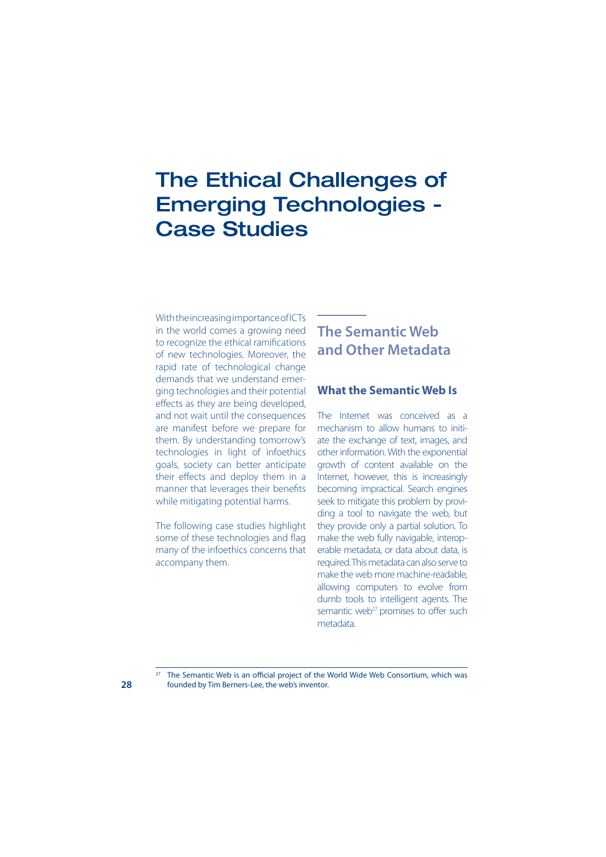# <span id="page-29-0"></span>The Ethical Challenges of Emerging Technologies - Case Studies

With the increasing importance of ICTs in the world comes a growing need to recognize the ethical ramifications of new technologies. Moreover, the rapid rate of technological change demands that we understand emerging technologies and their potential effects as they are being developed, and not wait until the consequences are manifest before we prepare for them. By understanding tomorrow's technologies in light of infoethics goals, society can better anticipate their effects and deploy them in a manner that leverages their benefits while mitigating potential harms.

The following case studies highlight some of these technologies and flag many of the infoethics concerns that accompany them.

### **The Semantic Web and Other Metadata**

### **What the Semantic Web Is**

The Internet was conceived as a mechanism to allow humans to initiate the exchange of text, images, and other information. With the exponential growth of content available on the Internet, however, this is increasingly becoming impractical. Search engines seek to mitigate this problem by providing a tool to navigate the web, but they provide only a partial solution. To make the web fully navigable, interoperable metadata, or data about data, is required. This metadata can also serve to make the web more machine-readable. allowing computers to evolve from dumb tools to intelligent agents. The semantic web<sup>27</sup> promises to offer such metadata.

The Semantic Web is an official project of the World Wide Web Consortium, which was founded by Tim Berners-Lee, the web's inventor.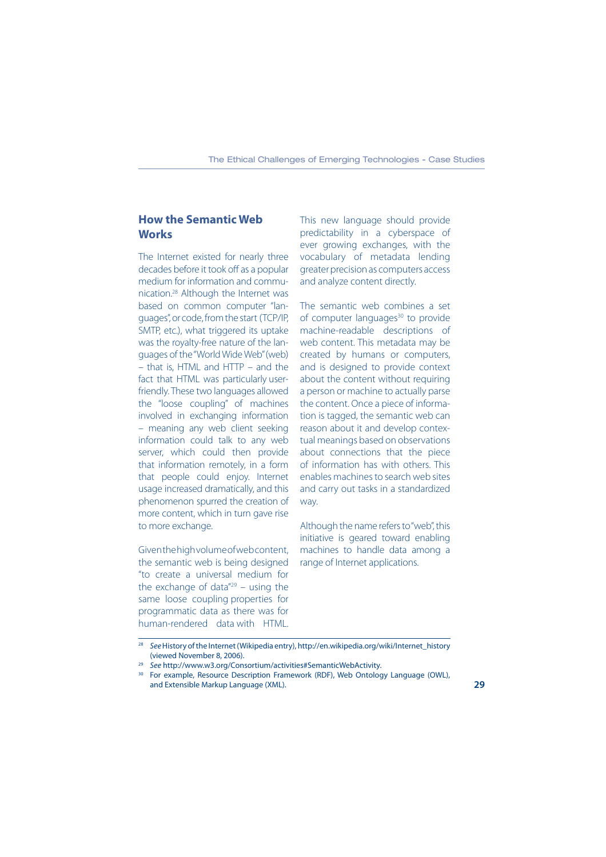### **How the Semantic Web Works**

The Internet existed for nearly three decades before it took off as a popular medium for information and communication.28 Although the Internet was based on common computer "languages", or code, from the start (TCP/IP, SMTP, etc.), what triggered its uptake was the royalty-free nature of the languages of the "World Wide Web" (web) – that is, HTML and HTTP – and the fact that HTML was particularly userfriendly. These two languages allowed the "loose coupling" of machines involved in exchanging information – meaning any web client seeking information could talk to any web server, which could then provide that information remotely, in a form that people could enjoy. Internet usage increased dramatically, and this phenomenon spurred the creation of more content, which in turn gave rise to more exchange.

Given the high volume of web content, the semantic web is being designed "to create a universal medium for the exchange of data $"^{29}$  – using the same loose coupling properties for programmatic data as there was for human-rendered data with HTML.

This new language should provide predictability in a cyberspace of ever growing exchanges, with the vocabulary of metadata lending greater precision as computers access and analyze content directly.

The semantic web combines a set of computer languages<sup>30</sup> to provide machine-readable descriptions of web content. This metadata may be created by humans or computers, and is designed to provide context about the content without requiring a person or machine to actually parse the content. Once a piece of information is tagged, the semantic web can reason about it and develop contextual meanings based on observations about connections that the piece of information has with others. This enables machines to search web sites and carry out tasks in a standardized way.

Although the name refers to "web", this initiative is geared toward enabling machines to handle data among a range of Internet applications.

<sup>&</sup>lt;sup>28</sup> See History of the Internet (Wikipedia entry), http://en.wikipedia.org/wiki/Internet\_history (viewed November 8, 2006).

<sup>29</sup> See [http://www.w3.org/Consortium/activities#SemanticWebActivity.](http://www.w3.org/Consortium/activities#SemanticWebActivity)

<sup>&</sup>lt;sup>30</sup> For example, Resource Description Framework (RDF), Web Ontology Language (OWL), and Extensible Markup Language (XML).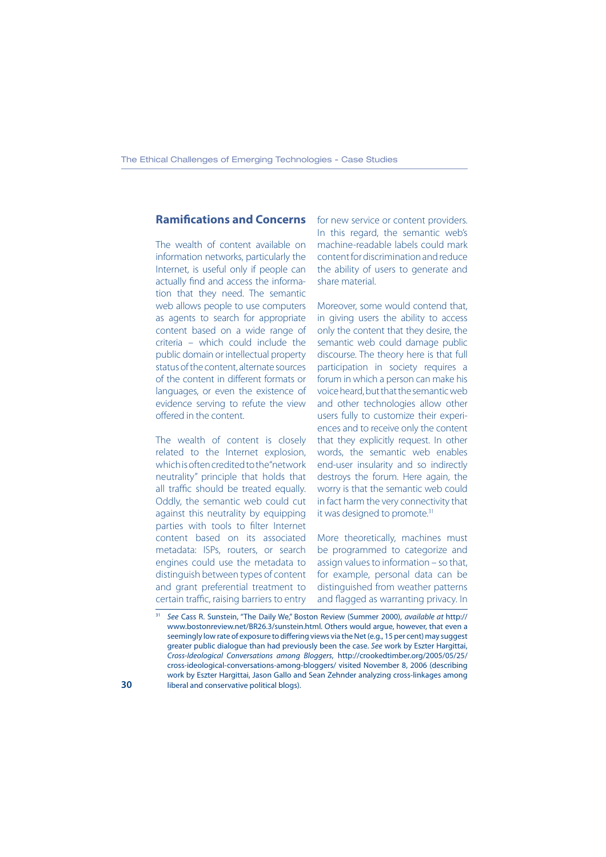#### **Ramifications and Concerns**

The wealth of content available on information networks, particularly the Internet, is useful only if people can actually find and access the information that they need. The semantic web allows people to use computers as agents to search for appropriate content based on a wide range of criteria – which could include the public domain or intellectual property status of the content, alternate sources of the content in different formats or languages, or even the existence of evidence serving to refute the view offered in the content.

The wealth of content is closely related to the Internet explosion, which is often credited to the "network neutrality" principle that holds that all traffic should be treated equally. Oddly, the semantic web could cut against this neutrality by equipping parties with tools to filter Internet content based on its associated metadata: ISPs, routers, or search engines could use the metadata to distinguish between types of content and grant preferential treatment to certain traffic, raising barriers to entry for new service or content providers. In this regard, the semantic web's machine-readable labels could mark content for discrimination and reduce the ability of users to generate and share material.

Moreover, some would contend that, in giving users the ability to access only the content that they desire, the semantic web could damage public discourse. The theory here is that full participation in society requires a forum in which a person can make his voice heard, but that the semantic web and other technologies allow other users fully to customize their experiences and to receive only the content that they explicitly request. In other words, the semantic web enables end-user insularity and so indirectly destroys the forum. Here again, the worry is that the semantic web could in fact harm the very connectivity that it was designed to promote.<sup>31</sup>

More theoretically, machines must be programmed to categorize and assign values to information – so that, for example, personal data can be distinguished from weather patterns and flagged as warranting privacy. In

See Cass R. Sunstein, "The Daily We," Boston Review (Summer 2000), available at [http://](http://www.bostonreview.net/BR26.3/sunstein.html) [www.bostonreview.net/BR26.3/sunstein.html.](http://www.bostonreview.net/BR26.3/sunstein.html) Others would argue, however, that even a seemingly low rate of exposure to differing views via the Net (e.g., 15 per cent) may suggest greater public dialogue than had previously been the case. See work by Eszter Hargittai, Cross-Ideological Conversations among Bloggers, [http://crookedtimber.org/2005/05/25/](http://crookedtimber.org/2005/05/25) cross-ideological-conversations-among-bloggers/ visited November 8, 2006 (describing work by Eszter Hargittai, Jason Gallo and Sean Zehnder analyzing cross-linkages among liberal and conservative political blogs).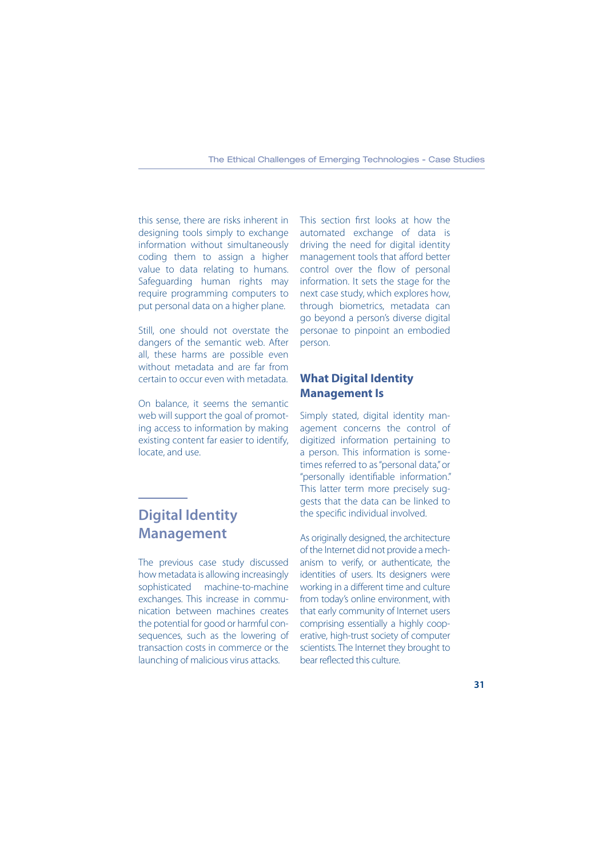<span id="page-32-0"></span>this sense, there are risks inherent in designing tools simply to exchange information without simultaneously coding them to assign a higher value to data relating to humans. Safeguarding human rights may require programming computers to put personal data on a higher plane.

Still, one should not overstate the dangers of the semantic web. After all, these harms are possible even without metadata and are far from certain to occur even with metadata.

On balance, it seems the semantic web will support the goal of promoting access to information by making existing content far easier to identify, locate, and use.

### **Digital Identity Management**

The previous case study discussed how metadata is allowing increasingly sophisticated machine-to-machine exchanges. This increase in communication between machines creates the potential for good or harmful consequences, such as the lowering of transaction costs in commerce or the launching of malicious virus attacks.

This section first looks at how the automated exchange of data is driving the need for digital identity management tools that afford better control over the flow of personal information. It sets the stage for the next case study, which explores how, through biometrics, metadata can go beyond a person's diverse digital personae to pinpoint an embodied person.

### **What Digital Identity Management Is**

Simply stated, digital identity management concerns the control of digitized information pertaining to a person. This information is sometimes referred to as "personal data," or "personally identifiable information." This latter term more precisely suggests that the data can be linked to the specific individual involved.

As originally designed, the architecture of the Internet did not provide a mechanism to verify, or authenticate, the identities of users. Its designers were working in a different time and culture from today's online environment, with that early community of Internet users comprising essentially a highly cooperative, high-trust society of computer scientists. The Internet they brought to bear reflected this culture.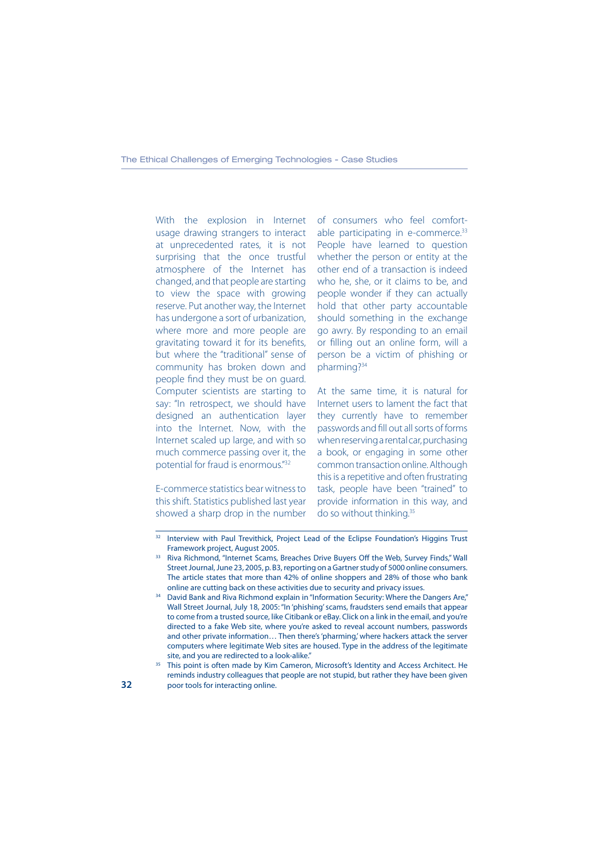With the explosion in Internet usage drawing strangers to interact at unprecedented rates, it is not surprising that the once trustful atmosphere of the Internet has changed, and that people are starting to view the space with growing reserve. Put another way, the Internet has undergone a sort of urbanization, where more and more people are gravitating toward it for its benefits, but where the "traditional" sense of community has broken down and people find they must be on quard. Computer scientists are starting to say: "In retrospect, we should have designed an authentication layer into the Internet. Now, with the Internet scaled up large, and with so much commerce passing over it, the potential for fraud is enormous."32

E-commerce statistics bear witness to this shift. Statistics published last year showed a sharp drop in the number of consumers who feel comfortable participating in e-commerce.<sup>33</sup> People have learned to question whether the person or entity at the other end of a transaction is indeed who he, she, or it claims to be, and people wonder if they can actually hold that other party accountable should something in the exchange go awry. By responding to an email or filling out an online form, will a person be a victim of phishing or pharming?34

At the same time, it is natural for Internet users to lament the fact that they currently have to remember passwords and fill out all sorts of forms when reserving a rental car, purchasing a book, or engaging in some other common transaction online. Although this is a repetitive and often frustrating task, people have been "trained" to provide information in this way, and do so without thinking.35

<sup>34</sup> David Bank and Riva Richmond explain in "Information Security: Where the Dangers Are," Wall Street Journal, July 18, 2005: "In 'phishing' scams, fraudsters send emails that appear to come from a trusted source, like Citibank or eBay. Click on a link in the email, and you're directed to a fake Web site, where you're asked to reveal account numbers, passwords and other private information… Then there's 'pharming,' where hackers attack the server computers where legitimate Web sites are housed. Type in the address of the legitimate site, and you are redirected to a look-alike."

<sup>35</sup> This point is often made by Kim Cameron, Microsoft's Identity and Access Architect. He reminds industry colleagues that people are not stupid, but rather they have been given poor tools for interacting online.

<sup>&</sup>lt;sup>32</sup> Interview with Paul Trevithick, Project Lead of the Eclipse Foundation's Higgins Trust Framework project, August 2005.

<sup>&</sup>lt;sup>33</sup> Riva Richmond, "Internet Scams, Breaches Drive Buyers Off the Web, Survey Finds," Wall Street Journal, June 23, 2005, p. B3, reporting on a Gartner study of 5000 online consumers. The article states that more than 42% of online shoppers and 28% of those who bank online are cutting back on these activities due to security and privacy issues.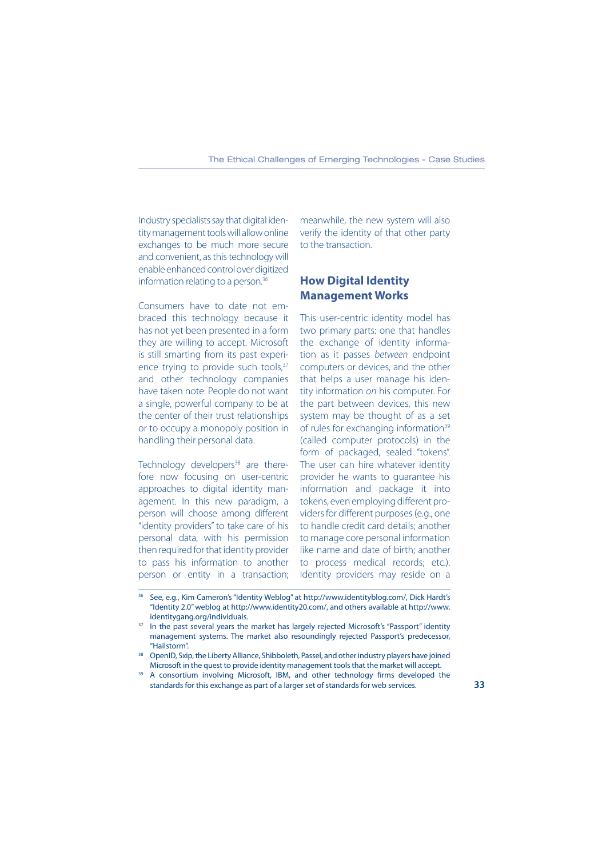Industry specialists say that digital identity management tools will allow online exchanges to be much more secure and convenient, as this technology will enable enhanced control over digitized information relating to a person. $36$ 

Consumers have to date not embraced this technology because it has not yet been presented in a form they are willing to accept. Microsoft is still smarting from its past experience trying to provide such tools,<sup>37</sup> and other technology companies have taken note: People do not want a single, powerful company to be at the center of their trust relationships or to occupy a monopoly position in handling their personal data.

Technology developers<sup>38</sup> are therefore now focusing on user-centric approaches to digital identity management. In this new paradigm, a person will choose among different "identity providers" to take care of his personal data, with his permission then required for that identity provider to pass his information to another person or entity in a transaction;

meanwhile, the new system will also verify the identity of that other party to the transaction.

### **How Digital Identity Management Works**

This user-centric identity model has two primary parts: one that handles the exchange of identity information as it passes between endpoint computers or devices, and the other that helps a user manage his identity information on his computer. For the part between devices, this new system may be thought of as a set of rules for exchanging information<sup>39</sup> (called computer protocols) in the form of packaged, sealed "tokens". The user can hire whatever identity provider he wants to guarantee his information and package it into tokens, even employing different providers for different purposes (e.g., one to handle credit card details; another to manage core personal information like name and date of birth; another to process medical records; etc.). Identity providers may reside on a

- 36 See, e.g., Kim Cameron's "Identity Weblog" at [http://www.identityblog.com/, Di](http://www.identityblog.com)ck Hardt's "Identity 2.0" weblog at [http://www.identity20.com/, an](http://www.identity20.com)d others available at [http://www.](http://www) identitygang.org/individuals.
- <sup>37</sup> In the past several years the market has largely rejected Microsoft's "Passport" identity management systems. The market also resoundingly rejected Passport's predecessor, "Hailstorm".
- <sup>38</sup> OpenID, Sxip, the Liberty Alliance, Shibboleth, Passel, and other industry players have joined Microsoft in the quest to provide identity management tools that the market will accept.
- <sup>39</sup> A consortium involving Microsoft, IBM, and other technology firms developed the standards for this exchange as part of a larger set of standards for web services.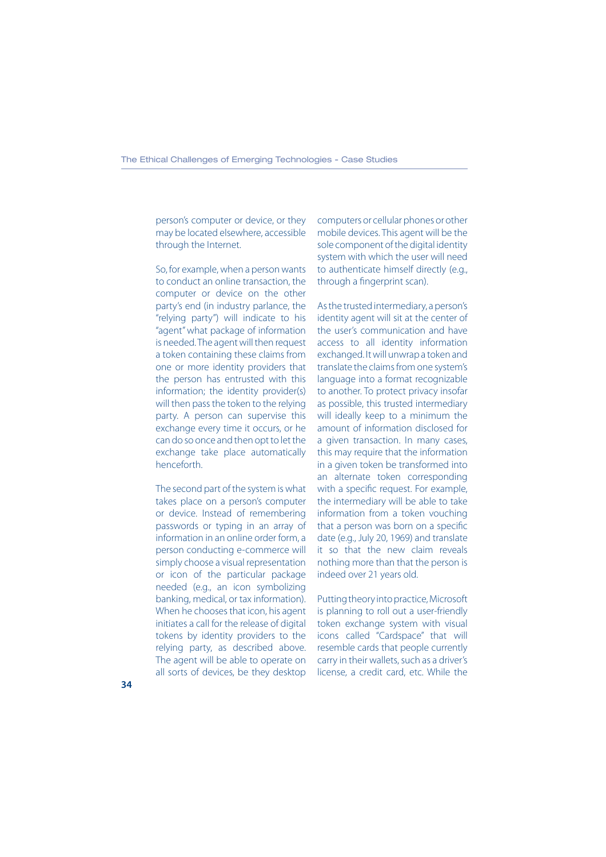person's computer or device, or they may be located elsewhere, accessible through the Internet.

So, for example, when a person wants to conduct an online transaction, the computer or device on the other party's end (in industry parlance, the "relying party") will indicate to his "agent" what package of information is needed. The agent will then request a token containing these claims from one or more identity providers that the person has entrusted with this information; the identity provider(s) will then pass the token to the relying party. A person can supervise this exchange every time it occurs, or he can do so once and then opt to let the exchange take place automatically henceforth.

The second part of the system is what takes place on a person's computer or device. Instead of remembering passwords or typing in an array of information in an online order form, a person conducting e-commerce will simply choose a visual representation or icon of the particular package needed (e.g., an icon symbolizing banking, medical, or tax information). When he chooses that icon, his agent initiates a call for the release of digital tokens by identity providers to the relying party, as described above. The agent will be able to operate on all sorts of devices, be they desktop

computers or cellular phones or other mobile devices. This agent will be the sole component of the digital identity system with which the user will need to authenticate himself directly (e.g., through a fingerprint scan).

As the trusted intermediary, a person's identity agent will sit at the center of the user's communication and have access to all identity information exchanged. It will unwrap a token and translate the claims from one system's language into a format recognizable to another. To protect privacy insofar as possible, this trusted intermediary will ideally keep to a minimum the amount of information disclosed for a given transaction. In many cases, this may require that the information in a given token be transformed into an alternate token corresponding with a specific request. For example, the intermediary will be able to take information from a token vouching that a person was born on a specific date (e.g., July 20, 1969) and translate it so that the new claim reveals nothing more than that the person is indeed over 21 years old.

Putting theory into practice, Microsoft is planning to roll out a user-friendly token exchange system with visual icons called "Cardspace" that will resemble cards that people currently carry in their wallets, such as a driver's license, a credit card, etc. While the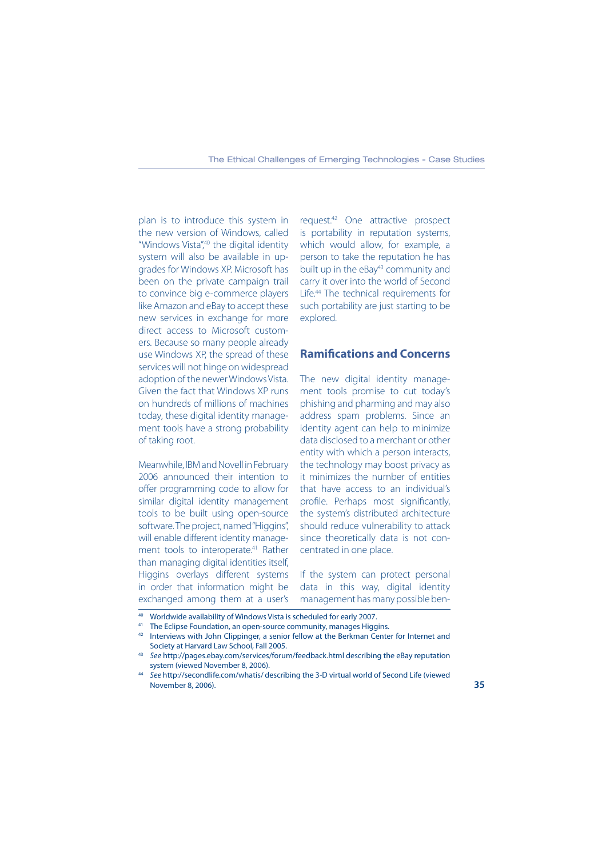plan is to introduce this system in the new version of Windows, called "Windows Vista",<sup>40</sup> the digital identity system will also be available in upgrades for Windows XP. Microsoft has been on the private campaign trail to convince big e-commerce players like Amazon and eBay to accept these new services in exchange for more direct access to Microsoft customers. Because so many people already use Windows XP, the spread of these services will not hinge on widespread adoption of the newer Windows Vista. Given the fact that Windows XP runs on hundreds of millions of machines today, these digital identity management tools have a strong probability of taking root.

Meanwhile, IBM and Novell in February 2006 announced their intention to offer programming code to allow for similar digital identity management tools to be built using open-source software. The project, named "Higgins", will enable different identity management tools to interoperate.<sup>41</sup> Rather than managing digital identities itself, Higgins overlays different systems in order that information might be exchanged among them at a user's

request.42 One attractive prospect is portability in reputation systems, which would allow, for example, a person to take the reputation he has built up in the eBay<sup>43</sup> community and carry it over into the world of Second Life.<sup>44</sup> The technical requirements for such portability are just starting to be explored.

#### **Ramifications and Concerns**

The new digital identity management tools promise to cut today's phishing and pharming and may also address spam problems. Since an identity agent can help to minimize data disclosed to a merchant or other entity with which a person interacts, the technology may boost privacy as it minimizes the number of entities that have access to an individual's profile. Perhaps most significantly, the system's distributed architecture should reduce vulnerability to attack since theoretically data is not concentrated in one place.

If the system can protect personal data in this way, digital identity management has many possible ben-

<sup>40</sup> Worldwide availability of Windows Vista is scheduled for early 2007.

<sup>&</sup>lt;sup>41</sup> The Eclipse Foundation, an open-source community, manages Higgins.

 $42$  Interviews with John Clippinger, a senior fellow at the Berkman Center for Internet and Society at Harvard Law School, Fall 2005.

<sup>43</sup> See [http://pages.ebay.com/services/forum/feedback.html de](http://pages.ebay.com/services/forum/feedback.html)scribing the eBay reputation system (viewed November 8, 2006).

<sup>44</sup> See [http://secondlife.com/whatis/](http://secondlife.com/whatis) describing the 3-D virtual world of Second Life (viewed November 8, 2006).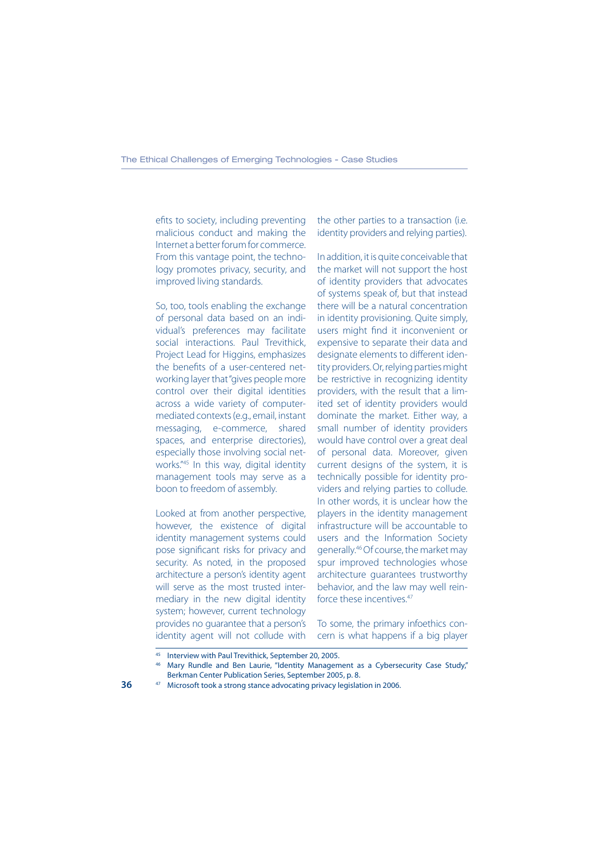efits to society, including preventing malicious conduct and making the Internet a better forum for commerce. From this vantage point, the technology promotes privacy, security, and improved living standards.

So, too, tools enabling the exchange of personal data based on an individual's preferences may facilitate social interactions. Paul Trevithick, Project Lead for Higgins, emphasizes the benefits of a user-centered networking layer that "gives people more control over their digital identities across a wide variety of computermediated contexts (e.g., email, instant messaging, e-commerce, shared spaces, and enterprise directories), especially those involving social networks."45 In this way, digital identity management tools may serve as a boon to freedom of assembly.

Looked at from another perspective, however, the existence of digital identity management systems could pose significant risks for privacy and security. As noted, in the proposed architecture a person's identity agent will serve as the most trusted intermediary in the new digital identity system; however, current technology provides no guarantee that a person's identity agent will not collude with

the other parties to a transaction (i.e. identity providers and relying parties).

In addition, it is quite conceivable that the market will not support the host of identity providers that advocates of systems speak of, but that instead there will be a natural concentration in identity provisioning. Quite simply, users might find it inconvenient or expensive to separate their data and designate elements to different identity providers. Or, relying parties might be restrictive in recognizing identity providers, with the result that a limited set of identity providers would dominate the market. Either way, a small number of identity providers would have control over a great deal of personal data. Moreover, given current designs of the system, it is technically possible for identity providers and relying parties to collude. In other words, it is unclear how the players in the identity management infrastructure will be accountable to users and the Information Society generally.46 Of course, the market may spur improved technologies whose architecture guarantees trustworthy behavior, and the law may well reinforce these incentives.<sup>47</sup>

To some, the primary infoethics concern is what happens if a big player

<sup>45</sup> Interview with Paul Trevithick, September 20, 2005.

<sup>&</sup>lt;sup>46</sup> Mary Rundle and Ben Laurie, "Identity Management as a Cybersecurity Case Study," Berkman Center Publication Series, September 2005, p. 8.

<sup>&</sup>lt;sup>47</sup> Microsoft took a strong stance advocating privacy legislation in 2006.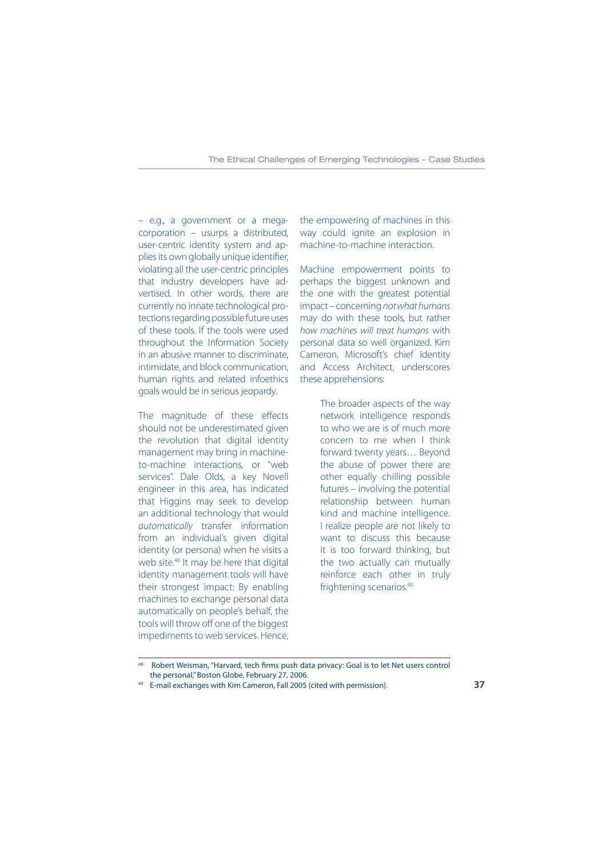– e.g., a government or a megacorporation – usurps a distributed, user-centric identity system and applies its own globally unique identifier, violating all the user-centric principles that industry developers have advertised. In other words, there are currently no innate technological protections regarding possible future uses of these tools. If the tools were used throughout the Information Society in an abusive manner to discriminate, intimidate, and block communication, human rights and related infoethics goals would be in serious jeopardy.

The magnitude of these effects should not be underestimated given the revolution that digital identity management may bring in machineto-machine interactions, or "web services". Dale Olds, a key Novell engineer in this area, has indicated that Higgins may seek to develop an additional technology that would automatically transfer information from an individual's given digital identity (or persona) when he visits a web site.<sup>48</sup> It may be here that digital identity management tools will have their strongest impact: By enabling machines to exchange personal data automatically on people's behalf, the tools will throw off one of the biggest impediments to web services. Hence,

the empowering of machines in this way could ignite an explosion in machine-to-machine interaction.

Machine empowerment points to perhaps the biggest unknown and the one with the greatest potential impact – concerning not what humans may do with these tools, but rather how machines will treat humans with personal data so well organized. Kim Cameron, Microsoft's chief Identity and Access Architect, underscores these apprehensions:

> The broader aspects of the way network intelligence responds to who we are is of much more concern to me when I think forward twenty years… Beyond the abuse of power there are other equally chilling possible futures – involving the potential relationship between human kind and machine intelligence. I realize people are not likely to want to discuss this because it is too forward thinking, but the two actually can mutually reinforce each other in truly frightening scenarios.<sup>49</sup>

Robert Weisman, "Harvard, tech firms push data privacy: Goal is to let Net users control the personal," Boston Globe, February 27, 2006.

<sup>&</sup>lt;sup>49</sup> E-mail exchanges with Kim Cameron, Fall 2005 (cited with permission).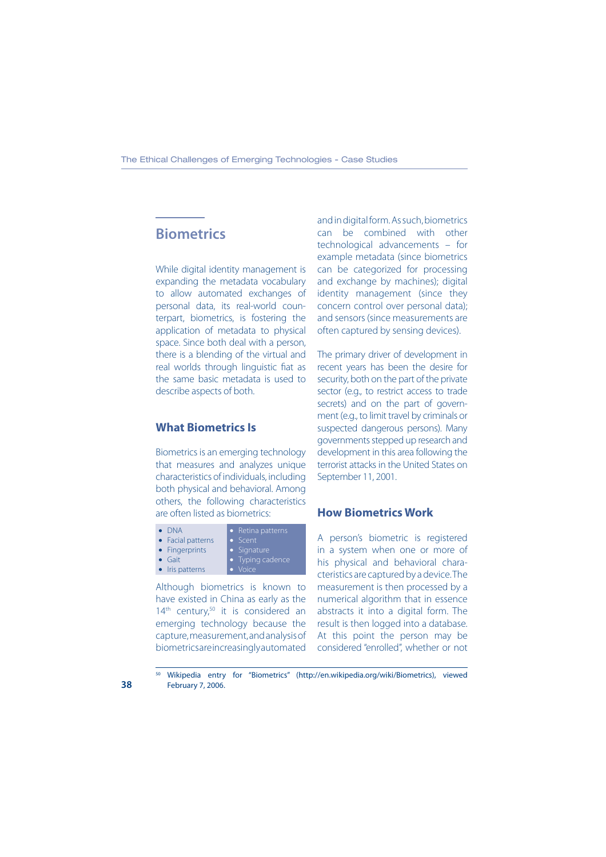## **Biometrics**

While digital identity management is expanding the metadata vocabulary to allow automated exchanges of perso nal data, its real-world counterpart, biometrics, is fostering the application of metadata to physical space. Since both deal with a person, there is a blending of the virtual and real worlds through linguistic fiat as the same basic metadata is used to describe aspects of both.

#### **What Biometrics Is**

Biometrics is an emerging technology that measures and analyzes unique characteristics of individuals, including both physical and behavioral. Among others, the following characteristics are often listed as biometrics:

- DNA
- Facial patterns
- Fingerprints
- Gait
- Iris patterns
- Retina patterns • Scent **Signature**
- Voice

Although biometrics is known to have existed in China as early as the 14<sup>th</sup> century,<sup>50</sup> it is considered an emerging technology because the capture, measurement, and analysis of biometrics are increasingly automated

and in digital form. As such, biometrics can be combined with other technological advancements – for example metadata (since biometrics can be categorized for processing and exchange by machines); digital identity management (since they concern control over personal data); and sensors (since measurements are often captured by sensing devices).

The primary driver of development in recent years has been the desire for security, both on the part of the private sector (e.g., to restrict access to trade secrets) and on the part of government (e.g., to limit travel by criminals or suspected dangerous persons). Many governments stepped up research and development in this area following the terrorist attacks in the United States on September 11, 2001.

#### **How Biometrics Work**

A person's biometric is registered in a system when one or more of his physical and behavioral characteristics are captured by a device. The measurement is then processed by a numerical algorithm that in essence abstracts it into a digital form. The result is then logged into a database. At this point the person may be considered "enrolled", whether or not

50 Wikipedia entry for "Biometrics" [\(http://en.wikipedia.org/wiki/Biometrics\), v](http://en.wikipedia.org/wiki/Biometrics)iewed February 7, 2006.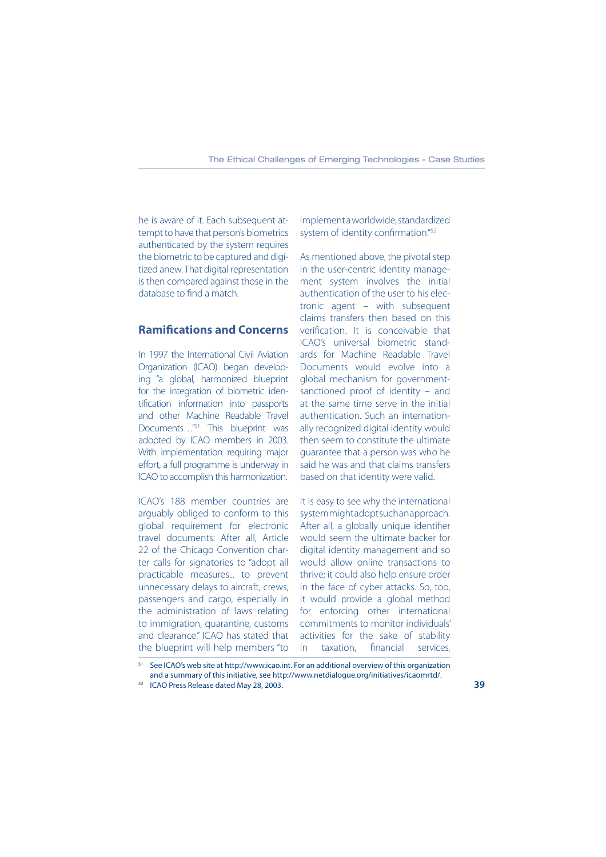he is aware of it. Each subsequent attempt to have that person's biometrics authenticated by the system requires the biometric to be captured and digitized anew. That digital representation is then compared against those in the database to find a match.

#### **Ramifications and Concerns**

In 1997 the International Civil Aviation Organization (ICAO) began developing "a global, harmonized blueprint for the integration of biometric identification information into passports and other Machine Readable Travel Documents…"51 This blueprint was adopted by ICAO members in 2003. With implementation requiring major effort, a full programme is underway in ICAO to accomplish this harmonization.

ICAO's 188 member countries are arguably obliged to conform to this global requirement for electronic travel documents: After all, Article 22 of the Chicago Convention charter calls for signatories to "adopt all practicable measures... to prevent unnecessary delays to aircraft, crews, passengers and cargo, especially in the administration of laws relating to immigration, quarantine, customs and clearance." ICAO has stated that the blueprint will help members "to

implement a worldwide, standardized system of identity confirmation."<sup>52</sup>

As mentioned above, the pivotal step in the user-centric identity management system involves the initial authentication of the user to his electronic agent – with subsequent claims transfers then based on this verification. It is conceivable that ICAO's universal biometric standards for Machine Readable Travel Documents would evolve into a global mechanism for governmentsanctioned proof of identity – and at the same time serve in the initial authentication. Such an internationally recognized digital identity would then seem to constitute the ultimate guarantee that a person was who he said he was and that claims transfers based on that identity were valid.

It is easy to see why the international system might adopt such an approach. After all, a globally unique identifier would seem the ultimate backer for digital identity management and so would allow online transactions to thrive; it could also help ensure order in the face of cyber attacks. So, too, it would provide a global method for enforcing other international commitments to monitor individuals' activities for the sake of stability in taxation, financial services,

<sup>&</sup>lt;sup>51</sup> See ICAO's web site at [http://www.icao.int.](http://www.icao.int) For an additional overview of this organization and a summary of this initiative, see [http://www.netdialogue.org/initiatives/icaomrtd/.](http://www.netdialogue.org/initiatives/icaomrtd)

<sup>52</sup> ICAO Press Release dated May 28, 2003.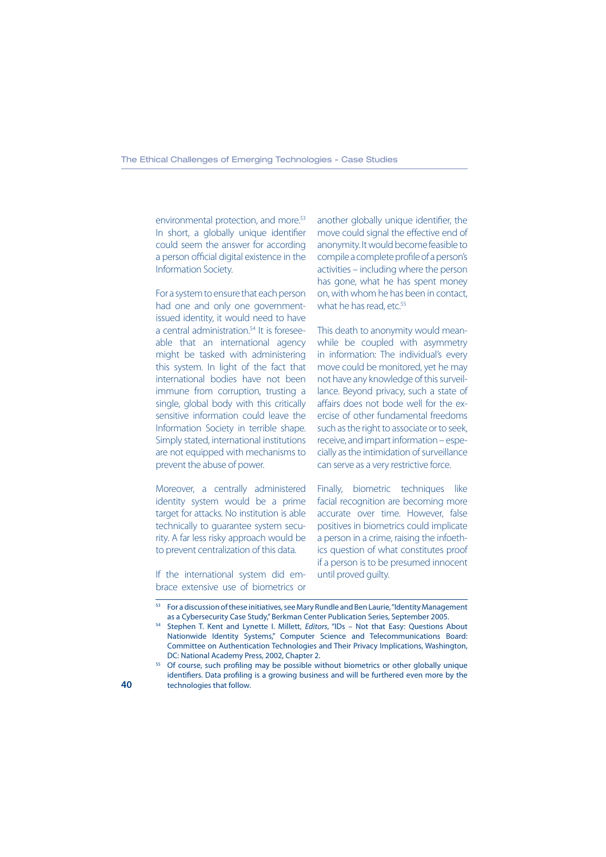environmental protection, and more.<sup>53</sup> In short, a globally unique identifier could seem the answer for according a person official digital existence in the Information Society.

For a system to ensure that each person had one and only one governmentissued identity, it would need to have a central administration.<sup>54</sup> It is foreseeable that an international agency might be tasked with administering this system. In light of the fact that international bodies have not been immune from corruption, trusting a single, global body with this critically sensitive information could leave the Information Society in terrible shape. Simply stated, international institutions are not equipped with mechanisms to prevent the abuse of power.

Moreover, a centrally administered identity system would be a prime target for attacks. No institution is able technically to guarantee system security. A far less risky approach would be to prevent centralization of this data.

If the international system did embrace extensive use of biometrics or another globally unique identifier, the move could signal the effective end of anonymity. It would become feasible to compile a complete profile of a person's activities – including where the person has gone, what he has spent money on, with whom he has been in contact, what he has read, etc.  $55$ 

This death to anonymity would meanwhile be coupled with asymmetry in information: The individual's every move could be monitored, yet he may not have any knowledge of this surveillance. Beyond privacy, such a state of affairs does not bode well for the exercise of other fundamental freedoms such as the right to associate or to seek, receive, and impart information – especially as the intimidation of surveillance can serve as a very restrictive force.

Finally, biometric techniques like facial recognition are becoming more accurate over time. However, false positives in biometrics could implicate a person in a crime, raising the infoethics question of what constitutes proof if a person is to be presumed innocent until proved guilty.

<sup>&</sup>lt;sup>53</sup> For a discussion of these initiatives, see Mary Rundle and Ben Laurie, "Identity Management as a Cybersecurity Case Study," Berkman Center Publication Series, September 2005.

<sup>&</sup>lt;sup>54</sup> Stephen T. Kent and Lynette I. Millett, *Editors*, "IDs - Not that Easy: Questions About Nationwide Identity Systems," Computer Science and Telecommunications Board: Committee on Authentication Technologies and Their Privacy Implications, Washington, DC: National Academy Press, 2002, Chapter 2.

<sup>&</sup>lt;sup>55</sup> Of course, such profiling may be possible without biometrics or other globally unique identifiers. Data profiling is a growing business and will be furthered even more by the technologies that follow.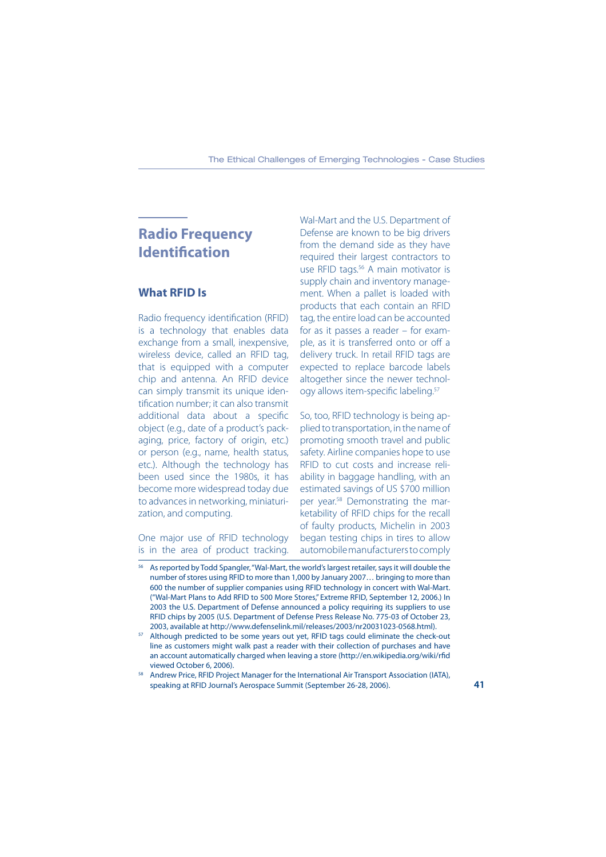# **Radio Frequency Identification**

### **What RFID Is**

Radio frequency identification (RFID) is a technology that enables data exchange from a small, inexpensive, wireless device, called an RFID tag, that is equipped with a computer chip and antenna. An RFID device can simply transmit its unique identification number: it can also transmit additional data about a specific object (e.g., date of a product's packaging, price, factory of origin, etc.) or person (e.g., name, health status, etc.). Although the technology has been used since the 1980s, it has become more widespread today due to advances in networking, miniaturization, and computing.

One major use of RFID technology is in the area of product tracking. Wal-Mart and the U.S. Department of Defense are known to be big drivers from the demand side as they have required their largest contractors to use RFID tags.<sup>56</sup> A main motivator is supply chain and inventory management. When a pallet is loaded with products that each contain an RFID tag, the entire load can be accounted for as it passes a reader – for example, as it is transferred onto or off a delivery truck. In retail RFID tags are expected to replace barcode labels altogether since the newer technology allows item-specific labeling.<sup>57</sup>

So, too, RFID technology is being applied to transportation, in the name of promoting smooth travel and public safety. Airline companies hope to use RFID to cut costs and increase reliability in baggage handling, with an estimated savings of US \$700 million per year.58 Demonstrating the marketability of RFID chips for the recall of faulty products, Michelin in 2003 began testing chips in tires to allow automobile manufacturers to comply

58 Andrew Price, RFID Project Manager for the International Air Transport Association (IATA), speaking at RFID Journal's Aerospace Summit (September 26-28, 2006).

<sup>56</sup> As reported by Todd Spangler, "Wal-Mart, the world's largest retailer, says it will double the number of stores using RFID to more than 1,000 by January 2007… bringing to more than 600 the number of supplier companies using RFID technology in concert with Wal-Mart. ("Wal-Mart Plans to Add RFID to 500 More Stores," Extreme RFID, September 12, 2006.) In 2003 the U.S. Department of Defense announced a policy requiring its suppliers to use RFID chips by 2005 (U.S. Department of Defense Press Release No. 775-03 of October 23, 2003, available at [http://www.defenselink.mil/releases/2003/nr20031023-0568.html\).](http://www.defenselink.mil/releases/2003/nr20031023-0568.html)

<sup>&</sup>lt;sup>57</sup> Although predicted to be some years out yet, RFID tags could eliminate the check-out line as customers might walk past a reader with their collection of purchases and have an account automatically charged when leaving a store (http://en.wikipedia.org/wiki/rfid [viewed October 6,](http://en.wikipedia.org/wiki/rfidviewedOctober6) 2006).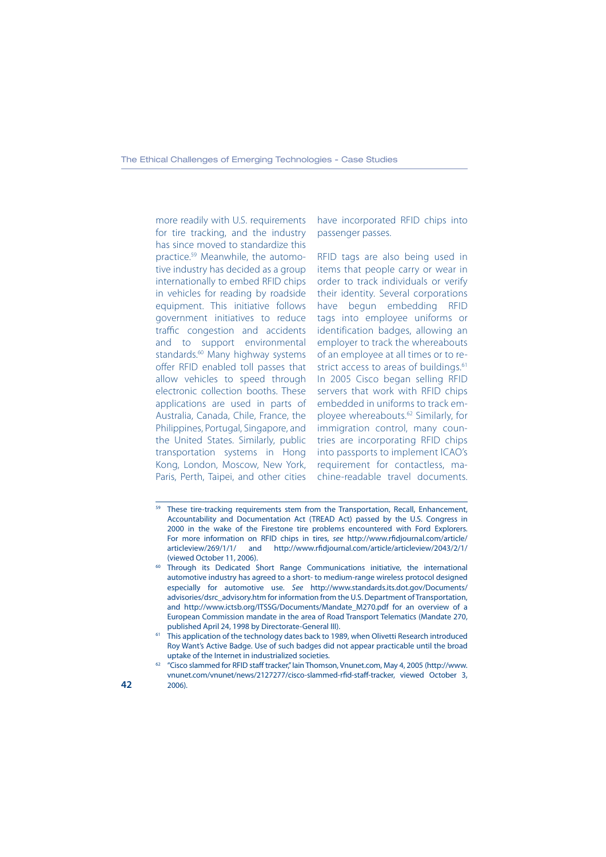more readily with U.S. requirements for tire tracking, and the industry has since moved to standardize this practice.59 Meanwhile, the automotive industry has decided as a group internationally to embed RFID chips in vehicles for reading by roadside equipment. This initiative follows government initiatives to reduce traffic congestion and accidents and to support environmental standards.<sup>60</sup> Many highway systems offer RFID enabled toll passes that allow vehicles to speed through electronic collection booths. These applications are used in parts of Australia, Canada, Chile, France, the Philippines, Portugal, Singapore, and the United States. Similarly, public transportation systems in Hong Kong, London, Moscow, New York, Paris, Perth, Taipei, and other cities

have incorporated RFID chips into passenger passes.

RFID tags are also being used in items that people carry or wear in order to track individuals or verify their identity. Several corporations have begun embedding RFID tags into employee uniforms or identification badges, allowing an employer to track the whereabouts of an employee at all times or to restrict access to areas of buildings.<sup>61</sup> In 2005 Cisco began selling RFID servers that work with RFID chips embedded in uniforms to track employee whereabouts.62 Similarly, for immigration control, many countries are incorporating RFID chips into passports to implement ICAO's requirement for contactless, machine-readable travel documents.

<sup>&</sup>lt;sup>59</sup> These tire-tracking requirements stem from the Transportation, Recall, Enhancement, Accountability and Documentation Act (TREAD Act) passed by the U.S. Congress in 2000 in the wake of the Firestone tire problems encountered with Ford Explorers. For more information on RFID chips in tires, see http://www.rfidjournal.com/article/ articleview/269/1/1/ and http://www.rfidjournal.com/article/articleview/2043/2/1/ (viewed October 11, 2006).

<sup>&</sup>lt;sup>60</sup> Through its Dedicated Short Range Communications initiative, the international automotive industry has agreed to a short- to medium-range wireless protocol designed especially for automotive use. See [http://www.standards.its.dot.gov/Documents/](http://www.standards.its.dot.gov/Documents) advisories/dsrc\_advisory.htm for information from the U.S. Department of Transportation, and [http://www.ictsb.org/ITSSG/Documents/Mandate\\_M270.pdf fo](http://www.ictsb.org/ITSSG/Documents/Mandate_M270.pdf)r an overview of a European Commission mandate in the area of Road Transport Telematics (Mandate 270, published April 24, 1998 by Directorate-General III).

<sup>&</sup>lt;sup>61</sup> This application of the technology dates back to 1989, when Olivetti Research introduced Roy Want's Active Badge. Use of such badges did not appear practicable until the broad uptake of the Internet in industrialized societies.

 $62$  "Cisco slammed for RFID staff tracker," Iain Thomson, Vnunet.com, May 4, 2005 ([http://www.](http://www.vnunet.com/vnunet/news/2127277/cisco-slammed-rfid-staff-tracker) vnunet.com/vnunet/news/2127277/cisco-slammed-rfid-staff-tracker, viewed October 3, 2006).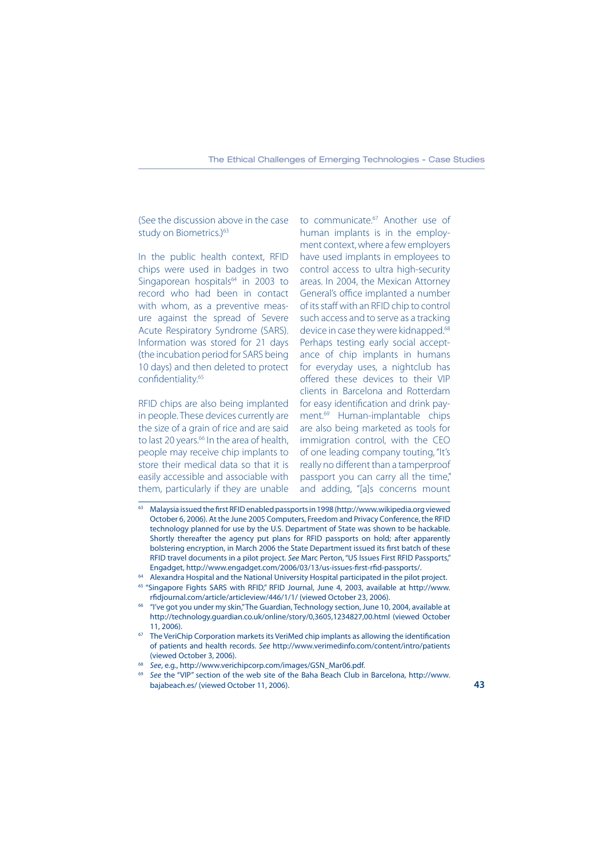(See the discussion above in the case study on Biometrics.)<sup>63</sup>

In the public health context, RFID chips were used in badges in two Singaporean hospitals $64$  in 2003 to record who had been in contact with whom, as a preventive measure against the spread of Severe Acute Respiratory Syndrome (SARS). Information was stored for 21 days (the incubation period for SARS being 10 days) and then deleted to protect confidentiality.<sup>65</sup>

RFID chips are also being implanted in people. These devices currently are the size of a grain of rice and are said to last 20 years.<sup>66</sup> In the area of health, people may receive chip implants to store their medical data so that it is easily accessible and associable with them, particularly if they are unable

to communicate.<sup>67</sup> Another use of human implants is in the employment context, where a few employers have used implants in employees to control access to ultra high-security areas. In 2004, the Mexican Attorney General's office implanted a number of its staff with an RFID chip to control such access and to serve as a tracking device in case they were kidnapped.<sup>68</sup> Perhaps testing early social acceptance of chip implants in humans for everyday uses, a nightclub has offered these devices to their VIP clients in Barcelona and Rotterdam for easy identification and drink payment.69 Human-implantable chips are also being marketed as tools for immigration control, with the CEO of one leading company touting, "It's really no different than a tamperproof passport you can carry all the time," and adding, "[a]s concerns mount

- $63$  Malaysia issued the first RFID enabled passports in 1998 [\(http://www.wikipedia.org viewed](http://www.wikipedia.orgviewedOctober6) [October 6,](http://www.wikipedia.orgviewedOctober6) 2006). At the June 2005 Computers, Freedom and Privacy Conference, the RFID technology planned for use by the U.S. Department of State was shown to be hackable. Shortly thereafter the agency put plans for RFID passports on hold; after apparently bolstering encryption, in March 2006 the State Department issued its first batch of these RFID travel documents in a pilot project. See Marc Perton, "US Issues First RFID Passports," Engadget, http://www.engadget.com/2006/03/13/us-issues-first-rfid-passports/.<br><sup>64</sup> Alexandra Hospital and the National University Hospital participated in the pilot project.
- 
- 65 "Singapore Fights SARS with RFID," RFID Journal, June 4, 2003, available at [http://www.](http://www) rfidjournal.com/article/articleview/446/1/1/ (viewed October 23, 2006).
- 66 "I've got you under my skin," The Guardian, Technology section, June 10, 2004, available at [http://technology.guardian.co.uk/online/story/0,3605,1234827,00.html \(v](http://technology.guardian.co.uk/online/story/0,3605,1234827,00.html)iewed October 11, 2006).
- $67$  The VeriChip Corporation markets its VeriMed chip implants as allowing the identification of patients and health records. See <http://www.verimedinfo.com/content/intro/patients> (viewed October 3, 2006).
- <sup>68</sup> See, e.g., [http://www.verichipcorp.com/images/GSN\\_Mar06.pdf.](http://www.verichipcorp.com/images/GSN_Mar06.pdf)
- <sup>69</sup> See the "VIP" section of the web site of the Baha Beach Club in Barcelona, [http://www.](http://www) bajabeach.es/ (viewed October 11, 2006).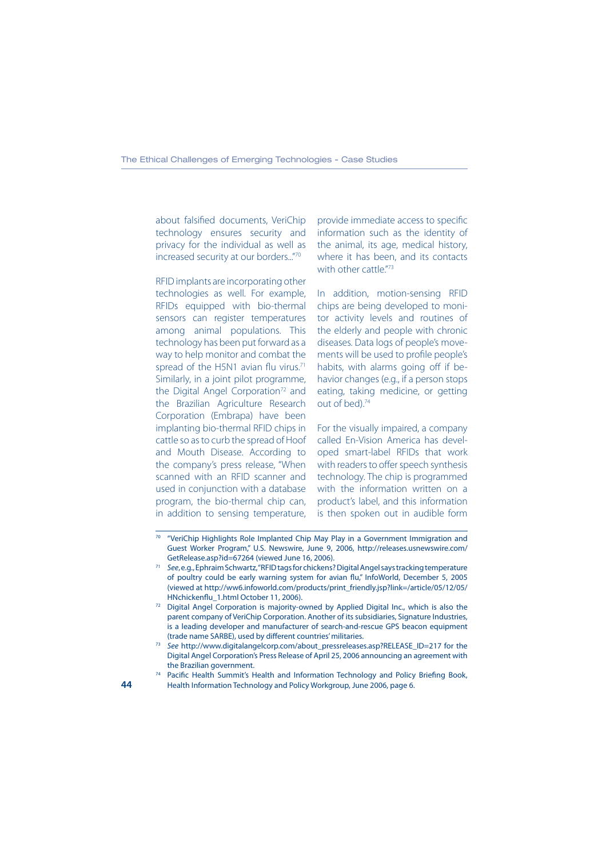about falsified documents, VeriChip technology ensures security and privacy for the individual as well as increased security at our borders..."70

RFID implants are incorporating other technologies as well. For example, RFIDs equipped with bio-thermal sensors can register temperatures among animal populations. This technology has been put forward as a way to help monitor and combat the spread of the H5N1 avian flu virus.<sup>71</sup> Similarly, in a joint pilot programme, the Digital Angel Corporation<sup>72</sup> and the Brazilian Agriculture Research Corporation (Embrapa) have been implanting bio-thermal RFID chips in cattle so as to curb the spread of Hoof and Mouth Disease. According to the company's press release, "When scanned with an RFID scanner and used in conjunction with a database program, the bio-thermal chip can, in addition to sensing temperature,

provide immediate access to specific information such as the identity of the animal, its age, medical history, where it has been, and its contacts with other cattle $73$ 

In addition, motion-sensing RFID chips are being developed to monitor activity levels and routines of the elderly and people with chronic diseases. Data logs of people's movements will be used to profile people's habits, with alarms going off if behavior changes (e.g., if a person stops eating, taking medicine, or getting out of bed).74

For the visually impaired, a company called En-Vision America has developed smart-label RFIDs that work with readers to offer speech synthesis technology. The chip is programmed with the information written on a product's label, and this information is then spoken out in audible form

<sup>70 &</sup>quot;VeriChip Highlights Role Implanted Chip May Play in a Government Immigration and Guest Worker Program," U.S. Newswire, June 9, 2006, [http://releases.usnewswire.com/](http://releases.usnewswire.com) GetRelease.asp?id=67264 (viewed June 16, 2006).

<sup>71</sup> See,e.g., Ephraim Schwartz, "RFID tags for chickens? Digital Angel says tracking temperature of poultry could be early warning system for avian flu," InfoWorld, December 5, 2005 (viewed at [http://ww6.infoworld.com/products/print\\_friendly.jsp?link=/article/05/12/05/](http://ww6.infoworld.com/products/print_friendly.jsp?link=/article/05/12/05) HNchickenflu 1.html October 11, 2006).

 $72$  Digital Angel Corporation is majority-owned by Applied Digital Inc., which is also the parent company of VeriChip Corporation. Another of its subsidiaries, Signature Industries, is a leading developer and manufacturer of search-and-rescue GPS beacon equipment (trade name SARBE), used by different countries' militaries.

<sup>73</sup> See [http://www.digitalangelcorp.com/about\\_pressreleases.asp?RELEASE\\_ID=217 fo](http://www.digitalangelcorp.com/about_pressreleases.asp?RELEASE_ID=217)r the Digital Angel Corporation's Press Release of April 25, 2006 announcing an agreement with the Brazilian government.

<sup>&</sup>lt;sup>74</sup> Pacific Health Summit's Health and Information Technology and Policy Briefing Book, Health Information Technology and Policy Workgroup, June 2006, page 6.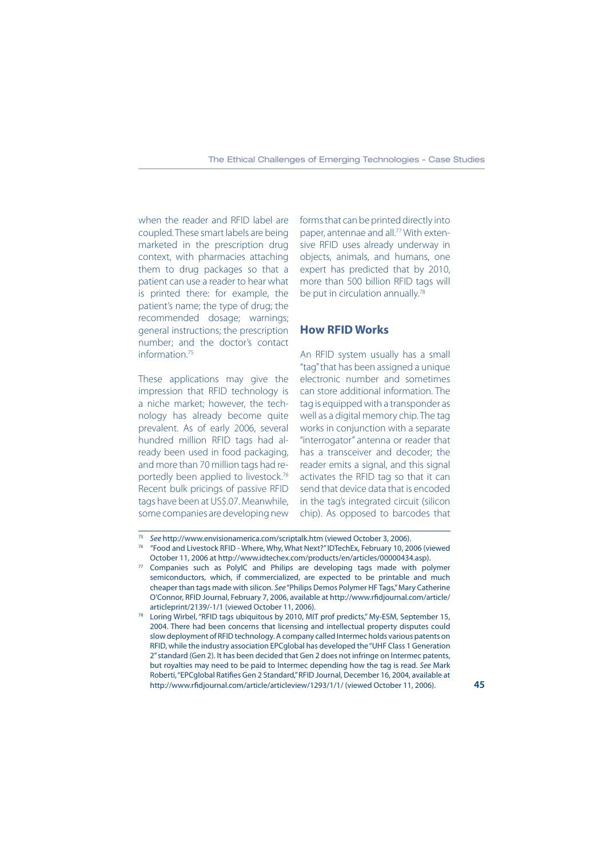when the reader and RFID label are coupled. These smart labels are being marketed in the prescription drug context, with pharmacies attaching them to drug packages so that a patient can use a reader to hear what is printed there: for example, the patient's name; the type of drug; the recommended dosage; warnings; general instructions; the prescription number; and the doctor's contact information<sup>75</sup>

These applications may give the impression that RFID technology is a niche market; however, the technology has already become quite prevalent. As of early 2006, several hundred million RFID tags had already been used in food packaging, and more than 70 million tags had reportedly been applied to livestock.76 Recent bulk pricings of passive RFID tags have been at US\$.07. Meanwhile, some companies are developing new

forms that can be printed directly into paper, antennae and all.77 With extensive RFID uses already underway in objects, animals, and humans, one expert has predicted that by 2010, more than 500 billion RFID tags will be put in circulation annually.<sup>78</sup>

#### **How RFID Works**

An RFID system usually has a small "tag" that has been assigned a unique electronic number and sometimes can store additional information. The tag is equipped with a transponder as well as a digital memory chip. The tag works in conjunction with a separate "interrogator" antenna or reader that has a transceiver and decoder; the reader emits a signal, and this signal activates the RFID tag so that it can send that device data that is encoded in the tag's integrated circuit (silicon chip). As opposed to barcodes that

<sup>75</sup> See [http://www.envisionamerica.com/scriptalk.htm \(vi](http://www.envisionamerica.com/scriptalk.htm)ewed October 3, 2006).

<sup>76 &</sup>quot;Food and Livestock RFID - Where, Why, What Next?" IDTechEx, February 10, 2006 (viewed October 11, 2006 at [http://www.idtechex.com/products/en/articles/00000434.asp\).](http://www.idtechex.com/products/en/articles/00000434.asp)

<sup>77</sup> Companies such as PolyIC and Philips are developing tags made with polymer semiconductors, which, if commercialized, are expected to be printable and much cheaper than tags made with silicon. See "Philips Demos Polymer HF Tags," Mary Catherine O'Connor, RFID Journal, February 7, 2006, available at http://www.rfidjournal.com/article/ articleprint/2139/-1/1 (viewed October 11, 2006).

<sup>&</sup>lt;sup>78</sup> Loring Wirbel, "RFID tags ubiquitous by 2010, MIT prof predicts," My-ESM, September 15, 2004. There had been concerns that licensing and intellectual property disputes could slow deployment of RFID technology. A company called Intermec holds various patents on RFID, while the industry association EPCglobal has developed the "UHF Class 1 Generation 2" standard (Gen 2). It has been decided that Gen 2 does not infringe on Intermec patents, but royalties may need to be paid to Intermec depending how the tag is read. See Mark Roberti, "EPCglobal Ratifies Gen 2 Standard," RFID Journal, December 16, 2004, available at http://www.rfidiournal.com/article/articleview/1293/1/1/ (viewed October 11, 2006).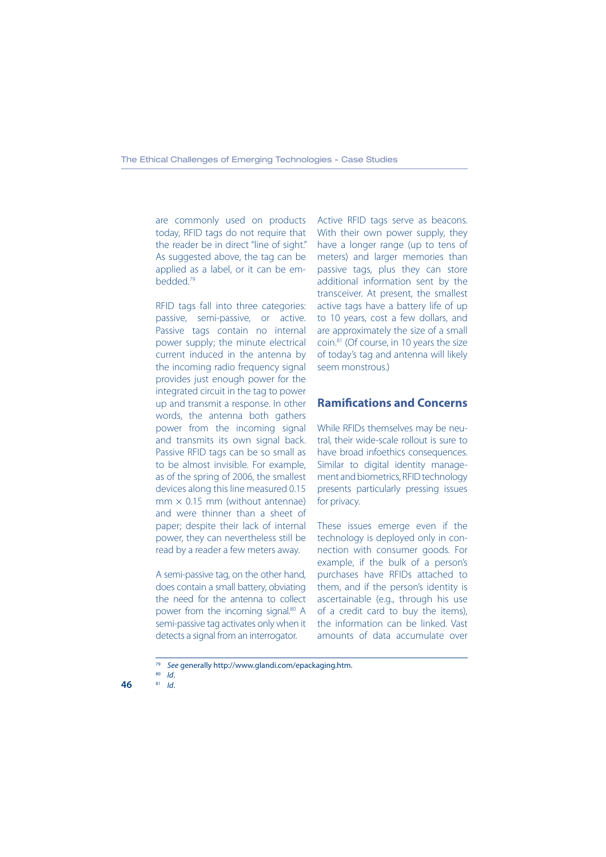are commonly used on products today, RFID tags do not require that the reader be in direct "line of sight." As suggested above, the tag can be applied as a label, or it can be embedded.79

RFID tags fall into three categories: passive, semi-passive, or active. Passive tags contain no internal power supply; the minute electrical current induced in the antenna by the incoming radio frequency signal provides just enough power for the integrated circuit in the tag to power up and transmit a response. In other words, the antenna both gathers power from the incoming signal and transmits its own signal back. Passive RFID tags can be so small as to be almost invisible. For example, as of the spring of 2006, the smallest devices along this line measured 0.15  $mm \times 0.15$  mm (without antennae) and were thinner than a sheet of paper; despite their lack of internal power, they can nevertheless still be read by a reader a few meters away.

A semi-passive tag, on the other hand, does contain a small battery, obviating the need for the antenna to collect power from the incoming signal.<sup>80</sup> A semi-passive tag activates only when it detects a signal from an interrogator.

Active RFID tags serve as beacons. With their own power supply, they have a longer range (up to tens of meters) and larger memories than passive tags, plus they can store additional information sent by the transceiver. At present, the smallest active tags have a battery life of up to 10 years, cost a few dollars, and are approximately the size of a small coin.81 (Of course, in 10 years the size of today's tag and antenna will likely seem monstrous.)

#### **Ramifications and Concerns**

While RFIDs themselves may be neutral, their wide-scale rollout is sure to have broad infoethics consequences. Similar to digital identity management and biometrics, RFID technology presents particularly pressing issues for privacy.

These issues emerge even if the technology is deployed only in connection with consumer goods. For example, if the bulk of a person's purchases have RFIDs attached to them, and if the person's identity is ascertainable (e.g., through his use of a credit card to buy the items), the information can be linked. Vast amounts of data accumulate over

<sup>79</sup> See generally [http://www.glandi.com/epackaging.htm.](http://www.glandi.com/epackaging.htm)

 $80$  Id.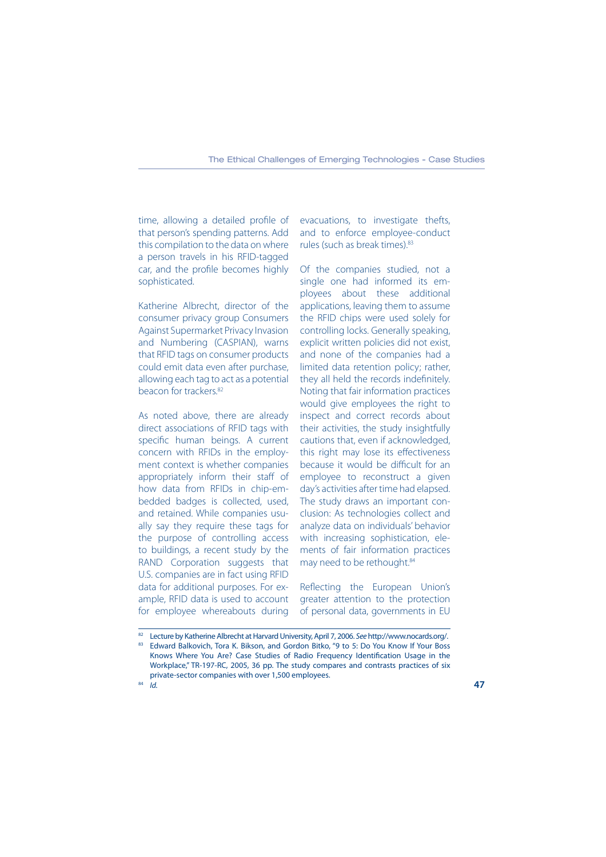time, allowing a detailed profile of that person's spending patterns. Add this compilation to the data on where a person travels in his RFID-tagged car, and the profile becomes highly sophisticated.

Katherine Albrecht, director of the consumer privacy group Consumers Against Supermarket Privacy Invasion and Numbering (CASPIAN), warns that RFID tags on consumer products could emit data even after purchase, allowing each tag to act as a potential beacon for trackers<sup>82</sup>

As noted above, there are already direct associations of RFID tags with specific human beings. A current concern with RFIDs in the employment context is whether companies appropriately inform their staff of how data from RFIDs in chip-embedded badges is collected, used, and retained. While companies usually say they require these tags for the purpose of controlling access to buildings, a recent study by the RAND Corporation suggests that U.S. companies are in fact using RFID data for additional purposes. For example, RFID data is used to account for employee whereabouts during

evacuations, to investigate thefts, and to enforce employee-conduct rules (such as break times).83

Of the companies studied, not a single one had informed its employees about these additional applications, leaving them to assume the RFID chips were used solely for controlling locks. Generally speaking, explicit written policies did not exist, and none of the companies had a limited data retention policy; rather, they all held the records indefinitely. Noting that fair information practices would give employees the right to inspect and correct records about their activities, the study insightfully cautions that, even if acknowledged, this right may lose its effectiveness because it would be difficult for an employee to reconstruct a given day's activities after time had elapsed. The study draws an important conclusion: As technologies collect and analyze data on individuals' behavior with increasing sophistication, elements of fair information practices may need to be rethought.<sup>84</sup>

Reflecting the European Union's greater attention to the protection of personal data, governments in EU

<sup>82</sup> Lecture by Katherine Albrecht at Harvard University, April 7, 2006. See [http://www.nocards.org/.](http://www.nocards.org)

<sup>83</sup> Edward Balkovich, Tora K. Bikson, and Gordon Bitko, "9 to 5: Do You Know If Your Boss Knows Where You Are? Case Studies of Radio Frequency Identification Usage in the Workplace," TR-197-RC, 2005, 36 pp. The study compares and contrasts practices of six private-sector companies with over 1,500 employees. 84 Id.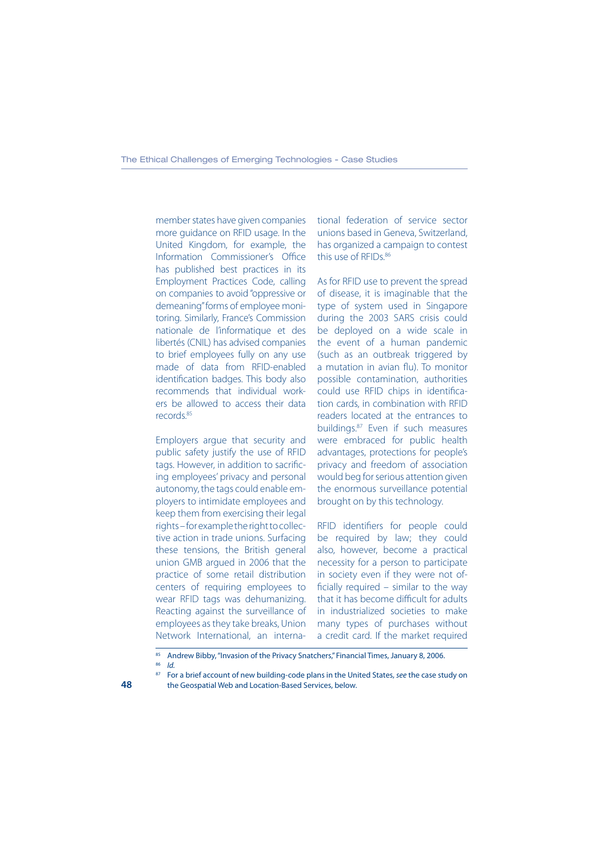member states have given companies more guidance on RFID usage. In the United Kingdom, for example, the Information Commissioner's Office has published best practices in its Employment Practices Code, calling on companies to avoid "oppressive or demeaning" forms of employee monitoring. Similarly, France's Commission nationale de l'informatique et des libertés (CNIL) has advised companies to brief employees fully on any use made of data from RFID-enabled identification badges. This body also recommends that individual workers be allowed to access their data records<sup>85</sup>

Employers argue that security and public safety justify the use of RFID tags. However, in addition to sacrificing employees' privacy and personal autonomy, the tags could enable employers to intimidate employees and keep them from exercising their legal rights – for example the right to collective action in trade unions. Surfacing these tensions, the British general union GMB argued in 2006 that the practice of some retail distribution centers of requiring employees to wear RFID tags was dehumanizing. Reacting against the surveillance of employees as they take breaks, Union Network International, an international federation of service sector unions based in Geneva, Switzerland, has organized a campaign to contest this use of RFIDs<sup>86</sup>

As for RFID use to prevent the spread of disease, it is imaginable that the type of system used in Singapore during the 2003 SARS crisis could be deployed on a wide scale in the event of a human pandemic (such as an outbreak triggered by a mutation in avian flu). To monitor possible contamination, authorities could use RFID chips in identification cards, in combination with RFID readers located at the entrances to buildings.87 Even if such measures were embraced for public health advantages, protections for people's privacy and freedom of association would beg for serious attention given the enormous surveillance potential brought on by this technology.

RFID identifiers for people could be required by law; they could also, however, become a practical necessity for a person to participate in society even if they were not officially required – similar to the way that it has become difficult for adults in industrialized societies to make many types of purchases without a credit card. If the market required

<sup>85</sup> Andrew Bibby, "Invasion of the Privacy Snatchers," Financial Times, January 8, 2006.

 $86$  *Id.* 

<sup>87</sup> For a brief account of new building-code plans in the United States, see the case study on the Geospatial Web and Location-Based Services, below.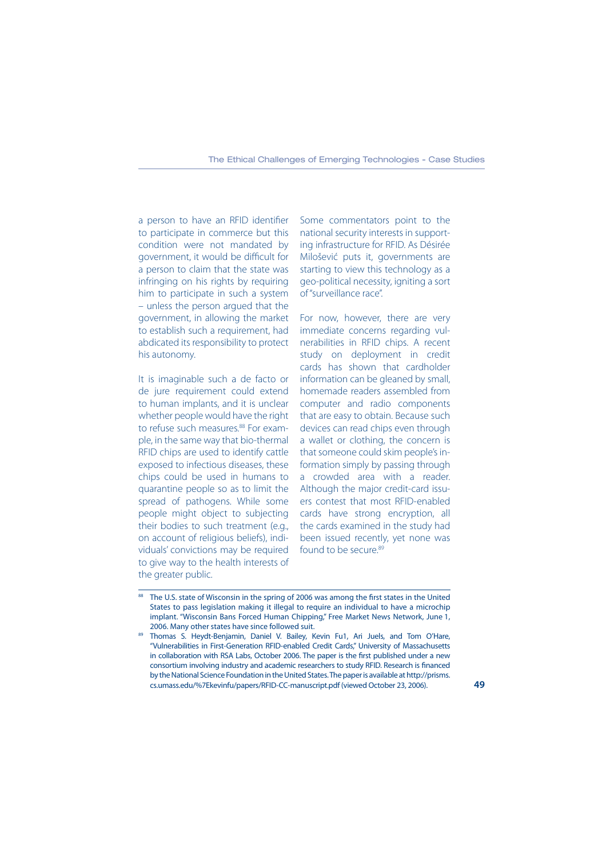a person to have an RFID identifier to participate in commerce but this condition were not mandated by government, it would be difficult for a person to claim that the state was infringing on his rights by requiring him to participate in such a system – unless the person argued that the government, in allowing the market to establish such a requirement, had abdicated its responsibility to protect his autonomy.

It is imaginable such a de facto or de jure requirement could extend to human implants, and it is unclear whether people would have the right to refuse such measures.<sup>88</sup> For example, in the same way that bio-thermal RFID chips are used to identify cattle exposed to infectious diseases, these chips could be used in humans to quarantine people so as to limit the spread of pathogens. While some people might object to subjecting their bodies to such treatment (e.g., on account of religious beliefs), individuals' convictions may be required to give way to the health interests of the greater public.

Some commentators point to the national security interests in supporting infrastructure for RFID. As Désirée Milošević puts it, governments are starting to view this technology as a geo-political necessity, igniting a sort of "surveillance race".

For now, however, there are very immediate concerns regarding vulnerabilities in RFID chips. A recent study on deployment in credit cards has shown that cardholder information can be gleaned by small, homemade readers assembled from computer and radio components that are easy to obtain. Because such devices can read chips even through a wallet or clothing, the concern is that someone could skim people's information simply by passing through a crowded area with a reader. Although the major credit-card issuers contest that most RFID-enabled cards have strong encryption, all the cards examined in the study had been issued recently, yet none was found to be secure.<sup>89</sup>

<sup>88</sup> The U.S. state of Wisconsin in the spring of 2006 was among the first states in the United States to pass legislation making it illegal to require an individual to have a microchip implant. "Wisconsin Bans Forced Human Chipping," Free Market News Network, June 1, 2006. Many other states have since followed suit.

<sup>89</sup> Thomas S. Heydt-Benjamin, Daniel V. Bailey, Kevin Fu1, Ari Juels, and Tom O'Hare, "Vulnerabilities in First-Generation RFID-enabled Credit Cards," University of Massachusetts in collaboration with RSA Labs, October 2006. The paper is the first published under a new consortium involving industry and academic researchers to study RFID. Research is financed by the National Science Foundation in the United States. The paper is available at [http://prisms.](http://prisms) cs.umass.edu/%7Ekevinfu/papers/RFID-CC-manuscript.pdf (viewed October 23, 2006).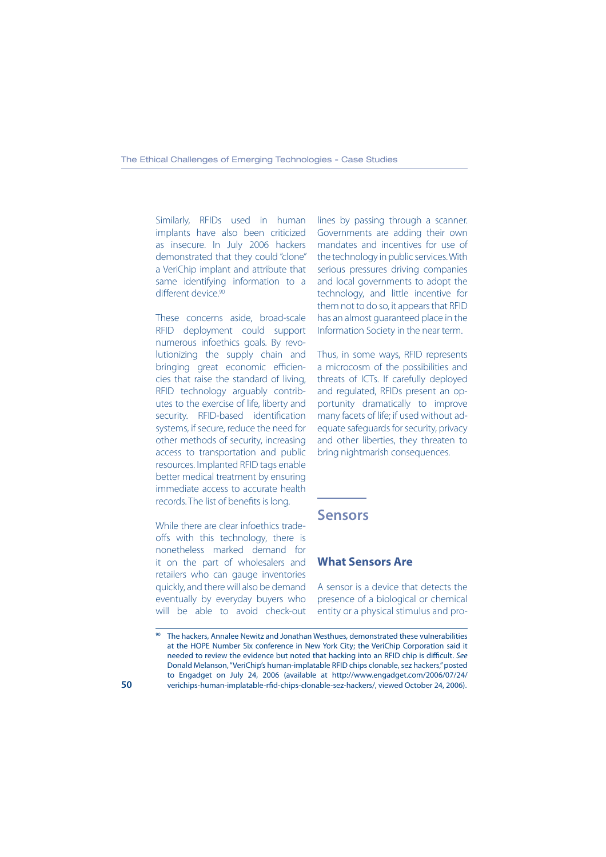Similarly, RFIDs used in human implants have also been criticized as insecure. In July 2006 hackers demonstrated that they could "clone" a VeriChip implant and attribute that same identifying information to a different device<sup>90</sup>

These concerns aside, broad-scale RFID deployment could support numerous infoethics goals. By revolutionizing the supply chain and bringing great economic efficiencies that raise the standard of living, RFID technology arguably contributes to the exercise of life, liberty and security. RFID-based identification systems, if secure, reduce the need for other methods of security, increasing access to transportation and public resources. Implanted RFID tags enable better medical treatment by ensuring immediate access to accurate health records. The list of benefits is long.

While there are clear infoethics tradeoffs with this technology, there is nonetheless marked demand for it on the part of wholesalers and retailers who can gauge inventories quickly, and there will also be demand eventually by everyday buyers who will be able to avoid check-out

lines by passing through a scanner. Governments are adding their own mandates and incentives for use of the technology in public services. With serious pressures driving companies and local governments to adopt the technology, and little incentive for them not to do so, it appears that RFID has an almost guaranteed place in the Information Society in the near term.

Thus, in some ways, RFID represents a microcosm of the possibilities and threats of ICTs. If carefully deployed and regulated, RFIDs present an opportunity dramatically to improve many facets of life; if used without adequate safeguards for security, privacy and other liberties, they threaten to bring nightmarish consequences.

### **Sensors**

#### **What Sensors Are**

A sensor is a device that detects the presence of a biological or chemical entity or a physical stimulus and pro-

<sup>90</sup> The hackers, Annalee Newitz and Jonathan Westhues, demonstrated these vulnerabilities at the HOPE Number Six conference in New York City; the VeriChip Corporation said it needed to review the evidence but noted that hacking into an RFID chip is difficult. See Donald Melanson, "VeriChip's human-implatable RFID chips clonable, sez hackers," posted to Engadget on July 24, 2006 (available at [http://www.engadget.com/2006/07/24/](http://www.engadget.com/2006/07/24) verichips-human-implatable-rfid-chips-clonable-sez-hackers/, viewed October 24, 2006).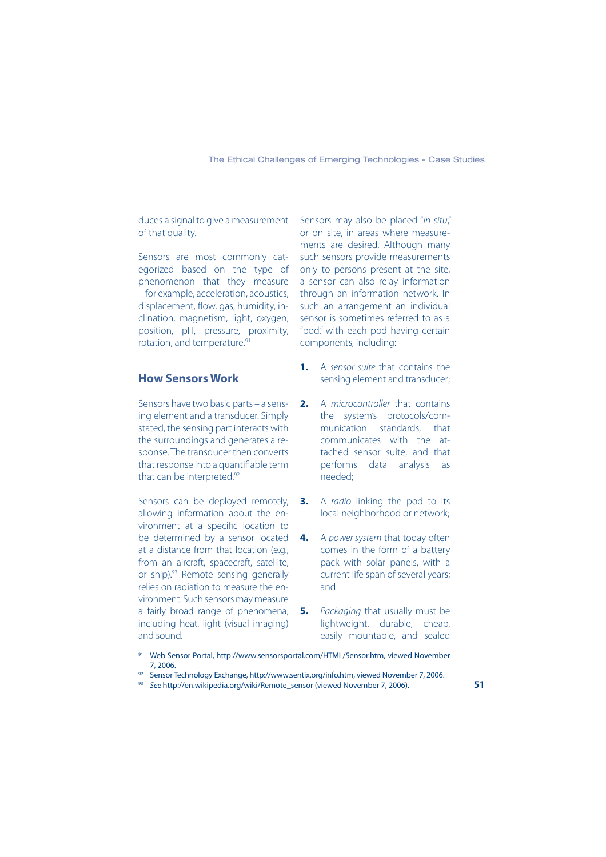duces a signal to give a measurement of that quality.

Sensors are most commonly categorized based on the type of phenomenon that they measure – for example, acceleration, acoustics, displacement, flow, gas, humidity, inclination, magnetism, light, oxygen, position, pH, pressure, proximity, rotation, and temperature.<sup>91</sup>

## **How Sensors Work**

Sensors have two basic parts – a sensing element and a transducer. Simply stated, the sensing part interacts with the surroundings and generates a response. The transducer then converts that response into a quantifiable term that can be interpreted.<sup>92</sup>

Sensors can be deployed remotely, allowing information about the environment at a specific location to be determined by a sensor located at a distance from that location (e.g., from an aircraft, spacecraft, satellite, or ship).<sup>93</sup> Remote sensing generally relies on radiation to measure the environment. Such sensors may measure a fairly broad range of phenomena, including heat, light (visual imaging) and sound.

Sensors may also be placed "in situ," or on site, in areas where measurements are desired. Although many such sensors provide measurements only to persons present at the site, a sensor can also relay information through an information network. In such an arrangement an individual sensor is sometimes referred to as a "pod," with each pod having certain components, including:

- **1.** A sensor suite that contains the sensing element and transducer;
- **2.** A microcontroller that contains the system's protocols/communication standards, that communicates with the attached sensor suite, and that performs data analysis as needed;
- **3.** A radio linking the pod to its local neighborhood or network;
- **4.** A power system that today often comes in the form of a battery pack with solar panels, with a current life span of several years; and
- **5.** Packaging that usually must be lightweight, durable, cheap, easily mountable, and sealed

<sup>91</sup> Web Sensor Portal, [http://www.sensorsportal.com/HTML/Sensor.htm,](http://www.sensorsportal.com/HTML/Sensor.htm) viewed November 7, 2006.

<sup>92</sup> Sensor Technology Exchange, [http://www.sentix.org/info.htm,](http://www.sentix.org/info.htm) viewed November 7, 2006.

<sup>93</sup> See [http://en.wikipedia.org/wiki/Remote\\_sensor \(vi](http://en.wikipedia.org/wiki/Remote_sensor)ewed November 7, 2006).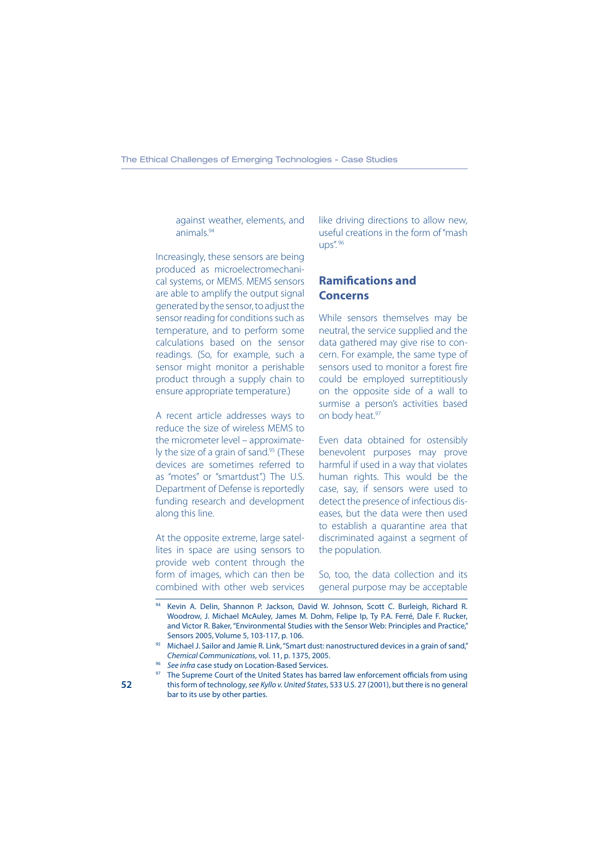against weather, elements, and animals.94

Increasingly, these sensors are being produced as microelectromechanical systems, or MEMS. MEMS sensors are able to amplify the output signal generated by the sensor, to adjust the sensor reading for conditions such as temperature, and to perform some calculations based on the sensor readings. (So, for example, such a sensor might monitor a perishable product through a supply chain to ensure appropriate temperature.)

A recent article addresses ways to reduce the size of wireless MEMS to the micrometer level – approximately the size of a grain of sand.<sup>95</sup> (These devices are sometimes referred to as "motes" or "smartdust".) The U.S. Department of Defense is reportedly funding research and development along this line.

At the opposite extreme, large satellites in space are using sensors to provide web content through the form of images, which can then be combined with other web services

like driving directions to allow new, useful creations in the form of "mash ups". 96

## **Ramifications and Concerns**

While sensors themselves may be neutral, the service supplied and the data gathered may give rise to concern. For example, the same type of sensors used to monitor a forest fire could be employed surreptitiously on the opposite side of a wall to surmise a person's activities based on body heat.<sup>97</sup>

Even data obtained for ostensibly benevolent purposes may prove harmful if used in a way that violates human rights. This would be the case, say, if sensors were used to detect the presence of infectious diseases, but the data were then used to establish a quarantine area that discriminated against a segment of the population.

So, too, the data collection and its general purpose may be acceptable

<sup>94</sup> Kevin A. Delin, Shannon P. Jackson, David W. Johnson, Scott C. Burleigh, Richard R. Woodrow, J. Michael McAuley, James M. Dohm, Felipe Ip, Ty P.A. Ferré, Dale F. Rucker, and Victor R. Baker, "Environmental Studies with the Sensor Web: Principles and Practice," Sensors 2005, Volume 5, 103-117, p. 106.

<sup>95</sup> Michael J. Sailor and Jamie R. Link, "Smart dust: nanostructured devices in a grain of sand," Chemical Communications, vol. 11, p. 1375, 2005.

<sup>96</sup> See infra case study on Location-Based Services.

<sup>&</sup>lt;sup>97</sup> The Supreme Court of the United States has barred law enforcement officials from using this form of technology, see Kyllo v. United States, 533 U.S. 27 (2001), but there is no general bar to its use by other parties.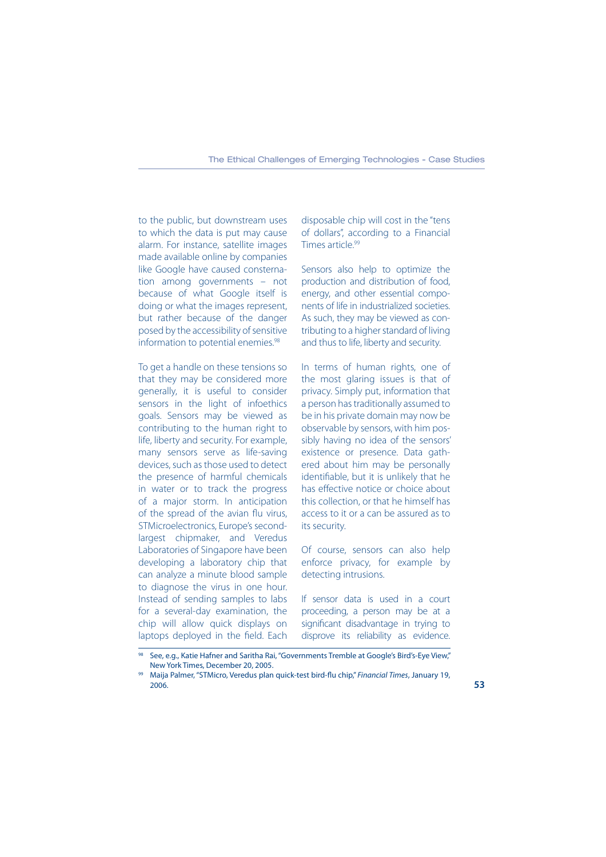to the public, but downstream uses to which the data is put may cause alarm. For instance, satellite images made available online by companies like Google have caused consternation among governments – not because of what Google itself is doing or what the images represent, but rather because of the danger posed by the accessibility of sensitive information to potential enemies.<sup>98</sup>

To get a handle on these tensions so that they may be considered more generally, it is useful to consider sensors in the light of infoethics goals. Sensors may be viewed as contributing to the human right to life, liberty and security. For example, many sensors serve as life-saving devices, such as those used to detect the presence of harmful chemicals in water or to track the progress of a major storm. In anticipation of the spread of the avian flu virus, STMicroelectronics, Europe's secondlargest chipmaker, and Veredus Laboratories of Singapore have been developing a laboratory chip that can analyze a minute blood sample to diagnose the virus in one hour. Instead of sending samples to labs for a several-day examination, the chip will allow quick displays on laptops deployed in the field. Each

disposable chip will cost in the "tens of dollars", according to a Financial Times article<sup>99</sup>

Sensors also help to optimize the production and distribution of food, energy, and other essential components of life in industrialized societies. As such, they may be viewed as contributing to a higher standard of living and thus to life, liberty and security.

In terms of human rights, one of the most glaring issues is that of privacy. Simply put, information that a person has traditionally assumed to be in his private domain may now be observable by sensors, with him possibly having no idea of the sensors' existence or presence. Data gathered about him may be personally identifiable, but it is unlikely that he has effective notice or choice about this collection, or that he himself has access to it or a can be assured as to its security.

Of course, sensors can also help enforce privacy, for example by detecting intrusions.

If sensor data is used in a court proceeding, a person may be at a significant disadvantage in trying to disprove its reliability as evidence.

<sup>98</sup> See, e.g., Katie Hafner and Saritha Rai, "Governments Tremble at Google's Bird's-Eye View," New York Times, December 20, 2005.

<sup>99</sup> Maija Palmer, "STMicro, Veredus plan quick-test bird-flu chip," Financial Times, January 19, 2006.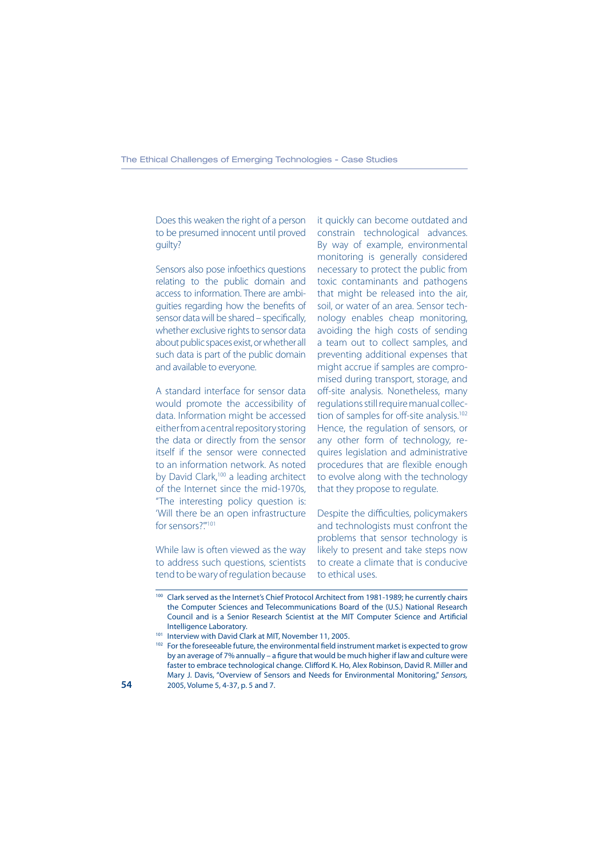Does this weaken the right of a person to be presumed innocent until proved guilty?

Sensors also pose infoethics questions relating to the public domain and access to information. There are ambiquities regarding how the benefits of sensor data will be shared - specifically, whether exclusive rights to sensor data about public spaces exist, or whether all such data is part of the public domain and available to everyone.

A standard interface for sensor data would promote the accessibility of data. Information might be accessed either from a central repository storing the data or directly from the sensor itself if the sensor were connected to an information network. As noted by David Clark,<sup>100</sup> a leading architect of the Internet since the mid-1970s, "The interesting policy question is: 'Will there be an open infrastructure for sensors?"<sup>101</sup>

While law is often viewed as the way to address such questions, scientists tend to be wary of regulation because

it quickly can become outdated and constrain technological advances. By way of example, environmental monitoring is generally considered necessary to protect the public from toxic contaminants and pathogens that might be released into the air, soil, or water of an area. Sensor technology enables cheap monitoring, avoiding the high costs of sending a team out to collect samples, and preventing additional expenses that might accrue if samples are compromised during transport, storage, and off -site analysis. Nonetheless, many regulations still require manual collection of samples for off-site analysis.<sup>102</sup> Hence, the regulation of sensors, or any other form of technology, requires legislation and administrative procedures that are flexible enough to evolve along with the technology that they propose to regulate.

Despite the difficulties, policymakers and technologists must confront the problems that sensor technology is likely to present and take steps now to create a climate that is conducive to ethical uses.

<sup>100</sup> Clark served as the Internet's Chief Protocol Architect from 1981-1989; he currently chairs the Computer Sciences and Telecommunications Board of the (U.S.) National Research Council and is a Senior Research Scientist at the MIT Computer Science and Artificial Intelligence Laboratory.

<sup>101</sup> Interview with David Clark at MIT, November 11, 2005.

<sup>102</sup> For the foreseeable future, the environmental field instrument market is expected to grow by an average of 7% annually - a figure that would be much higher if law and culture were faster to embrace technological change. Clifford K. Ho, Alex Robinson, David R. Miller and Mary J. Davis, "Overview of Sensors and Needs for Environmental Monitoring," Sensors, 2005, Volume 5, 4-37, p. 5 and 7.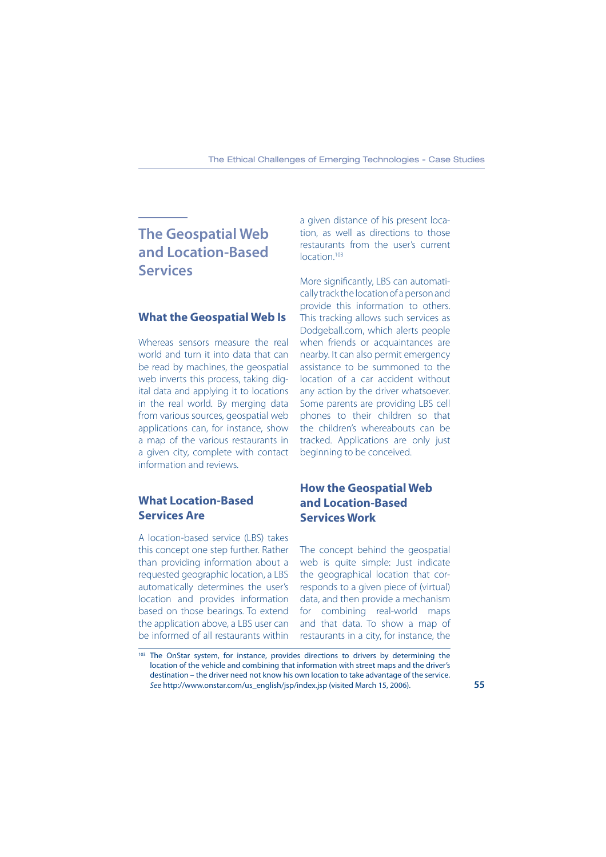# **The Geospatial Web and Location-Based Services**

### **What the Geospatial Web Is**

Whereas sensors measure the real world and turn it into data that can be read by machines, the geospatial web inverts this process, taking digital data and applying it to locations in the real world. By merging data from various sources, geospatial web applications can, for instance, show a map of the various restaurants in a given city, complete with contact information and reviews.

## **What Location-Based Services Are**

A location-based service (LBS) takes this concept one step further. Rather than providing information about a requested geographic location, a LBS automatically determines the user's location and provides information based on those bearings. To extend the application above, a LBS user can be informed of all restaurants within

a given distance of his present location, as well as directions to those restaurants from the user's current location<sup>103</sup>

More significantly, LBS can automatically track the location of a person and provide this information to others. This tracking allows such services as Dodgeball.com, which alerts people when friends or acquaintances are nearby. It can also permit emergency assistance to be summoned to the location of a car accident without any action by the driver whatsoever. Some parents are providing LBS cell phones to their children so that the children's whereabouts can be tracked. Applications are only just beginning to be conceived.

## **How the Geospatial Web and Location-Based Services Work**

The concept behind the geospatial web is quite simple: Just indicate the geographical location that corresponds to a given piece of (virtual) data, and then provide a mechanism for combining real-world maps and that data. To show a map of restaurants in a city, for instance, the

<sup>103</sup> The OnStar system, for instance, provides directions to drivers by determining the location of the vehicle and combining that information with street maps and the driver's destination – the driver need not know his own location to take advantage of the service. See [http://www.onstar.com/us\\_english/jsp/index.jsp \(vi](http://www.onstar.com/us_english/jsp/index.jsp)sited March 15, 2006).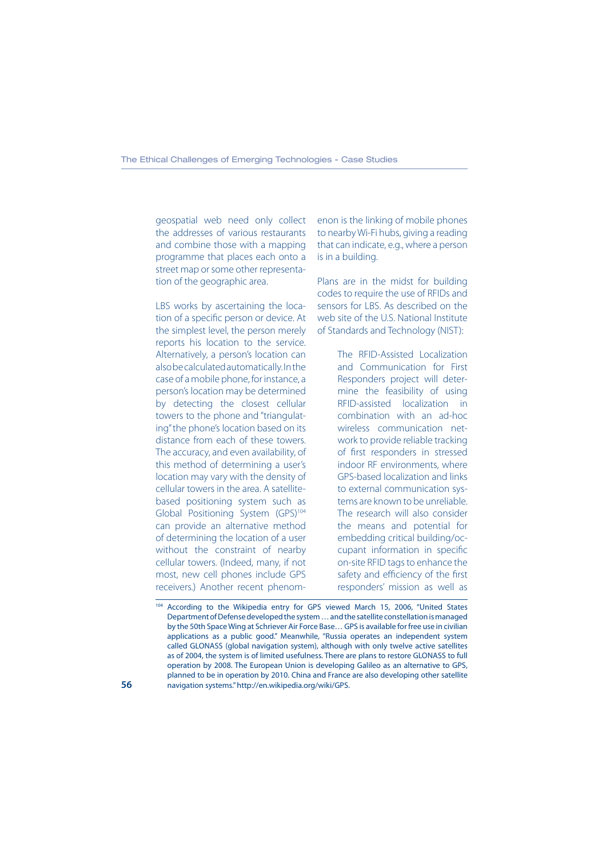geospatial web need only collect the addresses of various restaurants and combine those with a mapping programme that places each onto a street map or some other representation of the geographic area.

LBS works by ascertaining the location of a specific person or device. At the simplest level, the person merely reports his location to the service. Alternatively, a person's location can also be calculated automatically. In the case of a mobile phone, for instance, a person's location may be determined by detecting the closest cellular towers to the phone and "triangulating" the phone's location based on its distance from each of these towers. The accuracy, and even availability, of this method of determining a user's location may vary with the density of cellular towers in the area. A satellitebased positioning system such as Global Positioning System (GPS)<sup>104</sup> can provide an alternative method of determining the location of a user without the constraint of nearby cellular towers. (Indeed, many, if not most, new cell phones include GPS receivers.) Another recent phenomenon is the linking of mobile phones to nearby Wi-Fi hubs, giving a reading that can indicate, e.g., where a person is in a building.

Plans are in the midst for building codes to require the use of RFIDs and sensors for LBS. As described on the web site of the U.S. National Institute of Standards and Technology (NIST):

> The RFID-Assisted Localization and Communication for First Responders project will determine the feasibility of using RFID-assisted localization in combination with an ad-hoc wireless communication network to provide reliable tracking of first responders in stressed indoor RF environments, where GPS-based localization and links to external communication systems are known to be unreliable. The research will also consider the means and potential for embedding critical building/occupant information in specific on-site RFID tags to enhance the safety and efficiency of the first responders' mission as well as

<sup>104</sup> According to the Wikipedia entry for GPS viewed March 15, 2006, "United States Department of Defense developed the system … and the satellite constellation is managed by the 50th Space Wing at Schriever Air Force Base… GPS is available for free use in civilian applications as a public good." Meanwhile, "Russia operates an independent system called GLONASS (global navigation system), although with only twelve active satellites as of 2004, the system is of limited usefulness. There are plans to restore GLONASS to full operation by 2008. The European Union is developing Galileo as an alternative to GPS, planned to be in operation by 2010. China and France are also developing other satellite navigation systems." [http://en.wikipedia.org/wiki/GPS.](http://en.wikipedia.org/wiki/GPS)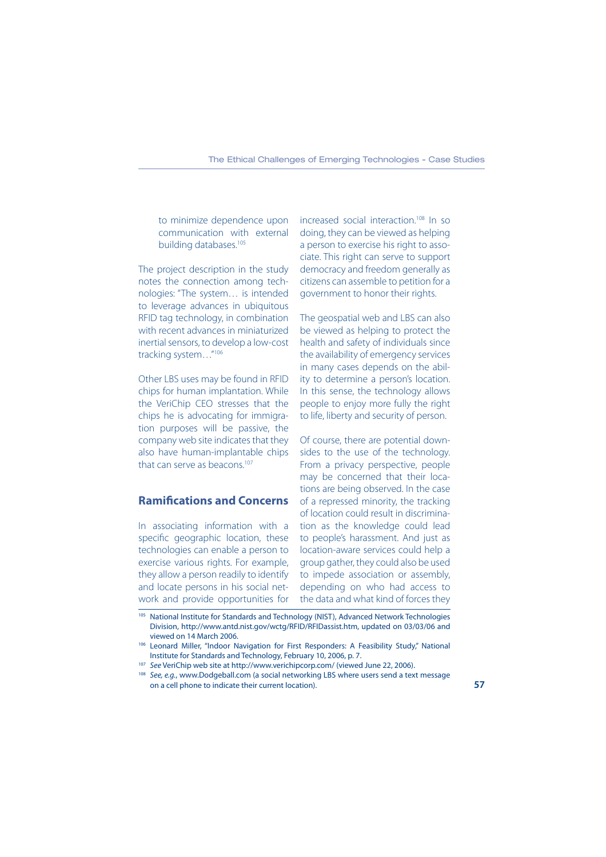to minimize dependence upon communication with external building databases.<sup>105</sup>

The project description in the study notes the connection among technologies: "The system… is intended to leverage advances in ubiquitous RFID tag technology, in combination with recent advances in miniaturized inertial sensors, to develop a low-cost tracking system…"106

Other LBS uses may be found in RFID chips for human implantation. While the VeriChip CEO stresses that the chips he is advocating for immigration purposes will be passive, the company web site indicates that they also have human-implantable chips that can serve as beacons.<sup>107</sup>

#### **Ramifications and Concerns**

In associating information with a specific geographic location, these technologies can enable a person to exercise various rights. For example, they allow a person readily to identify and locate persons in his social network and provide opportunities for

increased social interaction.108 In so doing, they can be viewed as helping a person to exercise his right to associate. This right can serve to support democracy and freedom generally as citizens can assemble to petition for a government to honor their rights.

The geospatial web and LBS can also be viewed as helping to protect the health and safety of individuals since the availability of emergency services in many cases depends on the ability to determine a person's location. In this sense, the technology allows people to enjoy more fully the right to life, liberty and security of person.

Of course, there are potential downsides to the use of the technology. From a privacy perspective, people may be concerned that their locations are being observed. In the case of a repressed minority, the tracking of location could result in discrimination as the knowledge could lead to people's harassment. And just as location-aware services could help a group gather, they could also be used to impede association or assembly, depending on who had access to the data and what kind of forces they

<sup>&</sup>lt;sup>105</sup> National Institute for Standards and Technology (NIST), Advanced Network Technologies Division, [http://www.antd.nist.gov/wctg/RFID/RFIDassist.htm,](http://www.antd.nist.gov/wctg/RFID/RFIDassist.htm) updated on 03/03/06 and viewed on 14 March 2006.

<sup>106</sup> Leonard Miller, "Indoor Navigation for First Responders: A Feasibility Study," National Institute for Standards and Technology, February 10, 2006, p. 7.

<sup>107</sup> See VeriChip web site at [http://www.verichipcorp.com/](http://www.verichipcorp.com) (viewed June 22, 2006).

<sup>&</sup>lt;sup>108</sup> See, e.g., [www.Dodgeball.com \(a](http://www.Dodgeball.com) social networking LBS where users send a text message on a cell phone to indicate their current location).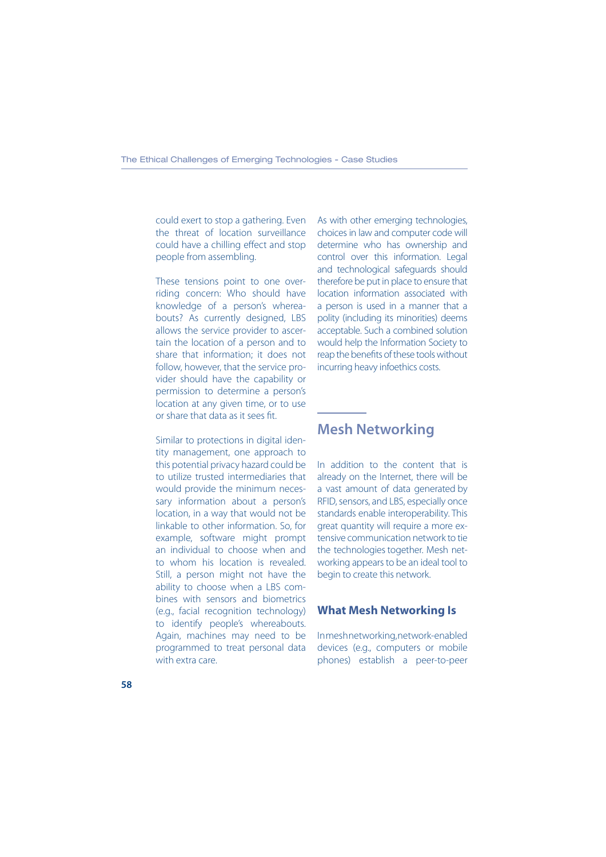could exert to stop a gathering. Even the threat of location surveillance could have a chilling effect and stop people from assembling.

These tensions point to one overriding concern: Who should have knowledge of a person's whereabouts? As currently designed, LBS allows the service provider to ascertain the location of a person and to share that information; it does not follow, however, that the service provider should have the capability or permission to determine a person's location at any given time, or to use or share that data as it sees fit.

Similar to protections in digital identity management, one approach to this potential privacy hazard could be to utilize trusted intermediaries that would provide the minimum necessary information about a person's location, in a way that would not be linkable to other information. So, for example, software might prompt an individual to choose when and to whom his location is revealed. Still, a person might not have the ability to choose when a LBS combines with sensors and biometrics (e.g., facial recognition technology) to identify people's whereabouts. Again, machines may need to be programmed to treat personal data with extra care.

As with other emerging technologies, choices in law and computer code will determine who has ownership and control over this information. Legal and technological safeguards should therefore be put in place to ensure that location information associated with a person is used in a manner that a polity (including its minorities) deems acceptable. Such a combined solution would help the Information Society to reap the benefits of these tools without incurring heavy infoethics costs.

## **Mesh Networking**

In addition to the content that is already on the Internet, there will be a vast amount of data generated by RFID, sensors, and LBS, especially once standards enable interoperability. This great quantity will require a more extensive communication network to tie the technologies together. Mesh networking appears to be an ideal tool to begin to create this network.

#### **What Mesh Networking Is**

In mesh networking, network-enabled devices (e.g., computers or mobile phones) establish a peer-to-peer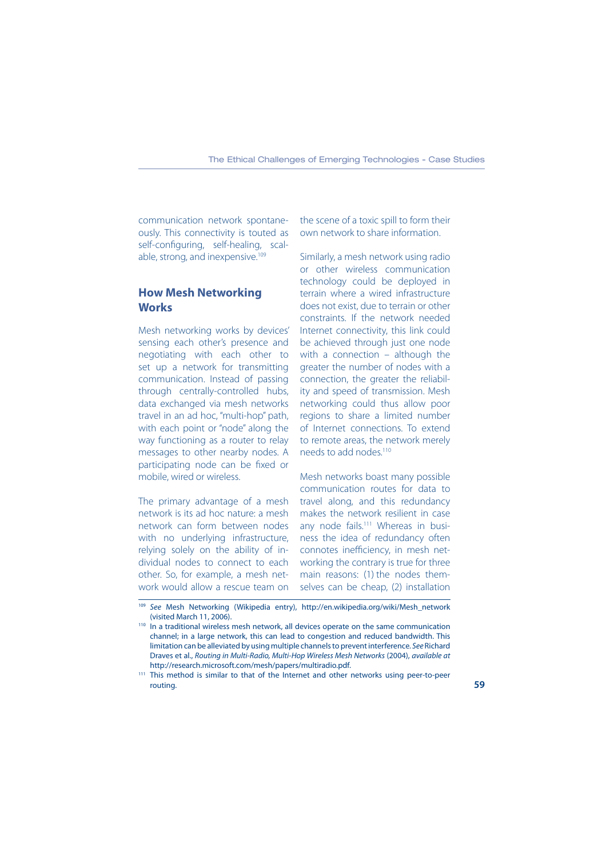communication network spontaneously. This connectivity is touted as self-configuring, self-healing, scalable, strong, and inexpensive.109

## **How Mesh Networking Works**

Mesh networking works by devices' sensing each other's presence and negotiating with each other to set up a network for transmitting communication. Instead of passing through centrally-controlled hubs, data exchanged via mesh networks travel in an ad hoc, "multi-hop" path, with each point or "node" along the way functioning as a router to relay messages to other nearby nodes. A participating node can be fixed or mobile, wired or wireless.

The primary advantage of a mesh network is its ad hoc nature: a mesh network can form between nodes with no underlying infrastructure, relying solely on the ability of individual nodes to connect to each other. So, for example, a mesh network would allow a rescue team on

the scene of a toxic spill to form their own network to share information.

Similarly, a mesh network using radio or other wireless communication technology could be deployed in terrain where a wired infrastructure does not exist, due to terrain or other constraints. If the network needed Internet connectivity, this link could be achieved through just one node with a connection – although the greater the number of nodes with a connection, the greater the reliability and speed of transmission. Mesh networking could thus allow poor regions to share a limited number of Internet connections. To extend to remote areas, the network merely needs to add nodes.110

Mesh networks boast many possible communication routes for data to travel along, and this redundancy makes the network resilient in case any node fails.111 Whereas in business the idea of redundancy often connotes inefficiency, in mesh networking the contrary is true for three main reasons: (1) the nodes themselves can be cheap, (2) installation

<sup>110</sup> In a traditional wireless mesh network, all devices operate on the same communication channel; in a large network, this can lead to congestion and reduced bandwidth. This limitation can be alleviated by using multiple channels to prevent interference. See Richard Draves et al., Routing in Multi-Radio, Multi-Hop Wireless Mesh Networks (2004), available at [http://research.microsoft.com/mesh/papers/multiradio.pdf.](http://research.microsoft.com/mesh/papers/multiradio.pdf)

<sup>&</sup>lt;sup>109</sup> See Mesh Networking (Wikipedia entry), http://en.wikipedia.org/wiki/Mesh network (visited March 11, 2006).

<sup>&</sup>lt;sup>111</sup> This method is similar to that of the Internet and other networks using peer-to-peer routing.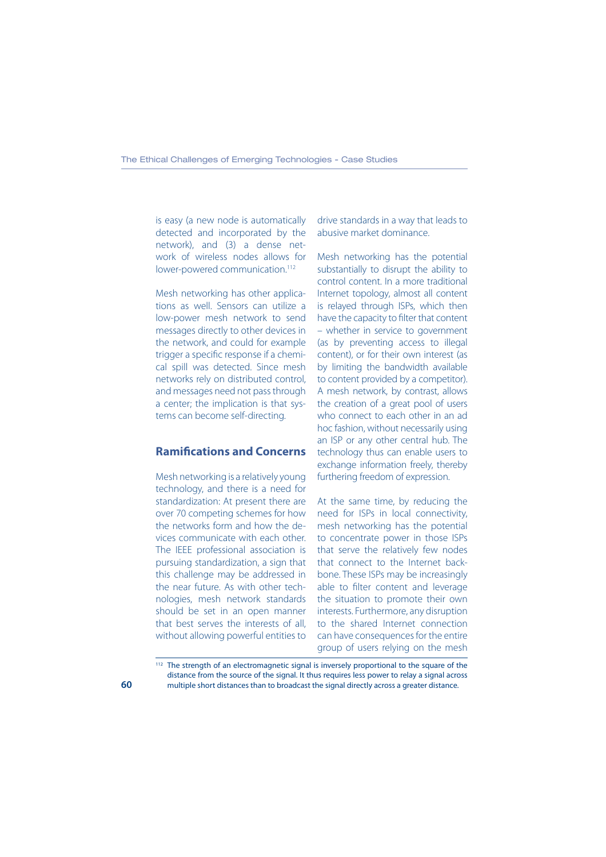is easy (a new node is automatically detected and incorporated by the network), and (3) a dense network of wireless nodes allows for lower-powered communication.<sup>112</sup>

Mesh networking has other applications as well. Sensors can utilize a low-power mesh network to send messages directly to other devices in the network, and could for example trigger a specific response if a chemical spill was detected. Since mesh networks rely on distributed control, and messages need not pass through a center; the implication is that systems can become self-directing.

#### **Ramifications and Concerns**

Mesh networking is a relatively young technology, and there is a need for standardization: At present there are over 70 competing schemes for how the networks form and how the devices communicate with each other. The IEEE professional association is pursuing standardization, a sign that this challenge may be addressed in the near future. As with other technologies, mesh network standards should be set in an open manner that best serves the interests of all, without allowing powerful entities to drive standards in a way that leads to abusive market dominance.

Mesh networking has the potential substantially to disrupt the ability to control content. In a more traditional Internet topology, almost all content is relayed through ISPs, which then have the capacity to filter that content – whether in service to government (as by preventing access to illegal content), or for their own interest (as by limiting the bandwidth available to content provided by a competitor). A mesh network, by contrast, allows the creation of a great pool of users who connect to each other in an ad hoc fashion, without necessarily using an ISP or any other central hub. The technology thus can enable users to exchange information freely, thereby furthering freedom of expression.

At the same time, by reducing the need for ISPs in local connectivity, mesh networking has the potential to concentrate power in those ISPs that serve the relatively few nodes that connect to the Internet backbone. These ISPs may be increasingly able to filter content and leverage the situation to promote their own interests. Furthermore, any disruption to the shared Internet connection can have consequences for the entire group of users relying on the mesh

<sup>&</sup>lt;sup>112</sup> The strength of an electromagnetic signal is inversely proportional to the square of the distance from the source of the signal. It thus requires less power to relay a signal across multiple short distances than to broadcast the signal directly across a greater distance.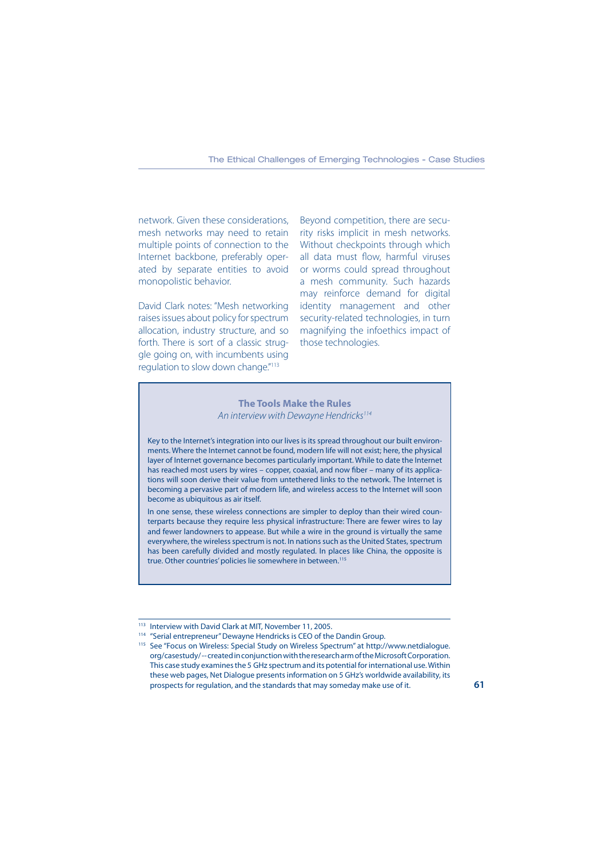network. Given these considerations, mesh networks may need to retain multiple points of connection to the Without checkpoints through which Internet backbone, preferably operated by separate entities to avoid monopolistic behavior.

David Clark notes: "Mesh networking raises issues about policy for spectrum allocation, industry structure, and so forth. There is sort of a classic struggle going on, with incumbents using regulation to slow down change."<sup>113</sup>

Beyond competition, there are security risks implicit in mesh networks. all data must flow, harmful viruses or worms could spread throughout a mesh community. Such hazards may reinforce demand for digital identity management and other security-related technologies, in turn magnifying the infoethics impact of those technologies.

#### **The Tools Make the Rules** An interview with Dewayne Hendricks<sup>114</sup>

Key to the Internet's integration into our lives is its spread throughout our built environments. Where the Internet cannot be found, modern life will not exist; here, the physical layer of Internet governance becomes particularly important. While to date the Internet has reached most users by wires – copper, coaxial, and now fiber – many of its applications will soon derive their value from untethered links to the network. The Internet is becoming a pervasive part of modern life, and wireless access to the Internet will soon become as ubiquitous as air itself.

In one sense, these wireless connections are simpler to deploy than their wired counterparts because they require less physical infrastructure: There are fewer wires to lay and fewer landowners to appease. But while a wire in the ground is virtually the same everywhere, the wireless spectrum is not. In nations such as the United States, spectrum has been carefully divided and mostly regulated. In places like China, the opposite is true. Other countries' policies lie somewhere in between.<sup>115</sup>

<sup>113</sup> Interview with David Clark at MIT, November 11, 2005.

<sup>&</sup>lt;sup>114</sup> "Serial entrepreneur" Dewayne Hendricks is CEO of the Dandin Group.

<sup>115</sup> See "Focus on Wireless: Special Study on Wireless Spectrum" at [http://www.netdialogue.](http://www.netdialogue) org/casestudy/ -- created in conjunction with the research arm of the Microsoft Corporation. This case study examines the 5 GHz spectrum and its potential for international use. Within these web pages, Net Dialogue presents information on 5 GHz's worldwide availability, its prospects for regulation, and the standards that may someday make use of it.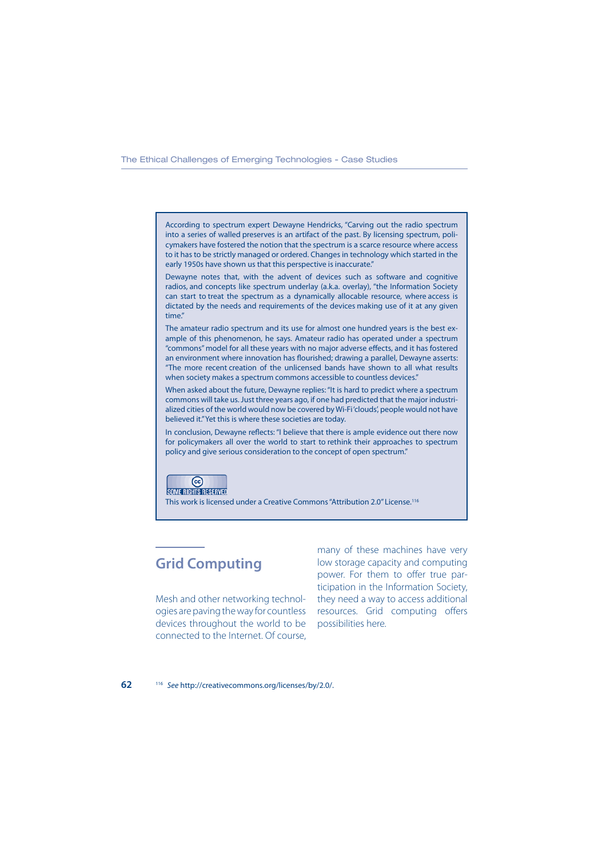According to spectrum expert Dewayne Hendricks, "Carving out the radio spectrum into a series of walled preserves is an artifact of the past. By licensing spectrum, policymakers have fostered the notion that the spectrum is a scarce resource where access to it has to be strictly managed or ordered. Changes in technology which started in the early 1950s have shown us that this perspective is inaccurate."

Dewayne notes that, with the advent of devices such as software and cognitive radios, and concepts like spectrum underlay (a.k.a. overlay), "the Information Society can start to treat the spectrum as a dynamically allocable resource, where access is dictated by the needs and requirements of the devices making use of it at any given time."

The amateur radio spectrum and its use for almost one hundred years is the best example of this phenomenon, he says. Amateur radio has operated under a spectrum "commons" model for all these years with no major adverse effects, and it has fostered an environment where innovation has flourished: drawing a parallel, Dewayne asserts: "The more recent creation of the unlicensed bands have shown to all what results when society makes a spectrum commons accessible to countless devices."

When asked about the future, Dewayne replies: "It is hard to predict where a spectrum commons will take us. Just three years ago, if one had predicted that the major industrialized cities of the world would now be covered by Wi-Fi 'clouds', people would not have believed it." Yet this is where these societies are today.

In conclusion, Dewayne reflects: "I believe that there is ample evidence out there now for policymakers all over the world to start to rethink their approaches to spectrum policy and give serious consideration to the concept of open spectrum."



This work is licensed under a Creative Commons "Attribution 2.0" License.<sup>116</sup>

## **Grid Computing**

Mesh and other networking technologies are paving the way for countless devices throughout the world to be connected to the Internet. Of course,

many of these machines have very low storage capacity and computing power. For them to offer true participation in the Information Society, they need a way to access additional resources. Grid computing offers possibilities here.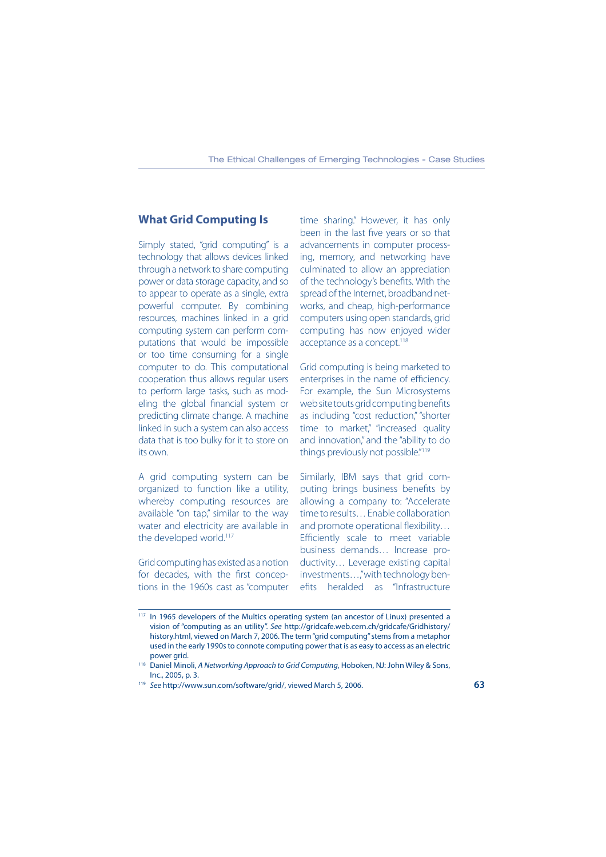## **What Grid Computing Is**

Simply stated, "grid computing" is a technology that allows devices linked through a network to share computing power or data storage capacity, and so to appear to operate as a single, extra powerful computer. By combining resources, machines linked in a grid computing system can perform computations that would be impossible or too time consuming for a single computer to do. This computational cooperation thus allows regular users to perform large tasks, such as modeling the global financial system or predicting climate change. A machine linked in such a system can also access data that is too bulky for it to store on its own.

A grid computing system can be organized to function like a utility, whereby computing resources are available "on tap," similar to the way water and electricity are available in the developed world.117

Grid computing has existed as a notion for decades, with the first conceptions in the 1960s cast as "computer

time sharing." However, it has only been in the last five years or so that advancements in computer processing, memory, and networking have culminated to allow an appreciation of the technology's benefits. With the spread of the Internet, broadband networks, and cheap, high-performance computers using open standards, grid computing has now enjoyed wider acceptance as a concept.118

Grid computing is being marketed to enterprises in the name of efficiency. For example, the Sun Microsystems web site touts grid computing benefits as including "cost reduction," "shorter time to market," "increased quality and innovation," and the "ability to do things previously not possible."<sup>119</sup>

Similarly, IBM says that grid computing brings business benefits by allowing a company to: "Accelerate time to results… Enable collaboration and promote operational flexibility... Efficiently scale to meet variable business demands… Increase productivity… Leverage existing capital investments…," with technology benefits heralded as "Infrastructure

<sup>&</sup>lt;sup>117</sup> In 1965 developers of the Multics operating system (an ancestor of Linux) presented a vision of "computing as an utility". See [http://gridcafe.web.cern.ch/gridcafe/Gridhistory/](http://gridcafe.web.cern.ch/gridcafe/Gridhistory) history.html, viewed on March 7, 2006. The term "grid computing" stems from a metaphor used in the early 1990s to connote computing power that is as easy to access as an electric power grid.

<sup>&</sup>lt;sup>118</sup> Daniel Minoli, A Networking Approach to Grid Computing, Hoboken, NJ: John Wiley & Sons, Inc., 2005, p. 3.

<sup>119</sup> See [http://www.sun.com/software/grid/, vie](http://www.sun.com/software/grid)wed March 5, 2006.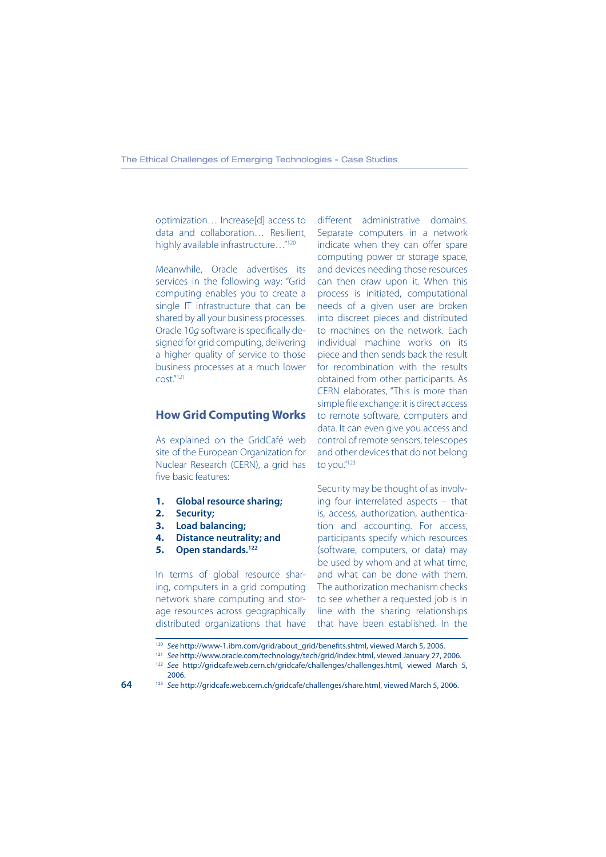optimization… Increase[d] access to data and collaboration… Resilient, highly available infrastructure…"120

Meanwhile, Oracle advertises its services in the following way: "Grid computing enables you to create a single IT infrastructure that can be shared by all your business processes. Oracle 10g software is specifically designed for grid computing, delivering a higher quality of service to those business processes at a much lower  $cost''<sup>121</sup>$ 

#### **How Grid Computing Works**

As explained on the GridCafé web site of the European Organization for Nuclear Research (CERN), a grid has five basic features:

- **1. Global resource sharing;**
- **2. Security;**
- **3. Load balancing;**
- **4. Distance neutrality; and**
- **5. Open standards.122**

In terms of global resource sharing, computers in a grid computing network share computing and storage resources across geographically distributed organizations that have

different administrative domains. Separate computers in a network indicate when they can offer spare computing power or storage space, and devices needing those resources can then draw upon it. When this process is initiated, computational needs of a given user are broken into discreet pieces and distributed to machines on the network. Each individual machine works on its piece and then sends back the result for recombination with the results obtained from other participants. As CERN elaborates, "This is more than simple file exchange: it is direct access to remote software, computers and data. It can even give you access and control of remote sensors, telescopes and other devices that do not belong to you."123

Security may be thought of as involving four interrelated aspects – that is, access, authorization, authentication and accounting. For access, participants specify which resources (software, computers, or data) may be used by whom and at what time, and what can be done with them. The authorization mechanism checks to see whether a requested job is in line with the sharing relationships that have been established. In the

<sup>120</sup> See http://www-1.ibm.com/grid/about\_grid/benefits.shtml, viewed March 5, 2006.

<sup>121</sup> See [http://www.oracle.com/technology/tech/grid/index.html,](http://www.oracle.com/technology/tech/grid/index.html) viewed January 27, 2006.

<sup>122</sup> See [http://gridcafe.web.cern.ch/gridcafe/challenges/challenges.html,](http://gridcafe.web.cern.ch/gridcafe/challenges/challenges.html) viewed March 5, 2006.

<sup>123</sup> See [http://gridcafe.web.cern.ch/gridcafe/challenges/share.html,](http://gridcafe.web.cern.ch/gridcafe/challenges/share.html) viewed March 5, 2006.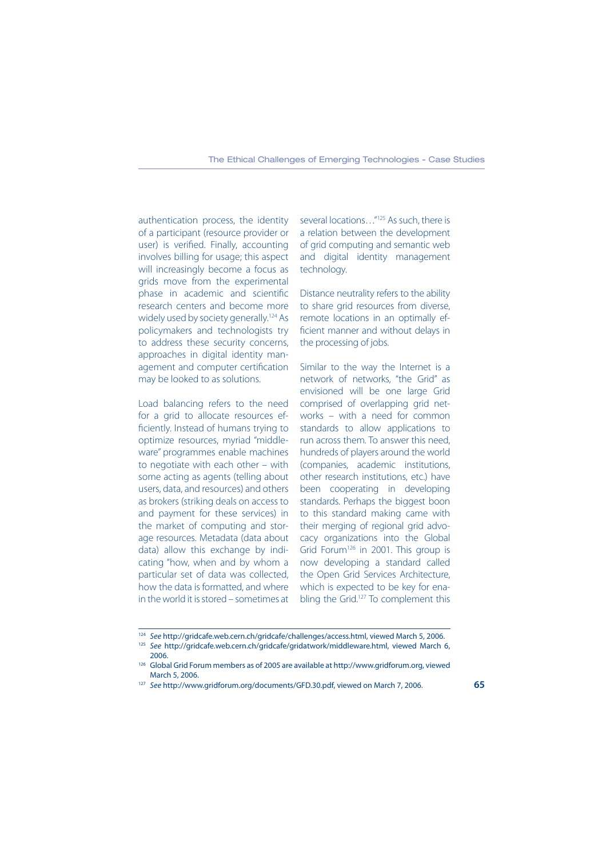authentication process, the identity of a participant (resource provider or user) is verified. Finally, accounting involves billing for usage; this aspect will increasingly become a focus as grids move from the experimental phase in academic and scientific research centers and become more widely used by society generally.<sup>124</sup> As policymakers and technologists try to address these security concerns, approaches in digital identity management and computer certification may be looked to as solutions.

Load balancing refers to the need for a grid to allocate resources efficiently. Instead of humans trying to optimize resources, myriad "middleware" programmes enable machines to negotiate with each other – with some acting as agents (telling about users, data, and resources) and others as brokers (striking deals on access to and payment for these services) in the market of computing and storage resources. Metadata (data about data) allow this exchange by indicating "how, when and by whom a particular set of data was collected, how the data is formatted, and where in the world it is stored – sometimes at

several locations…"125 As such, there is a relation between the development of grid computing and semantic web and digital identity management technology.

Distance neutrality refers to the ability to share grid resources from diverse, remote locations in an optimally efficient manner and without delays in the processing of jobs.

Similar to the way the Internet is a network of networks, "the Grid" as envisioned will be one large Grid comprised of overlapping grid networks – with a need for common standards to allow applications to run across them. To answer this need, hundreds of players around the world (companies, academic institutions, other research institutions, etc.) have been cooperating in developing standards. Perhaps the biggest boon to this standard making came with their merging of regional grid advocacy organizations into the Global Grid Forum126 in 2001. This group is now developing a standard called the Open Grid Services Architecture, which is expected to be key for enabling the Grid.127 To complement this

<sup>124</sup> See [http://gridcafe.web.cern.ch/gridcafe/challenges/access.html,](http://gridcafe.web.cern.ch/gridcafe/challenges/access.html) viewed March 5, 2006.

<sup>&</sup>lt;sup>125</sup> See [http://gridcafe.web.cern.ch/gridcafe/gridatwork/middleware.html,](http://gridcafe.web.cern.ch/gridcafe/gridatwork/middleware.html) viewed March 6, 2006.

<sup>126</sup> Global Grid Forum members as of 2005 are available at [http://www.gridforum.org,](http://www.gridforum.org) viewed March 5, 2006.

<sup>127</sup> See [http://www.gridforum.org/documents/GFD.30.pdf,](http://www.gridforum.org/documents/GFD.30.pdf) viewed on March 7, 2006.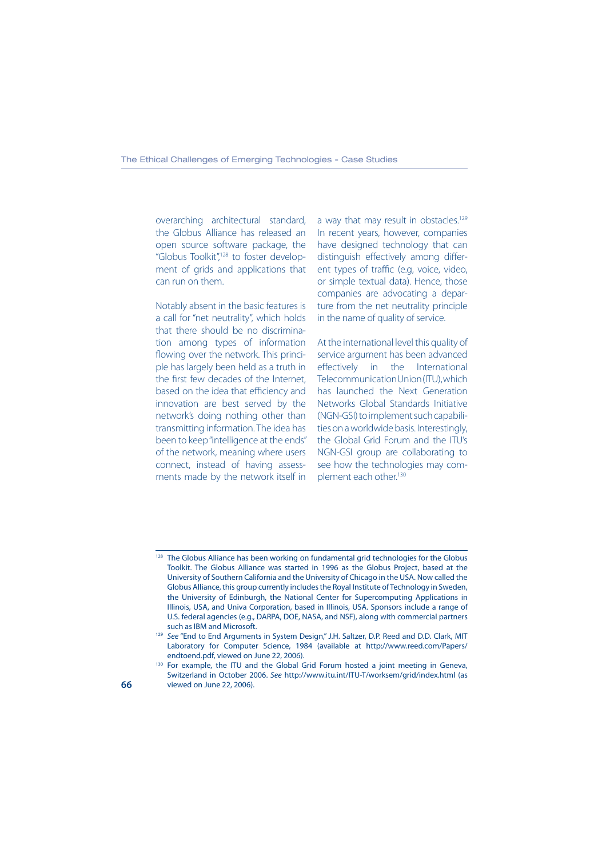overarching architectural standard, the Globus Alliance has released an open source software package, the "Globus Toolkit",128 to foster development of grids and applications that can run on them.

Notably absent in the basic features is a call for "net neutrality", which holds that there should be no discrimination among types of information flowing over the network. This principle has largely been held as a truth in  $\overline{\phantom{a}}$  the first few decades of the Internet. based on the idea that efficiency and innovation are best served by the network's doing nothing other than transmitting information. The idea has been to keep "intelligence at the ends" of the network, meaning where users connect, instead of having assessments made by the network itself in

a way that may result in obstacles.<sup>129</sup> In recent years, however, companies have designed technology that can distinguish effectively among different types of traffic (e.g, voice, video, or simple textual data). Hence, those companies are advocating a departure from the net neutrality principle in the name of quality of service.

At the international level this quality of service argument has been advanced effectively in the International Telecommunication Union (ITU), which has launched the Next Generation Networks Global Standards Initiative (NGN-GSI) to implement such capabilities on a worldwide basis. Interestingly, the Global Grid Forum and the ITU's NGN-GSI group are collaborating to see how the technologies may complement each other.130

<sup>&</sup>lt;sup>128</sup> The Globus Alliance has been working on fundamental grid technologies for the Globus Toolkit. The Globus Alliance was started in 1996 as the Globus Project, based at the University of Southern California and the University of Chicago in the USA. Now called the Globus Alliance, this group currently includes the Royal Institute of Technology in Sweden, the University of Edinburgh, the National Center for Supercomputing Applications in Illinois, USA, and Univa Corporation, based in Illinois, USA. Sponsors include a range of U.S. federal agencies (e.g., DARPA, DOE, NASA, and NSF), along with commercial partners such as IBM and Microsoft.

<sup>&</sup>lt;sup>129</sup> See "End to End Arguments in System Design," J.H. Saltzer, D.P. Reed and D.D. Clark, MIT Laboratory for Computer Science, 1984 (available at [http://www.reed.com/Papers/](http://www.reed.com/Papers) endtoend.pdf, viewed on June 22, 2006).

<sup>130</sup> For example, the ITU and the Global Grid Forum hosted a joint meeting in Geneva, Switzerland in October 2006. See [http://www.itu.int/ITU-T/worksem/grid/index.html \(a](http://www.itu.int/ITU-T/worksem/grid/index.html)s viewed on June 22, 2006).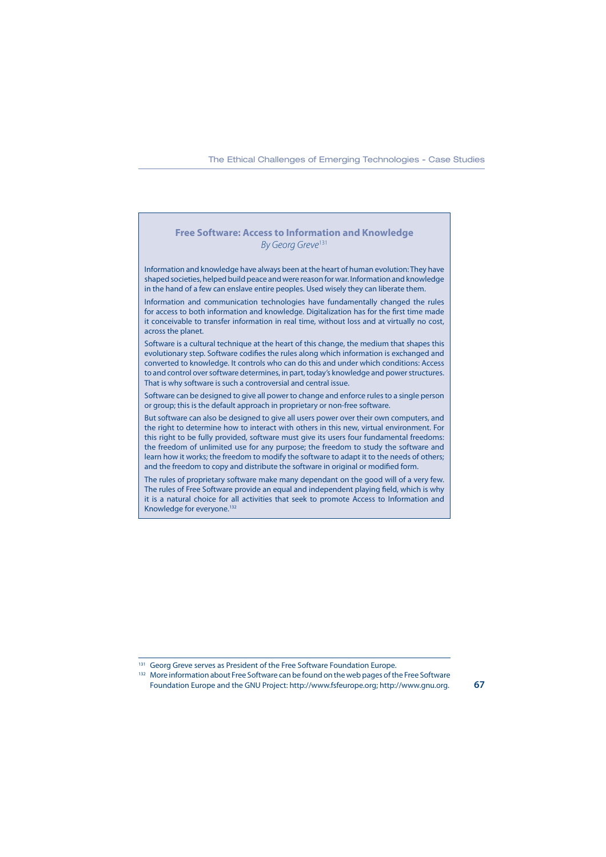#### **Free Software: Access to Information and Knowledge** By Georg Greve<sup>131</sup>

Information and knowledge have always been at the heart of human evolution: They have shaped societies, helped build peace and were reason for war. Information and knowledge in the hand of a few can enslave entire peoples. Used wisely they can liberate them.

Information and communication technologies have fundamentally changed the rules for access to both information and knowledge. Digitalization has for the first time made it conceivable to transfer information in real time, without loss and at virtually no cost, across the planet.

Software is a cultural technique at the heart of this change, the medium that shapes this evolutionary step. Software codifies the rules along which information is exchanged and converted to knowledge. It controls who can do this and under which conditions: Access to and control over software determines, in part, today's knowledge and power structures. That is why software is such a controversial and central issue.

Software can be designed to give all power to change and enforce rules to a single person or group; this is the default approach in proprietary or non-free software.

But software can also be designed to give all users power over their own computers, and the right to determine how to interact with others in this new, virtual environment. For this right to be fully provided, software must give its users four fundamental freedoms: the freedom of unlimited use for any purpose; the freedom to study the software and learn how it works; the freedom to modify the software to adapt it to the needs of others; and the freedom to copy and distribute the software in original or modified form.

The rules of proprietary software make many dependant on the good will of a very few. The rules of Free Software provide an equal and independent playing field, which is why it is a natural choice for all activities that seek to promote Access to Information and Knowledge for everyone.132

<sup>&</sup>lt;sup>131</sup> Georg Greve serves as President of the Free Software Foundation Europe.

<sup>132</sup> More information about Free Software can be found on the web pages of the Free Software Foundation Europe and the GNU Project: [http://www.fsfeurope.org;](http://www.fsfeurope.org) [http://www.gnu.org.](http://www.gnu.org)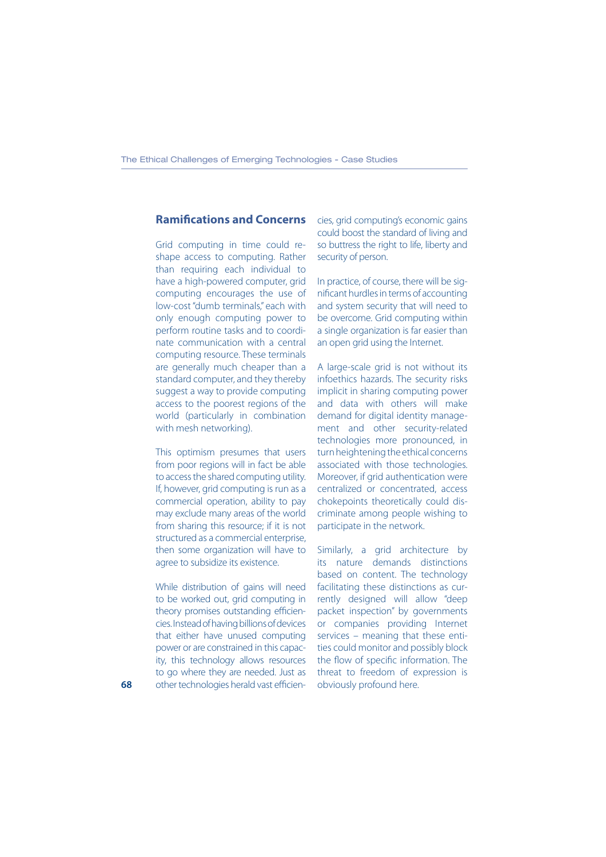#### **Ramifications and Concerns**

Grid computing in time could reshape access to computing. Rather than requiring each individual to have a high-powered computer, grid computing encourages the use of low-cost "dumb terminals," each with only enough computing power to perform routine tasks and to coordinate communication with a central computing resource. These terminals are generally much cheaper than a standard computer, and they thereby suggest a way to provide computing access to the poorest regions of the world (particularly in combination with mesh networking).

This optimism presumes that users from poor regions will in fact be able to access the shared computing utility. If, however, grid computing is run as a commercial operation, ability to pay may exclude many areas of the world from sharing this resource; if it is not structured as a commercial enterprise, then some organization will have to agree to subsidize its existence.

While distribution of gains will need to be worked out, grid computing in theory promises outstanding efficiencies. Instead of having billions of devices that either have unused computing power or are constrained in this capacity, this technology allows resources to go where they are needed. Just as other technologies herald vast efficiencies, grid computing's economic gains could boost the standard of living and so buttress the right to life, liberty and security of person.

In practice, of course, there will be significant hurdles in terms of accounting and system security that will need to be overcome. Grid computing within a single organization is far easier than an open grid using the Internet.

A large-scale grid is not without its infoethics hazards. The security risks implicit in sharing computing power and data with others will make demand for digital identity management and other security-related technologies more pronounced, in turn heightening the ethical concerns associated with those technologies. Moreover, if grid authentication were centralized or concentrated, access chokepoints theoretically could discriminate among people wishing to participate in the network.

Similarly, a grid architecture by its nature demands distinctions based on content. The technology facilitating these distinctions as currently designed will allow "deep packet inspection" by governments or companies providing Internet services – meaning that these entities could monitor and possibly block the flow of specific information. The threat to freedom of expression is obviously profound here.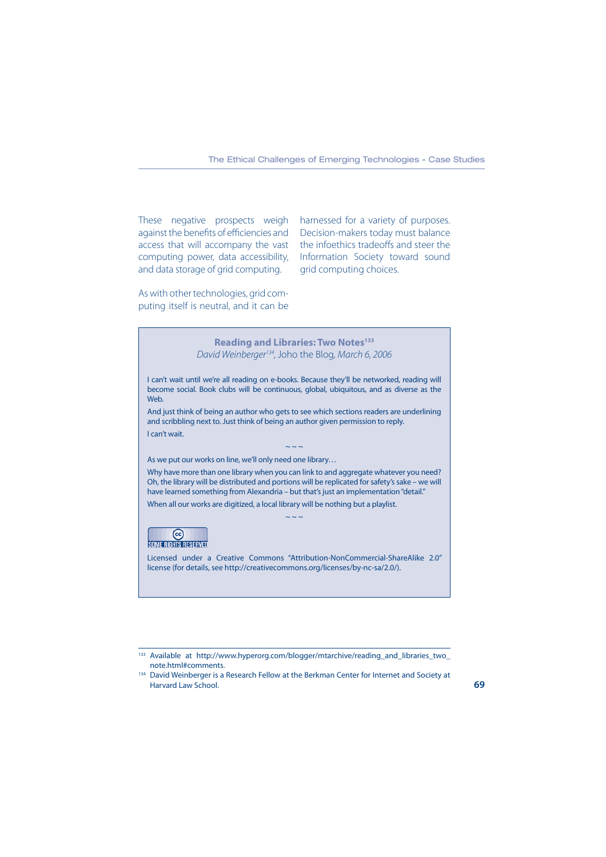These negative prospects weigh harnessed for a variety of purposes. against the benefits of efficiencies and Decision-makers today must balance access that will accompany the vast the infoethics tradeoffs and steer the computing power, data accessibility, Information Society toward sound and data storage of grid computing.

grid computing choices.

As with other technologies, grid computing itself is neutral, and it can be

#### **Reading and Libraries: Two Notes133** David Weinberger<sup>134</sup>, Joho the Blog, March 6, 2006

I can't wait until we're all reading on e-books. Because they'll be networked, reading will become social. Book clubs will be continuous, global, ubiquitous, and as diverse as the Web.

And just think of being an author who gets to see which sections readers are underlining and scribbling next to. Just think of being an author given permission to reply.

 $\sim$   $\sim$   $\sim$ 

I can't wait.

As we put our works on line, we'll only need one library…

Why have more than one library when you can link to and aggregate whatever you need? Oh, the library will be distributed and portions will be replicated for safety's sake – we will have learned something from Alexandria – but that's just an implementation "detail."

 $\sim$   $\sim$   $\sim$ 

When all our works are digitized, a local library will be nothing but a playlist.



Licensed under a Creative Commons "Attribution-NonCommercial-ShareAlike 2.0" license (for details, see [http://creativecommons.org/licenses/by-nc-sa/2.0/\).](http://creativecommons.org/licenses/by-nc-sa/2.0) 

<sup>133</sup> Available at http://www.hyperorg.com/blogger/mtarchive/reading\_and\_libraries\_two note.html#comments.

134 David Weinberger is a Research Fellow at the Berkman Center for Internet and Society at Harvard Law School.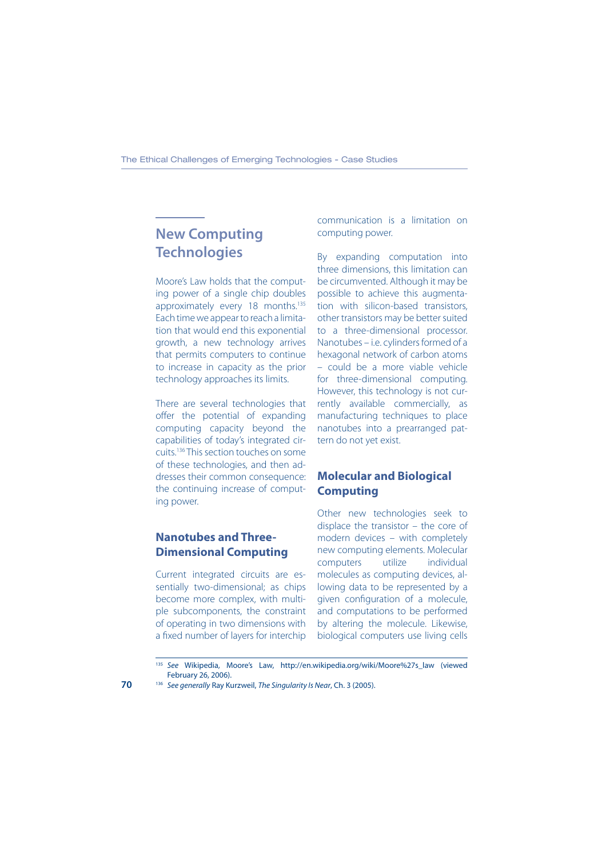# **New Computing Technologies**

Moore's Law holds that the computing power of a single chip doubles approximately every 18 months.<sup>135</sup> Each time we appear to reach a limitation that would end this exponential growth, a new technology arrives that permits computers to continue to increase in capacity as the prior technology approaches its limits.

There are several technologies that offer the potential of expanding computing capacity beyond the capabilities of today's integrated circuits.136 This section touches on some of these technologies, and then addresses their common consequence: the continuing increase of computing power.

## **Nanotubes and Three-Dimensional Computing**

Current integrated circuits are essentially two-dimensional; as chips become more complex, with multiple subcomponents, the constraint of operating in two dimensions with a fixed number of layers for interchip

communication is a limitation on computing power.

By expanding computation into three dimensions, this limitation can be circumvented. Although it may be possible to achieve this augmentation with silicon-based transistors, other transistors may be better suited to a three-dimensional processor. Nanotubes – i.e. cylinders formed of a hexagonal network of carbon atoms – could be a more viable vehicle for three-dimensional computing. However, this technology is not currently available commercially, as manufacturing techniques to place nanotubes into a prearranged pattern do not yet exist.

## **Molecular and Biological Computing**

Other new technologies seek to displace the transistor – the core of modern devices – with completely new computing elements. Molecular computers utilize individual molecules as computing devices, allowing data to be represented by a given configuration of a molecule, and computations to be performed by altering the molecule. Likewise, biological computers use living cells

<sup>135</sup> See Wikipedia, Moore's Law, [http://en.wikipedia.org/wiki/Moore%27s\\_law \(](http://en.wikipedia.org/wiki/Moore%27s_law)viewed February 26, 2006). 136 See generally Ray Kurzweil, The Singularity Is Near, Ch. 3 (2005).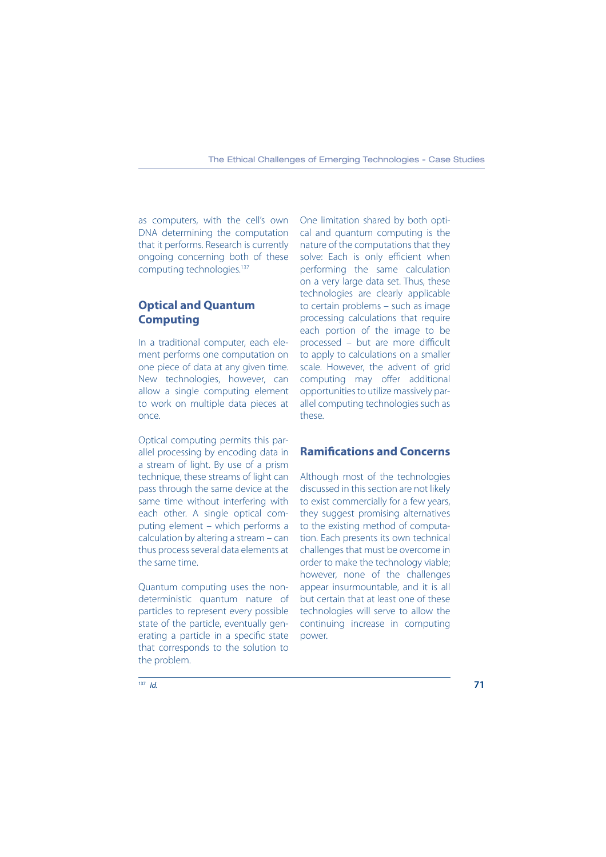as computers, with the cell's own DNA determining the computation that it performs. Research is currently ongoing concerning both of these computing technologies.137

### **Optical and Quantum Computing**

In a traditional computer, each element performs one computation on one piece of data at any given time. New technologies, however, can allow a single computing element to work on multiple data pieces at once.

Optical computing permits this parallel processing by encoding data in a stream of light. By use of a prism technique, these streams of light can pass through the same device at the same time without interfering with each other. A single optical computing element – which performs a calculation by altering a stream – can thus process several data elements at the same time.

Quantum computing uses the nondeterministic quantum nature of particles to represent every possible state of the particle, eventually generating a particle in a specific state that corresponds to the solution to the problem.

One limitation shared by both optical and quantum computing is the nature of the computations that they solve: Each is only efficient when performing the same calculation on a very large data set. Thus, these technologies are clearly applicable to certain problems – such as image processing calculations that require each portion of the image to be processed – but are more difficult to apply to calculations on a smaller scale. However, the advent of grid computing may offer additional opportunities to utilize massively parallel computing technologies such as these.

### **Ramifications and Concerns**

Although most of the technologies discussed in this section are not likely to exist commercially for a few years, they suggest promising alternatives to the existing method of computation. Each presents its own technical challenges that must be overcome in order to make the technology viable; however, none of the challenges appear insurmountable, and it is all but certain that at least one of these technologies will serve to allow the continuing increase in computing power.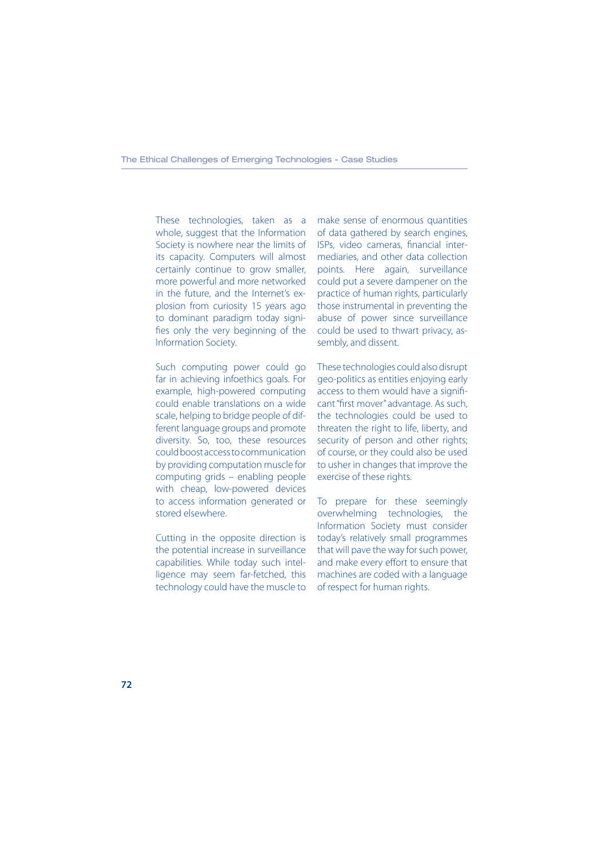These technologies, taken as a whole, suggest that the Information Society is nowhere near the limits of its capacity. Computers will almost certainly continue to grow smaller, more powerful and more networked in the future, and the Internet's explosion from curiosity 15 years ago to dominant paradigm today signifies only the very beginning of the Information Society.

Such computing power could go far in achieving infoethics goals. For example, high-powered computing could enable translations on a wide scale, helping to bridge people of different language groups and promote diversity. So, too, these resources could boost access to communication by providing computation muscle for computing grids – enabling people with cheap, low-powered devices to access information generated or stored elsewhere.

Cutting in the opposite direction is the potential increase in surveillance capabilities. While today such intelligence may seem far-fetched, this technology could have the muscle to make sense of enormous quantities of data gathered by search engines, ISPs, video cameras, fi nancial intermediaries, and other data collection points. Here again, surveillance could put a severe dampener on the practice of human rights, particularly those instrumental in preventing the abuse of power since surveillance could be used to thwart privacy, assembly, and dissent.

These technologies could also disrupt geo-politics as entities enjoying early access to them would have a significant "first mover" advantage. As such, the technologies could be used to threaten the right to life, liberty, and security of person and other rights; of course, or they could also be used to usher in changes that improve the exercise of these rights.

To prepare for these seemingly overwhelming technologies, the Information Society must consider today's relatively small programmes that will pave the way for such power, and make every effort to ensure that machines are coded with a language of respect for human rights.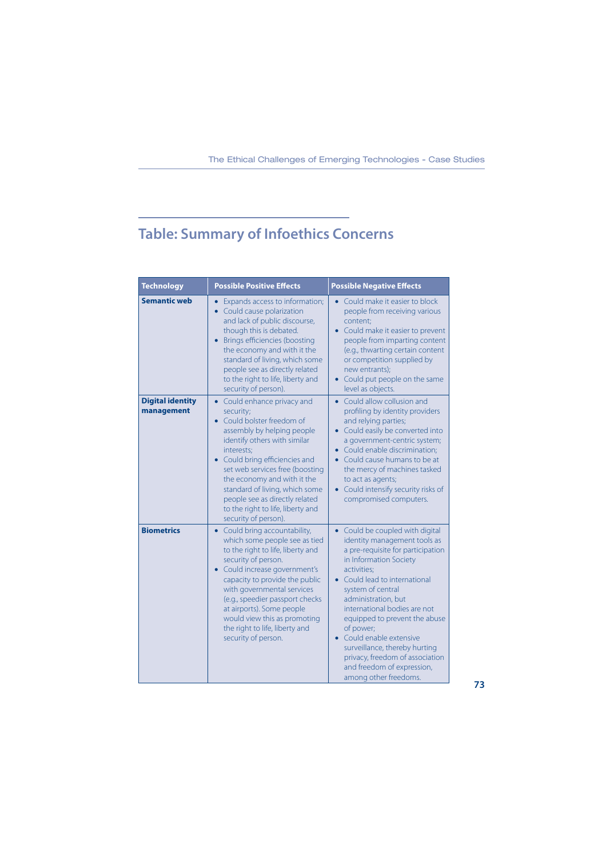## **Table: Summary of Infoethics Concerns**

| <b>Technology</b>                     | <b>Possible Positive Effects</b>                                                                                                                                                                                                                                                                                                                                                                | <b>Possible Negative Effects</b>                                                                                                                                                                                                                                                                                                                                                                                                                                                      |
|---------------------------------------|-------------------------------------------------------------------------------------------------------------------------------------------------------------------------------------------------------------------------------------------------------------------------------------------------------------------------------------------------------------------------------------------------|---------------------------------------------------------------------------------------------------------------------------------------------------------------------------------------------------------------------------------------------------------------------------------------------------------------------------------------------------------------------------------------------------------------------------------------------------------------------------------------|
| <b>Semantic web</b>                   | Expands access to information;<br>$\bullet$<br>Could cause polarization<br>$\bullet$<br>and lack of public discourse,<br>though this is debated.<br>Brings efficiencies (boosting<br>$\bullet$<br>the economy and with it the<br>standard of living, which some<br>people see as directly related<br>to the right to life, liberty and<br>security of person).                                  | Could make it easier to block<br>people from receiving various<br>content;<br>Could make it easier to prevent<br>people from imparting content<br>(e.g., thwarting certain content<br>or competition supplied by<br>new entrants);<br>Could put people on the same<br>level as objects.                                                                                                                                                                                               |
| <b>Digital identity</b><br>management | • Could enhance privacy and<br>security;<br>• Could bolster freedom of<br>assembly by helping people<br>identify others with similar<br>interests;<br>• Could bring efficiencies and<br>set web services free (boosting<br>the economy and with it the<br>standard of living, which some<br>people see as directly related<br>to the right to life, liberty and<br>security of person).         | Could allow collusion and<br>profiling by identity providers<br>and relying parties;<br>Could easily be converted into<br>a government-centric system;<br>Could enable discrimination;<br>• Could cause humans to be at<br>the mercy of machines tasked<br>to act as agents;<br>Could intensify security risks of<br>compromised computers.                                                                                                                                           |
| <b>Biometrics</b>                     | • Could bring accountability,<br>which some people see as tied<br>to the right to life, liberty and<br>security of person.<br>Could increase government's<br>$\bullet$<br>capacity to provide the public<br>with governmental services<br>(e.g., speedier passport checks<br>at airports). Some people<br>would view this as promoting<br>the right to life, liberty and<br>security of person. | Could be coupled with digital<br>$\bullet$<br>identity management tools as<br>a pre-requisite for participation<br>in Information Society<br>activities;<br>• Could lead to international<br>system of central<br>administration, but<br>international bodies are not<br>equipped to prevent the abuse<br>of power;<br>Could enable extensive<br>$\bullet$<br>surveillance, thereby hurting<br>privacy, freedom of association<br>and freedom of expression,<br>among other freedoms. |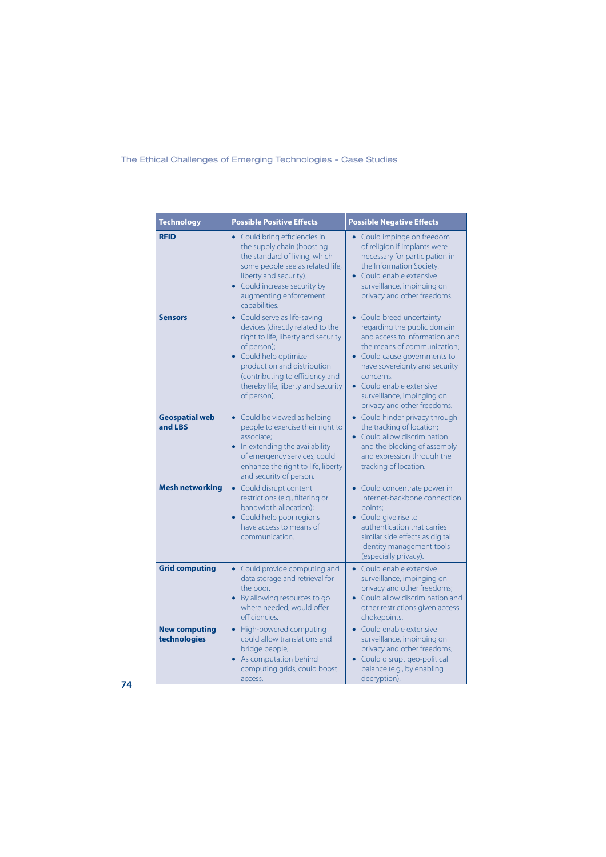| <b>Technology</b>                    | <b>Possible Positive Effects</b>                                                                                                                                                                                                                                     | <b>Possible Negative Effects</b>                                                                                                                                                                                                                                                            |
|--------------------------------------|----------------------------------------------------------------------------------------------------------------------------------------------------------------------------------------------------------------------------------------------------------------------|---------------------------------------------------------------------------------------------------------------------------------------------------------------------------------------------------------------------------------------------------------------------------------------------|
| <b>RFID</b>                          | • Could bring efficiencies in<br>the supply chain (boosting<br>the standard of living, which<br>some people see as related life,<br>liberty and security).<br>Could increase security by<br>$\bullet$<br>augmenting enforcement<br>capabilities.                     | Could impinge on freedom<br>of religion if implants were<br>necessary for participation in<br>the Information Society.<br>Could enable extensive<br>surveillance, impinging on<br>privacy and other freedoms.                                                                               |
| <b>Sensors</b>                       | • Could serve as life-saving<br>devices (directly related to the<br>right to life, liberty and security<br>of person);<br>Could help optimize<br>production and distribution<br>(contributing to efficiency and<br>thereby life, liberty and security<br>of person). | • Could breed uncertainty<br>regarding the public domain<br>and access to information and<br>the means of communication:<br>Could cause governments to<br>have sovereignty and security<br>concerns.<br>Could enable extensive<br>surveillance, impinging on<br>privacy and other freedoms. |
| <b>Geospatial web</b><br>and LBS     | • Could be viewed as helping<br>people to exercise their right to<br>associate:<br>In extending the availability<br>of emergency services, could<br>enhance the right to life, liberty<br>and security of person.                                                    | • Could hinder privacy through<br>the tracking of location;<br>Could allow discrimination<br>and the blocking of assembly<br>and expression through the<br>tracking of location.                                                                                                            |
| <b>Mesh networking</b>               | Could disrupt content<br>restrictions (e.g., filtering or<br>bandwidth allocation);<br>• Could help poor regions<br>have access to means of<br>communication.                                                                                                        | • Could concentrate power in<br>Internet-backbone connection<br>points;<br>• Could give rise to<br>authentication that carries<br>similar side effects as digital<br>identity management tools<br>(especially privacy).                                                                     |
| <b>Grid computing</b>                | • Could provide computing and<br>data storage and retrieval for<br>the poor.<br>By allowing resources to go<br>where needed, would offer<br>efficiencies.                                                                                                            | • Could enable extensive<br>surveillance, impinging on<br>privacy and other freedoms;<br>Could allow discrimination and<br>other restrictions given access<br>chokepoints.                                                                                                                  |
| <b>New computing</b><br>technologies | High-powered computing<br>could allow translations and<br>bridge people;<br>As computation behind<br>computing grids, could boost<br>access.                                                                                                                         | • Could enable extensive<br>surveillance, impinging on<br>privacy and other freedoms;<br>Could disrupt geo-political<br>balance (e.g., by enabling<br>decryption).                                                                                                                          |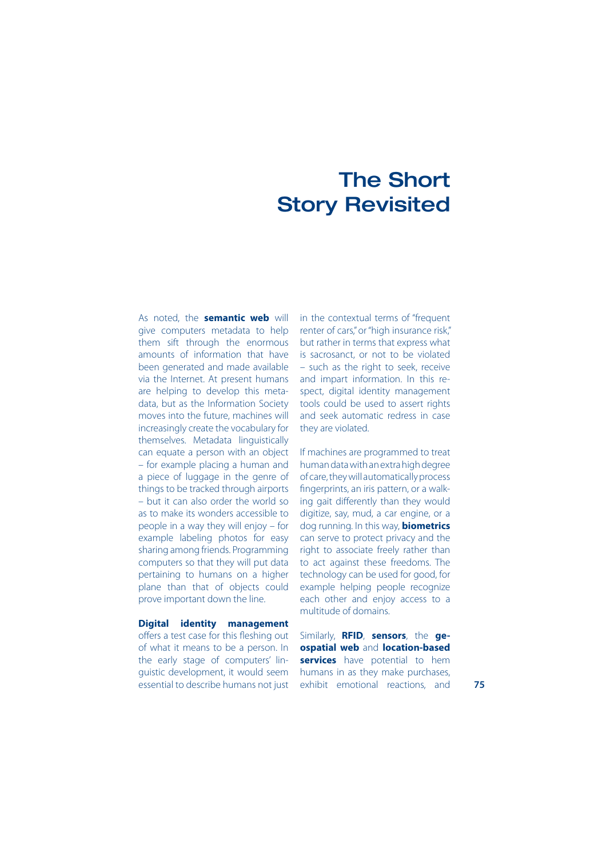# The Short Story Revisited

As noted, the **semantic web** will give computers metadata to help them sift through the enormous amounts of information that have been generated and made available via the Internet. At present humans are helping to develop this metadata, but as the Information Society moves into the future, machines will increasingly create the vocabulary for themselves. Metadata linguistically can equate a person with an object – for example placing a human and a piece of luggage in the genre of things to be tracked through airports – but it can also order the world so as to make its wonders accessible to people in a way they will enjoy – for example labeling photos for easy sharing among friends. Programming computers so that they will put data pertaining to humans on a higher plane than that of objects could prove important down the line.

#### **Digital identity management**

offers a test case for this fleshing out of what it means to be a person. In the early stage of computers' linguistic development, it would seem essential to describe humans not just

in the contextual terms of "frequent renter of cars," or "high insurance risk," but rather in terms that express what is sacrosanct, or not to be violated – such as the right to seek, receive and impart information. In this respect, digital identity management tools could be used to assert rights and seek automatic redress in case they are violated.

If machines are programmed to treat human data with an extra high degree of care, they will automatically process fingerprints, an iris pattern, or a walking gait differently than they would digitize, say, mud, a car engine, or a dog running. In this way, **biometrics** can serve to protect privacy and the right to associate freely rather than to act against these freedoms. The technology can be used for good, for example helping people recognize each other and enjoy access to a multitude of domains.

Similarly, **RFID**, **sensors**, the **geospatial web** and **location-based services** have potential to hem humans in as they make purchases, exhibit emotional reactions, and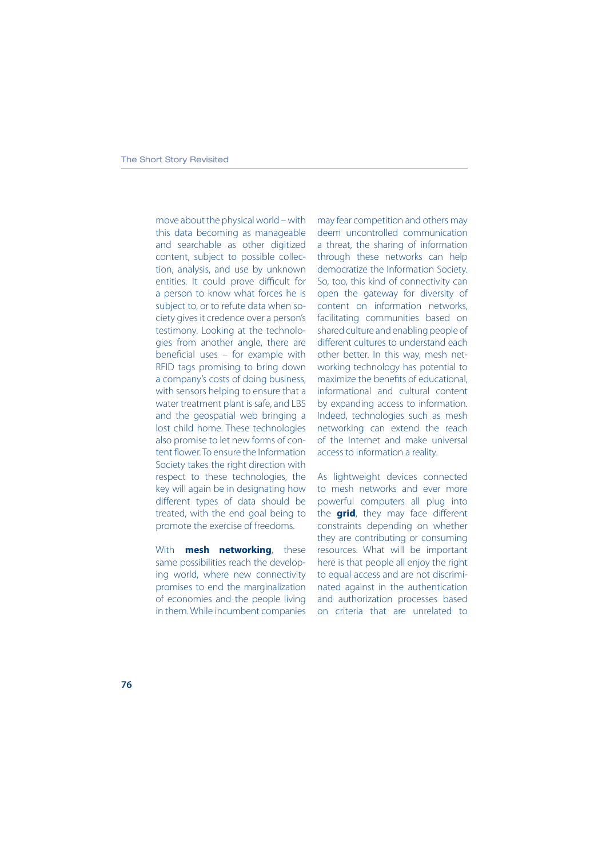move about the physical world – with this data becoming as manageable and searchable as other digitized content, subject to possible collection, analysis, and use by unknown entities. It could prove difficult for a person to know what forces he is subject to, or to refute data when society gives it credence over a person's testimony. Looking at the technologies from another angle, there are  $\bar{b}$  eneficial uses – for example with RFID tags promising to bring down a company's costs of doing business, with sensors helping to ensure that a water treatment plant is safe, and LBS and the geospatial web bringing a lost child home. These technologies also promise to let new forms of content flower. To ensure the Information Society takes the right direction with respect to these technologies, the key will again be in designating how different types of data should be treated, with the end goal being to promote the exercise of freedoms.

With **mesh networking**, these same possibilities reach the developing world, where new connectivity promises to end the marginalization of economies and the people living in them. While incumbent companies

may fear competition and others may deem uncontrolled communication a threat, the sharing of information through these networks can help democratize the Information Society. So, too, this kind of connectivity can open the gateway for diversity of content on information networks, facilitating communities based on shared culture and enabling people of different cultures to understand each other better. In this way, mesh networking technology has potential to  $maximize the benefits of educational$ informational and cultural content by expanding access to information. Indeed, technologies such as mesh networking can extend the reach of the Internet and make universal access to information a reality.

As lightweight devices connected to mesh networks and ever more powerful computers all plug into the **grid**, they may face different constraints depending on whether they are contributing or consuming resources. What will be important here is that people all enjoy the right to equal access and are not discriminated against in the authentication and authorization processes based on criteria that are unrelated to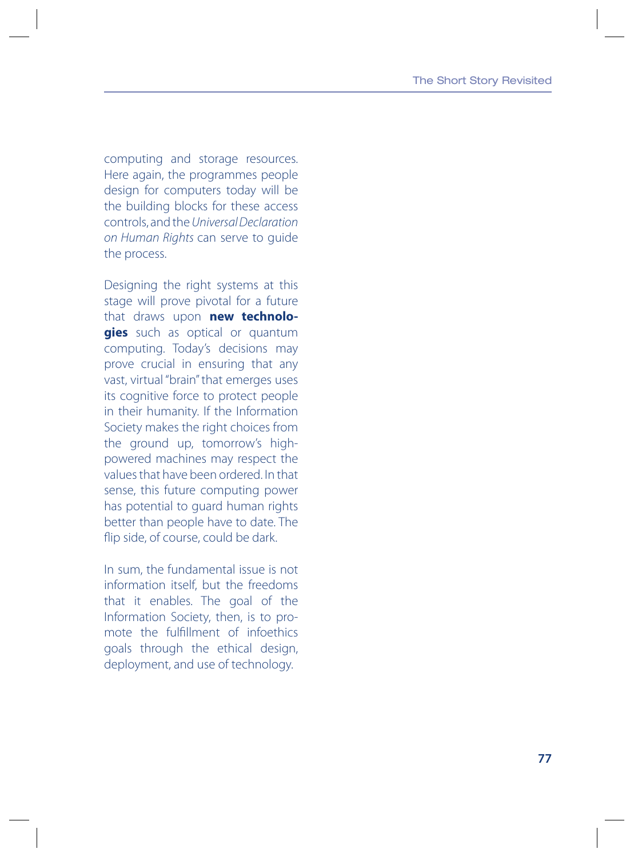computing and storage resources. Here again, the programmes people design for computers today will be the building blocks for these access controls, and the Universal Declaration on Human Rights can serve to guide the process.

Designing the right systems at this stage will prove pivotal for a future that draws upon **new technologies** such as optical or quantum computing. Today's decisions may prove crucial in ensuring that any vast, virtual "brain" that emerges uses its cognitive force to protect people in their humanity. If the Information Society makes the right choices from the ground up, tomorrow's highpowered machines may respect the values that have been ordered. In that sense, this future computing power has potential to guard human rights better than people have to date. The flip side, of course, could be dark.

In sum, the fundamental issue is not information itself, but the freedoms that it enables. The goal of the Information Society, then, is to promote the fulfillment of infoethics goals through the ethical design, deployment, and use of technology.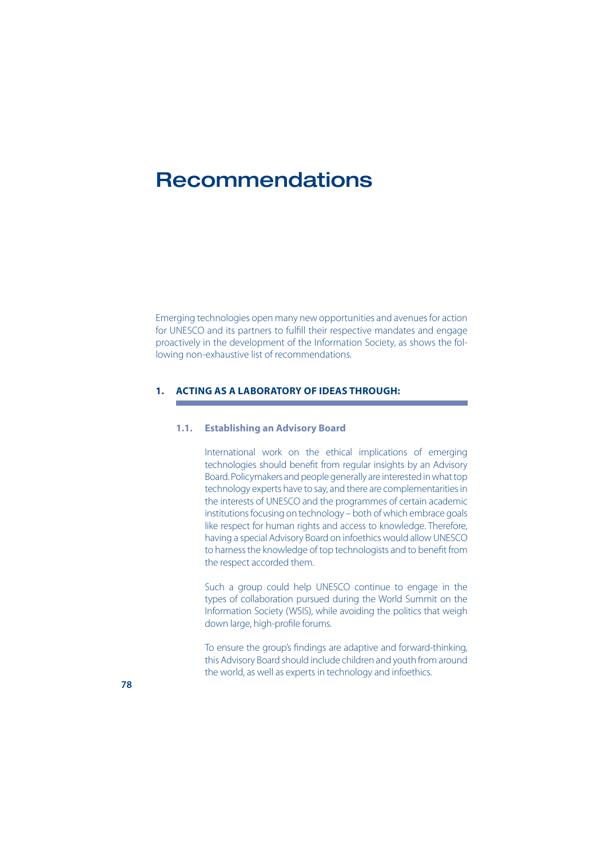# Recommendations

Emerging technologies open many new opportunities and avenues for action for UNESCO and its partners to fulfill their respective mandates and engage proactively in the development of the Information Society, as shows the following non-exhaustive list of recommendations.

#### **1. ACTING AS A LABORATORY OF IDEAS THROUGH:**

#### **1.1. Establishing an Advisory Board**

International work on the ethical implications of emerging technologies should benefit from regular insights by an Advisory Board. Policymakers and people generally are interested in what top technology experts have to say, and there are complementarities in the interests of UNESCO and the programmes of certain academic institutions focusing on technology – both of which embrace goals like respect for human rights and access to knowledge. Therefore, having a special Advisory Board on infoethics would allow UNESCO to harness the knowledge of top technologists and to benefit from the respect accorded them.

Such a group could help UNESCO continue to engage in the types of collaboration pursued during the World Summit on the Information Society (WSIS), while avoiding the politics that weigh down large, high-profile forums.

To ensure the group's findings are adaptive and forward-thinking, this Advisory Board should include children and youth from around the world, as well as experts in technology and infoethics.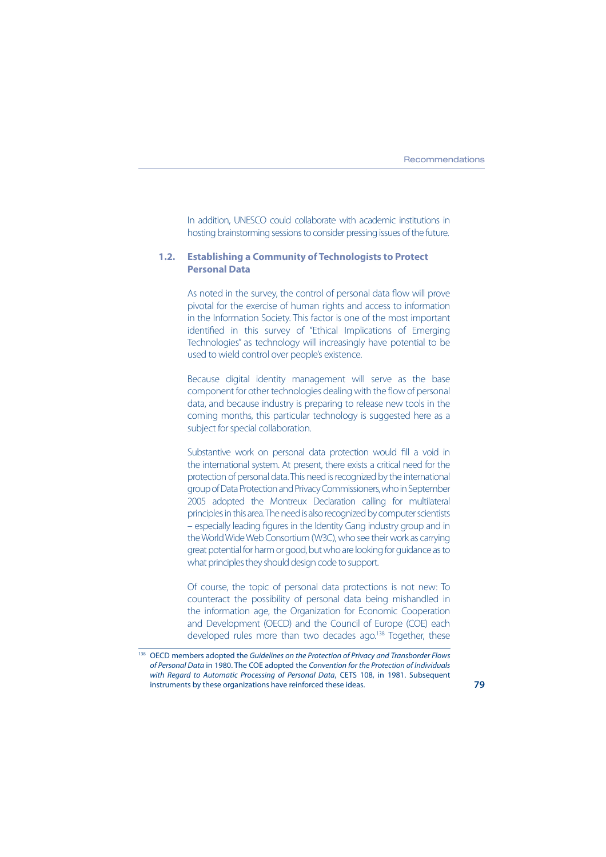In addition, UNESCO could collaborate with academic institutions in hosting brainstorming sessions to consider pressing issues of the future.

#### **1.2. Establishing a Community of Technologists to Protect Personal Data**

As noted in the survey, the control of personal data flow will prove pivotal for the exercise of human rights and access to information in the Information Society. This factor is one of the most important identified in this survey of "Ethical Implications of Emerging Technologies" as technology will increasingly have potential to be used to wield control over people's existence.

Because digital identity management will serve as the base component for other technologies dealing with the flow of personal data, and because industry is preparing to release new tools in the coming months, this particular technology is suggested here as a subject for special collaboration.

Substantive work on personal data protection would fill a void in the international system. At present, there exists a critical need for the protection of personal data. This need is recognized by the international group of Data Protection and Privacy Commissioners, who in September 2005 adopted the Montreux Declaration calling for multilateral principles in this area. The need is also recognized by computer scientists – especially leading figures in the Identity Gang industry group and in the World Wide Web Consortium (W3C), who see their work as carrying great potential for harm or good, but who are looking for guidance as to what principles they should design code to support.

Of course, the topic of personal data protections is not new: To counteract the possibility of personal data being mishandled in the information age, the Organization for Economic Cooperation and Development (OECD) and the Council of Europe (COE) each developed rules more than two decades ago.<sup>138</sup> Together, these

<sup>&</sup>lt;sup>138</sup> OECD members adopted the Guidelines on the Protection of Privacy and Transborder Flows of Personal Data in 1980. The COE adopted the Convention for the Protection of Individuals with Regard to Automatic Processing of Personal Data, CETS 108, in 1981. Subsequent instruments by these organizations have reinforced these ideas.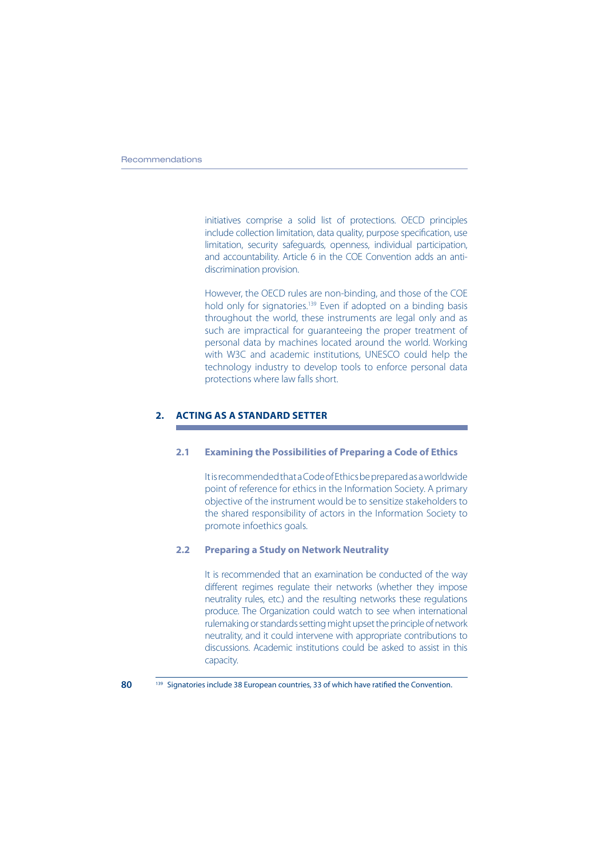initiatives comprise a solid list of protections. OECD principles include collection limitation, data quality, purpose specification, use limitation, security safeguards, openness, individual participation, and accountability. Article 6 in the COE Convention adds an antidiscrimination provision.

However, the OECD rules are non-binding, and those of the COE hold only for signatories.<sup>139</sup> Even if adopted on a binding basis throughout the world, these instruments are legal only and as such are impractical for guaranteeing the proper treatment of personal data by machines located around the world. Working with W3C and academic institutions, UNESCO could help the technology industry to develop tools to enforce personal data protections where law falls short.

#### **2. ACTING AS A STANDARD SETTER**

#### **2.1 Examining the Possibilities of Preparing a Code of Ethics**

It is recommended that a Code of Ethics be prepared as a worldwide point of reference for ethics in the Information Society. A primary objective of the instrument would be to sensitize stakeholders to the shared responsibility of actors in the Information Society to promote infoethics goals.

#### **2.2 Preparing a Study on Network Neutrality**

It is recommended that an examination be conducted of the way different regimes regulate their networks (whether they impose neutrality rules, etc.) and the resulting networks these regulations produce. The Organization could watch to see when international rulemaking or standards setting might upset the principle of network neutrality, and it could intervene with appropriate contributions to discussions. Academic institutions could be asked to assist in this capacity.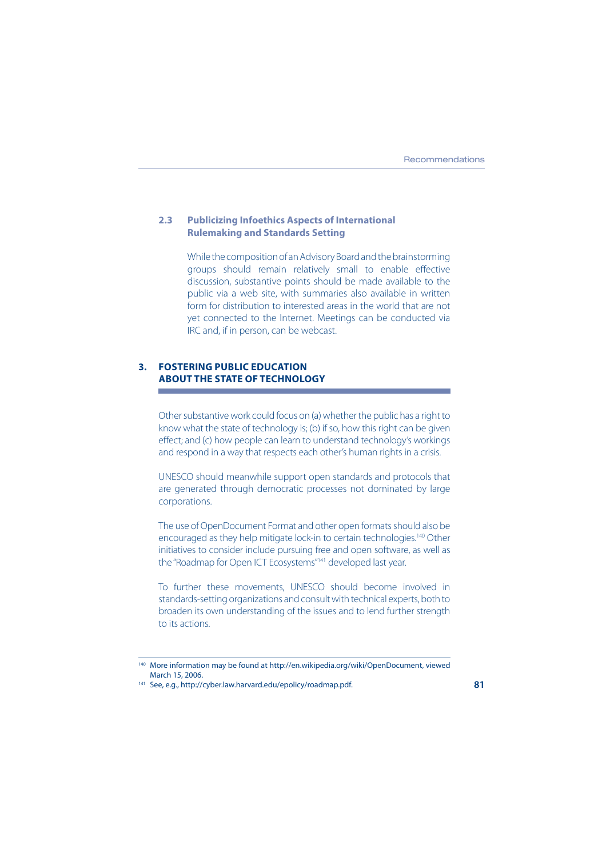#### **2.3 Publicizing Infoethics Aspects of International Rulemaking and Standards Setting**

While the composition of an Advisory Board and the brainstorming groups should remain relatively small to enable effective discussion, substantive points should be made available to the public via a web site, with summaries also available in written form for distribution to interested areas in the world that are not yet connected to the Internet. Meetings can be conducted via IRC and, if in person, can be webcast.

#### **3. FOSTERING PUBLIC EDUCATION ABOUT THE STATE OF TECHNOLOGY**

Other substantive work could focus on (a) whether the public has a right to know what the state of technology is; (b) if so, how this right can be given effect; and (c) how people can learn to understand technology's workings and respond in a way that respects each other's human rights in a crisis.

UNESCO should meanwhile support open standards and protocols that are generated through democratic processes not dominated by large corporations.

The use of OpenDocument Format and other open formats should also be encouraged as they help mitigate lock-in to certain technologies.140 Other initiatives to consider include pursuing free and open software, as well as the "Roadmap for Open ICT Ecosystems"141 developed last year.

To further these movements, UNESCO should become involved in standards-setting organizations and consult with technical experts, both to broaden its own understanding of the issues and to lend further strength to its actions.

<sup>140</sup> More information may be found at [http://en.wikipedia.org/wiki/OpenDocument,](http://en.wikipedia.org/wiki/OpenDocument) viewed March 15, 2006.

<sup>141</sup> See, e.g., [http://cyber.law.harvard.edu/epolicy/roadmap.pdf.](http://cyber.law.harvard.edu/epolicy/roadmap.pdf)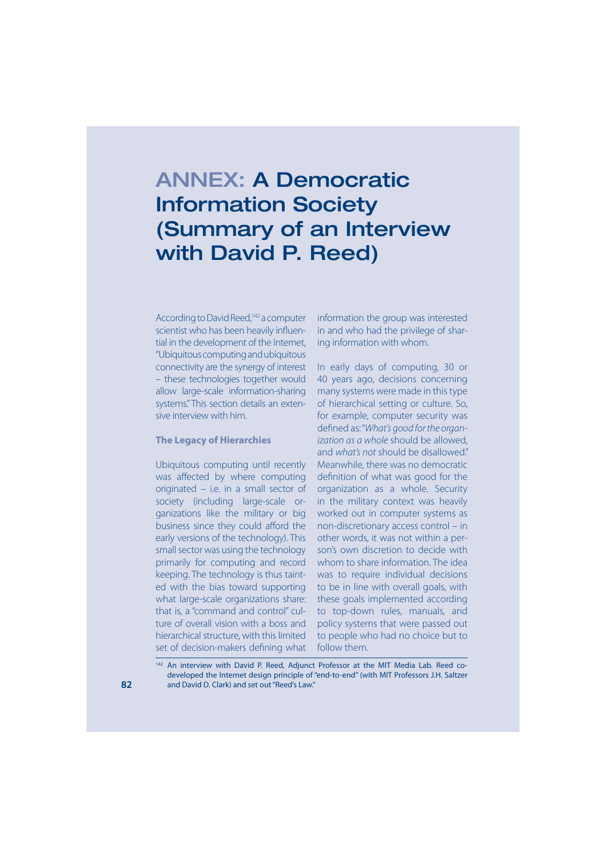# ANNEX: A Democratic Information Society (Summary of an Interview with David P. Reed)

According to David Reed,<sup>142</sup> a computer scientist who has been heavily influential in the development of the Internet, "Ubiquitous computing and ubiquitous connectivity are the synergy of interest – these technologies together would allow large-scale information-sharing systems." This section details an extensive interview with him.

#### **The Legacy of Hierarchies**

Ubiquitous computing until recently was affected by where computing originated – i.e. in a small sector of society (including large-scale organizations like the military or big business since they could afford the early versions of the technology). This small sector was using the technology primarily for computing and record keeping. The technology is thus tainted with the bias toward supporting what large-scale organizations share: that is, a "command and control" culture of overall vision with a boss and hierarchical structure, with this limited set of decision-makers defining what

information the group was interested in and who had the privilege of sharing information with whom.

In early days of computing, 30 or 40 years ago, decisions concerning many systems were made in this type of hierarchical setting or culture. So, for example, computer security was defined as: "What's good for the organization as a whole should be allowed, and what's not should be disallowed" Meanwhile, there was no democratic definition of what was good for the organization as a whole. Security in the military context was heavily worked out in computer systems as non-discretionary access control – in other words, it was not within a person's own discretion to decide with whom to share information. The idea was to require individual decisions to be in line with overall goals, with these goals implemented according to top-down rules, manuals, and policy systems that were passed out to people who had no choice but to follow them.

<sup>&</sup>lt;sup>142</sup> An interview with David P. Reed, Adjunct Professor at the MIT Media Lab. Reed codeveloped the Internet design principle of "end-to-end" (with MIT Professors J.H. Saltzer and David D. Clark) and set out "Reed's Law."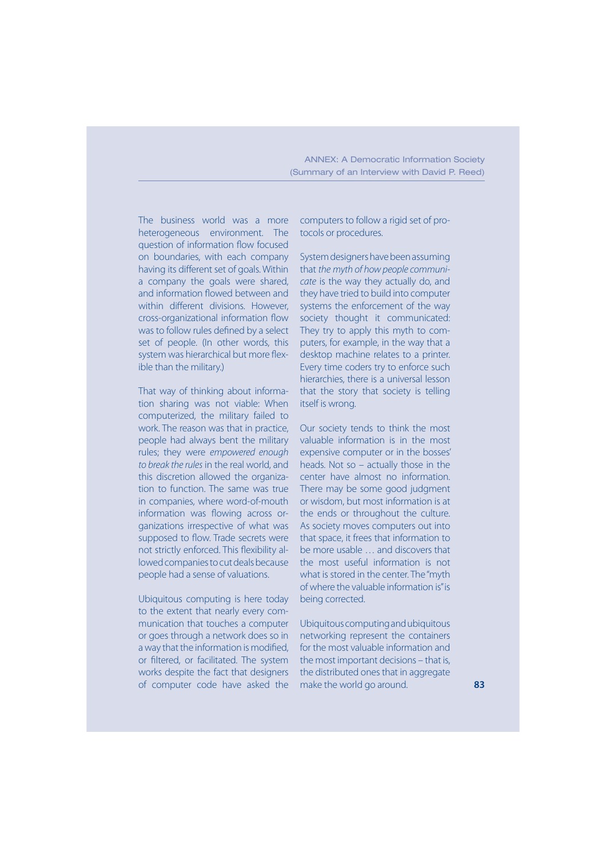The business world was a more heterogeneous environment. The question of information flow focused on boundaries, with each company having its different set of goals. Within a company the goals were shared, and information flowed between and within different divisions. However, cross-organizational information flow was to follow rules defined by a select set of people. (In other words, this system was hierarchical but more flexible than the military.)

That way of thinking about information sharing was not viable: When computerized, the military failed to work. The reason was that in practice, people had always bent the military rules; they were empowered enough to break the rules in the real world, and this discretion allowed the organization to function. The same was true in companies, where word-of-mouth information was flowing across organizations irrespective of what was supposed to flow. Trade secrets were not strictly enforced. This flexibility allowed companies to cut deals because people had a sense of valuations.

Ubiquitous computing is here today to the extent that nearly every communication that touches a computer or goes through a network does so in a way that the information is modified, or filtered, or facilitated. The system works despite the fact that designers of computer code have asked the

computers to follow a rigid set of protocols or procedures.

System designers have been assuming that the myth of how people communicate is the way they actually do, and they have tried to build into computer systems the enforcement of the way society thought it communicated: They try to apply this myth to computers, for example, in the way that a desktop machine relates to a printer. Every time coders try to enforce such hierarchies, there is a universal lesson that the story that society is telling itself is wrong.

Our society tends to think the most valuable information is in the most expensive computer or in the bosses' heads. Not so – actually those in the center have almost no information. There may be some good judgment or wisdom, but most information is at the ends or throughout the culture. As society moves computers out into that space, it frees that information to be more usable … and discovers that the most useful information is not what is stored in the center. The "myth of where the valuable information is" is being corrected.

Ubiquitous computing and ubiquitous networking represent the containers for the most valuable information and the most important decisions – that is, the distributed ones that in aggregate make the world go around.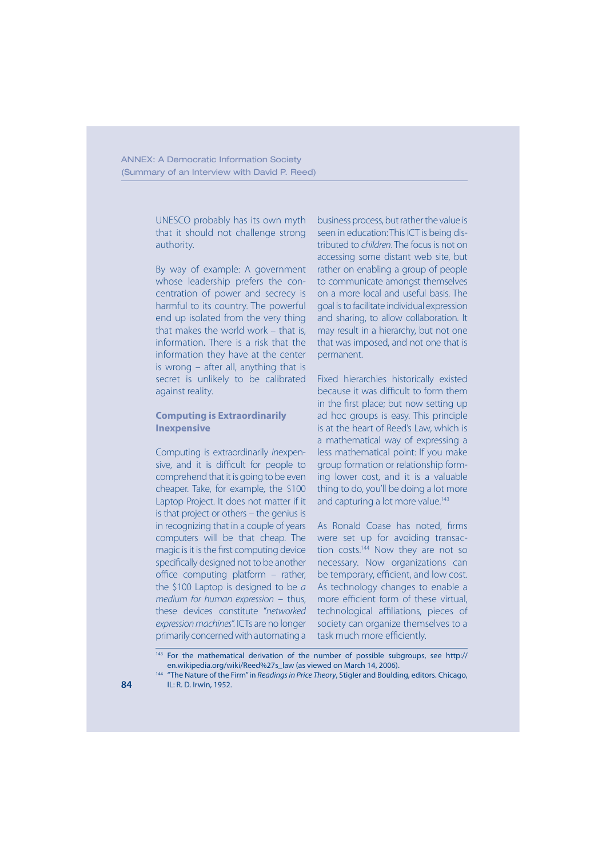UNESCO probably has its own myth that it should not challenge strong authority.

By way of example: A government whose leadership prefers the concentration of power and secrecy is harmful to its country. The powerful end up isolated from the very thing that makes the world work – that is, information. There is a risk that the information they have at the center is wrong – after all, anything that is secret is unlikely to be calibrated against reality.

#### **Computing is Extraordinarily Inexpensive**

Computing is extraordinarily inexpensive, and it is difficult for people to comprehend that it is going to be even cheaper. Take, for example, the \$100 Laptop Project. It does not matter if it is that project or others – the genius is in recognizing that in a couple of years computers will be that cheap. The magic is it is the first computing device specifically designed not to be another office computing platform  $-$  rather, the \$100 Laptop is designed to be a medium for human expression – thus, these devices constitute "networked expression machines". ICTs are no longer primarily concerned with automating a

business process, but rather the value is seen in education: This ICT is being distributed to children. The focus is not on accessing some distant web site, but rather on enabling a group of people to communicate amongst themselves on a more local and useful basis. The goal is to facilitate individual expression and sharing, to allow collaboration. It may result in a hierarchy, but not one that was imposed, and not one that is permanent.

Fixed hierarchies historically existed because it was difficult to form them in the first place; but now setting up ad hoc groups is easy. This principle is at the heart of Reed's Law, which is a mathematical way of expressing a less mathematical point: If you make group formation or relationship forming lower cost, and it is a valuable thing to do, you'll be doing a lot more and capturing a lot more value.<sup>143</sup>

As Ronald Coase has noted, firms were set up for avoiding transaction costs.<sup>144</sup> Now they are not so necessary. Now organizations can be temporary, efficient, and low cost. As technology changes to enable a more efficient form of these virtual, technological affiliations, pieces of society can organize themselves to a task much more efficiently.

<sup>143</sup> For the mathematical derivation of the number of possible subgroups, see [http://](http://en.wikipedia.org/wiki/Reed%27s_law) [en.wikipedia.org/wiki/Reed%27s\\_law \(a](http://en.wikipedia.org/wiki/Reed%27s_law)s viewed on March 14, 2006).

<sup>&</sup>lt;sup>144</sup> "The Nature of the Firm" in Readings in Price Theory, Stigler and Boulding, editors. Chicago, IL: R. D. Irwin, 1952.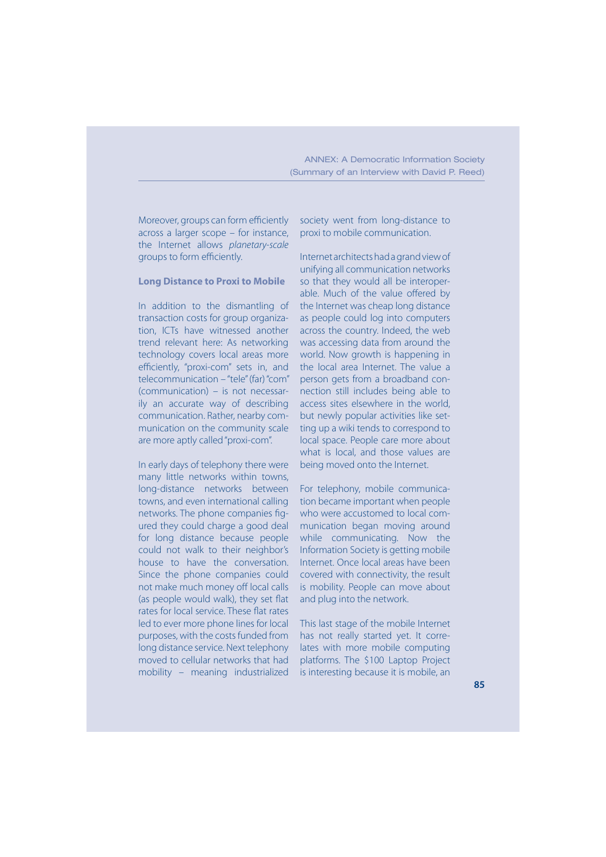Moreover, groups can form efficiently across a larger scope – for instance, the Internet allows planetary-scale groups to form efficiently.

#### **Long Distance to Proxi to Mobile**

In addition to the dismantling of transaction costs for group organization, ICTs have witnessed another trend relevant here: As networking technology covers local areas more efficiently, "proxi-com" sets in, and telecommunication – "tele" (far) "com" (communication) – is not necessarily an accurate way of describing communication. Rather, nearby communication on the community scale are more aptly called "proxi-com".

In early days of telephony there were many little networks within towns, long-distance networks between towns, and even international calling networks. The phone companies figured they could charge a good deal for long distance because people could not walk to their neighbor's house to have the conversation. Since the phone companies could not make much money off local calls (as people would walk), they set flat rates for local service. These flat rates led to ever more phone lines for local purposes, with the costs funded from long distance service. Next telephony moved to cellular networks that had mobility – meaning industrialized

society went from long-distance to proxi to mobile communication.

Internet architects had a grand view of unifying all communication networks so that they would all be interoperable. Much of the value offered by the Internet was cheap long distance as people could log into computers across the country. Indeed, the web was accessing data from around the world. Now growth is happening in the local area Internet. The value a person gets from a broadband connection still includes being able to access sites elsewhere in the world, but newly popular activities like setting up a wiki tends to correspond to local space. People care more about what is local, and those values are being moved onto the Internet.

For telephony, mobile communication became important when people who were accustomed to local communication began moving around while communicating. Now the Information Society is getting mobile Internet. Once local areas have been covered with connectivity, the result is mobility. People can move about and plug into the network.

This last stage of the mobile Internet has not really started yet. It correlates with more mobile computing platforms. The \$100 Laptop Project is interesting because it is mobile, an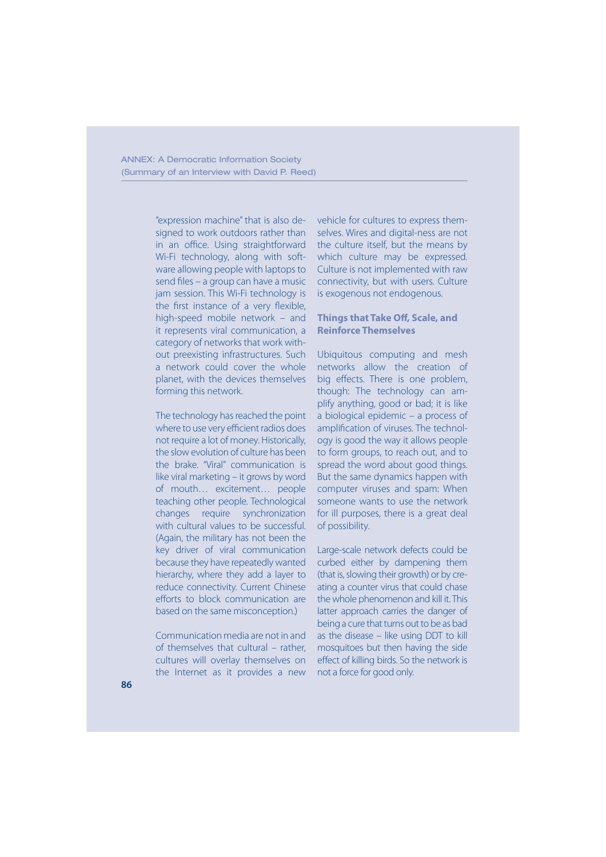"expression machine" that is also designed to work outdoors rather than in an office. Using straightforward Wi-Fi technology, along with software allowing people with laptops to send files – a group can have a music jam session. This Wi-Fi technology is the first instance of a very flexible, high-speed mobile network – and it represents viral communication, a category of networks that work without preexisting infrastructures. Such a network could cover the whole planet, with the devices themselves forming this network.

The technology has reached the point where to use very efficient radios does not require a lot of money. Historically, the slow evolution of culture has been the brake. "Viral" communication is like viral marketing – it grows by word of mouth… excitement… people teaching other people. Technological<br>changes require synchronization  $ch$ anges require with cultural values to be successful. (Again, the military has not been the key driver of viral communication because they have repeatedly wanted hierarchy, where they add a layer to reduce connectivity. Current Chinese efforts to block communication are based on the same misconception.)

Communication media are not in and of themselves that cultural – rather, cultures will overlay themselves on the Internet as it provides a new

vehicle for cultures to express themselves. Wires and digital-ness are not the culture itself, but the means by which culture may be expressed. Culture is not implemented with raw connectivity, but with users. Culture is exogenous not endogenous.

#### **Things that Take Off, Scale, and Reinforce Themselves**

Ubiquitous computing and mesh networks allow the creation of big effects. There is one problem, though: The technology can amplify anything, good or bad; it is like a biological epidemic – a process of amplification of viruses. The technology is good the way it allows people to form groups, to reach out, and to spread the word about good things. But the same dynamics happen with computer viruses and spam: When someone wants to use the network for ill purposes, there is a great deal of possibility.

Large-scale network defects could be curbed either by dampening them (that is, slowing their growth) or by creating a counter virus that could chase the whole phenomenon and kill it. This latter approach carries the danger of being a cure that turns out to be as bad as the disease – like using DDT to kill mosquitoes but then having the side effect of killing birds. So the network is not a force for good only.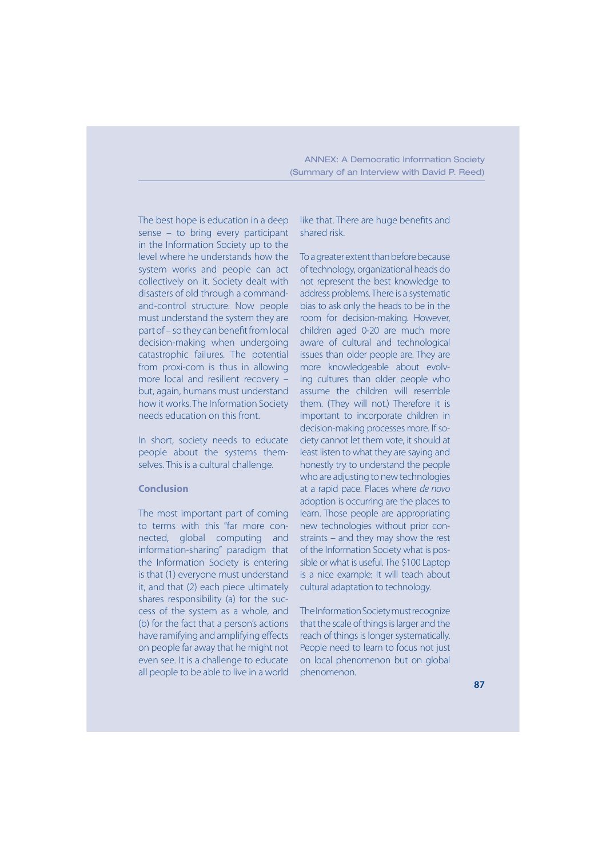The best hope is education in a deep sense – to bring every participant in the Information Society up to the level where he understands how the system works and people can act collectively on it. Society dealt with disasters of old through a commandand-control structure. Now people must understand the system they are part of – so they can benefit from local decision-making when undergoing catastrophic failures. The potential from proxi-com is thus in allowing more local and resilient recovery – but, again, humans must understand how it works. The Information Society needs education on this front.

In short, society needs to educate people about the systems themselves. This is a cultural challenge.

#### **Conclusion**

The most important part of coming to terms with this "far more connected, global computing and information-sharing" paradigm that the Information Society is entering is that (1) everyone must understand it, and that (2) each piece ultimately shares responsibility (a) for the success of the system as a whole, and (b) for the fact that a person's actions have ramifying and amplifying effects on people far away that he might not even see. It is a challenge to educate all people to be able to live in a world

like that. There are huge benefits and shared risk.

To a greater extent than before because of technology, organizational heads do not represent the best knowledge to address problems. There is a systematic bias to ask only the heads to be in the room for decision-making. However, children aged 0-20 are much more aware of cultural and technological issues than older people are. They are more knowledgeable about evolving cultures than older people who assume the children will resemble them. (They will not.) Therefore it is important to incorporate children in decision-making processes more. If society cannot let them vote, it should at least listen to what they are saying and honestly try to understand the people who are adjusting to new technologies at a rapid pace. Places where de novo adoption is occurring are the places to learn. Those people are appropriating new technologies without prior constraints – and they may show the rest of the Information Society what is possible or what is useful. The \$100 Laptop is a nice example: It will teach about cultural adaptation to technology.

The Information Society must recognize that the scale of things is larger and the reach of things is longer systematically. People need to learn to focus not just on local phenomenon but on global phenomenon.